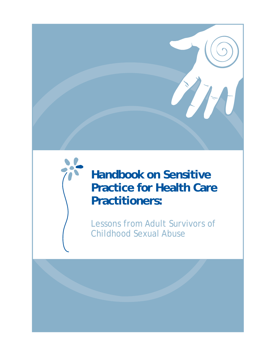# **Handbook on Sensitive Practice for Health Care Practitioners:**

Lessons from Adult Survivors of Childhood Sexual Abuse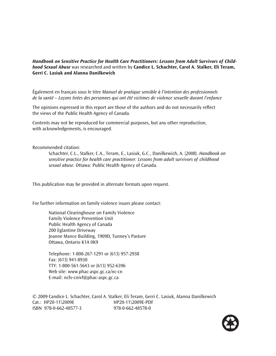*Handbook on Sensitive Practice for Health Care Practitioners: Lessons from Adult Survivors of Childhood Sexual Abuse* was researched and written by **Candice L. Schachter, Carol A. Stalker, Eli Teram, Gerri C. Lasiuk and Alanna Danilkewich**

Également en français sous le titre *Manuel de pratique sensible à l'intention des professionnels de la santé – Leçons tirées des personnes qui ont été victimes de violence sexuelle durant l'enfance*

The opinions expressed in this report are those of the authors and do not necessarily reflect the views of the Public Health Agency of Canada.

Contents may not be reproduced for commercial purposes, but any other reproduction, with acknowledgements, is encouraged.

Recommended citation:

 Schachter, C.L., Stalker, C.A., Teram, E., Lasiuk, G.C., Danilkewich, A. (2008). *Handbook on sensitive practice for health care practitioner: Lessons from adult survivors of childhood sexual abuse*. Ottawa: Public Health Agency of Canada.

This publication may be provided in alternate formats upon request.

For further information on family violence issues please contact:

 National Clearinghouse on Family Violence Family Violence Prevention Unit Public Health Agency of Canada 200 Eglantine Driveway Jeanne Mance Building, 1909D, Tunney's Pasture Ottawa, Ontario K1A 0K9

 Telephone: 1-800-267-1291 or (613) 957-2938 Fax: (613) 941-8930 TTY: 1-800-561-5643 or (613) 952-6396 Web site: www.phac-aspc.gc.ca/nc-cn E-mail: ncfv-cnivf@phac-aspc.gc.ca

© 2009 Candice L. Schachter, Carol A. Stalker, Eli Teram, Gerri C. Lasiuk, Alanna Danilkewich Cat.: HP20-11\2009E HP20-11\2009E-PDF ISBN 978-0-662-48577-3 978-0-662-48578-0

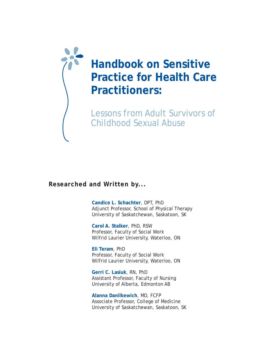

Childhood Sexual Abuse

**Researched and Written by...**

**Candice L. Schachter**, DPT, PhD Adjunct Professor, School of Physical Therapy University of Saskatchewan, Saskatoon, SK

**Carol A. Stalker**, PhD, RSW Professor, Faculty of Social Work Wilfrid Laurier University, Waterloo, ON

**Eli Teram**, PhD Professor, Faculty of Social Work Wilfrid Laurier University, Waterloo, ON

**Gerri C. Lasiuk**, RN, PhD Assistant Professor, Faculty of Nursing University of Alberta, Edmonton AB

**Alanna Danilkewich**, MD, FCFP Associate Professor, College of Medicine University of Saskatchewan, Saskatoon, SK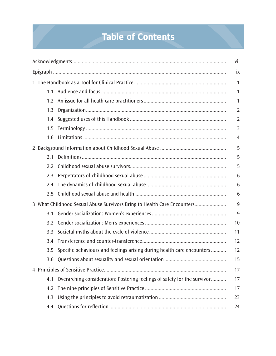## **Table of Contents**

|  |                                                                         |                                                                          | $\mathbf{1}$   |
|--|-------------------------------------------------------------------------|--------------------------------------------------------------------------|----------------|
|  | 1.1                                                                     |                                                                          | 1              |
|  | 1.2                                                                     |                                                                          | $\mathbf{1}$   |
|  | 1.3                                                                     |                                                                          | $\overline{2}$ |
|  | 1.4                                                                     |                                                                          | $\overline{2}$ |
|  | 1.5                                                                     |                                                                          | 3              |
|  | 1.6                                                                     |                                                                          | 4              |
|  |                                                                         |                                                                          | 5              |
|  | 2.1                                                                     |                                                                          | 5              |
|  | $2.2^{\circ}$                                                           |                                                                          | 5              |
|  | 2.3                                                                     |                                                                          | 6              |
|  | 2.4                                                                     |                                                                          | 6              |
|  | 2.5                                                                     |                                                                          | 6              |
|  | 3 What Childhood Sexual Abuse Survivors Bring to Health Care Encounters |                                                                          |                |
|  | 3.1                                                                     |                                                                          | 9              |
|  | 3.2                                                                     |                                                                          | 10             |
|  | 3.3                                                                     |                                                                          | 11             |
|  | 3.4                                                                     |                                                                          | 12             |
|  | 3.5                                                                     | Specific behaviours and feelings arising during health care encounters   | 12             |
|  |                                                                         |                                                                          | 15             |
|  |                                                                         |                                                                          | 17             |
|  | 4.1                                                                     | Overarching consideration: Fostering feelings of safety for the survivor | 17             |
|  | 4.2                                                                     |                                                                          | 17             |
|  | 4.3                                                                     |                                                                          | 23             |
|  | 4.4                                                                     |                                                                          | 24             |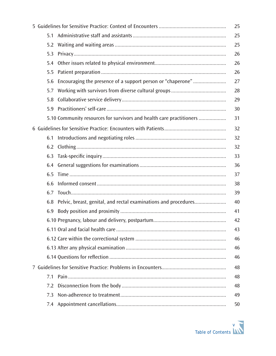|  | 5.1 |                                                                      | 25 |
|--|-----|----------------------------------------------------------------------|----|
|  | 5.2 |                                                                      | 25 |
|  | 5.3 |                                                                      | 26 |
|  | 5.4 |                                                                      | 26 |
|  | 5.5 |                                                                      | 26 |
|  | 5.6 |                                                                      | 27 |
|  | 5.7 |                                                                      | 28 |
|  | 5.8 |                                                                      | 29 |
|  | 5.9 |                                                                      | 30 |
|  |     | 5.10 Community resources for survivors and health care practitioners | 31 |
|  |     |                                                                      | 32 |
|  | 6.1 |                                                                      | 32 |
|  | 6.2 |                                                                      | 32 |
|  | 6.3 |                                                                      | 33 |
|  | 6.4 |                                                                      | 36 |
|  | 6.5 |                                                                      | 37 |
|  | 6.6 |                                                                      | 38 |
|  | 6.7 |                                                                      | 39 |
|  | 6.8 | Pelvic, breast, genital, and rectal examinations and procedures      | 40 |
|  | 6.9 |                                                                      | 41 |
|  |     |                                                                      | 42 |
|  |     |                                                                      | 43 |
|  |     |                                                                      | 46 |
|  |     |                                                                      | 46 |
|  |     |                                                                      | 46 |
|  |     | 48                                                                   |    |
|  | 7.1 |                                                                      | 48 |
|  | 7.2 |                                                                      | 48 |
|  | 7.3 |                                                                      | 49 |
|  | 7.4 |                                                                      | 50 |

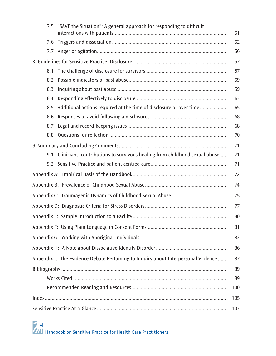| "SAVE the Situation": A general approach for responding to difficult<br>7.5        | 51  |  |  |  |
|------------------------------------------------------------------------------------|-----|--|--|--|
| 7.6                                                                                | 52  |  |  |  |
| 7.7                                                                                | 56  |  |  |  |
|                                                                                    | 57  |  |  |  |
| 8.1                                                                                | 57  |  |  |  |
| 8.2                                                                                | 59  |  |  |  |
| 8.3                                                                                | 59  |  |  |  |
| 8.4                                                                                | 63  |  |  |  |
| Additional actions required at the time of disclosure or over time<br>8.5          | 65  |  |  |  |
| 8.6                                                                                | 68  |  |  |  |
| 8.7                                                                                | 68  |  |  |  |
| 8.8                                                                                | 70  |  |  |  |
|                                                                                    |     |  |  |  |
| Clinicians' contributions to survivor's healing from childhood sexual abuse<br>9.1 | 71  |  |  |  |
| 9.2                                                                                | 71  |  |  |  |
|                                                                                    | 72  |  |  |  |
|                                                                                    |     |  |  |  |
|                                                                                    |     |  |  |  |
|                                                                                    |     |  |  |  |
|                                                                                    |     |  |  |  |
| 81                                                                                 |     |  |  |  |
| 82                                                                                 |     |  |  |  |
|                                                                                    | 86  |  |  |  |
| Appendix I: The Evidence Debate Pertaining to Inquiry about Interpersonal Violence | 87  |  |  |  |
|                                                                                    | 89  |  |  |  |
|                                                                                    | 89  |  |  |  |
|                                                                                    | 100 |  |  |  |
|                                                                                    |     |  |  |  |
|                                                                                    |     |  |  |  |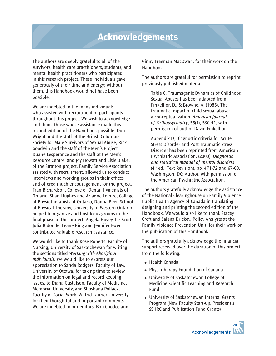The authors are deeply grateful to all of the survivors, health care practitioners, students, and mental health practitioners who participated in this research project. These individuals gave generously of their time and energy; without them, this Handbook would not have been possible.

We are indebted to the many individuals who assisted with recruitment of participants throughout this project. We wish to acknowledge and thank those whose assistance made this second edition of the Handbook possible. Don Wright and the staff of the British Columbia Society for Male Survivors of Sexual Abuse, Rick Goodwin and the staff of the Men's Project, Duane Lesperance and the staff at the Men's Resource Centre, and Joy Howatt and Elsie Blake, of the Stratton project, Family Service Association assisted with recruitment, allowed us to conduct interviews and working groups in their offices and offered much encouragement for the project. Fran Richardson, College of Dental Hygienists of Ontario, Shari Hughes and Ariadne Lemire, College of Physiotherapists of Ontario, Donna Beer, School of Physical Therapy, University of Western Ontario helped to organize and host focus groups in the final phase of this project. Angela Hovey, Liz Scott, Julia Bidonde, Leane King and Jennifer Ewen contributed valuable research assistance.

We would like to thank Rose Roberts, Faculty of Nursing, University of Saskatchewan for writing the sections titled *Working with Aboriginal Individuals*. We would like to express our appreciation to Sanda Rodgers, Faculty of Law, University of Ottawa, for taking time to review the information on legal and record keeping issues, to Diana Gustafson, Faculty of Medicine, Memorial University, and Shoshana Pollack, Faculty of Social Work, Wilfrid Laurier University for their thoughtful and important comments. We are indebted to our editors, Bob Chodos and

Ginny Freeman MacOwan, for their work on the Handbook.

The authors are grateful for permission to reprint previously published material:

Table 6, Traumagenic Dynamics of Childhood Sexual Abuses has been adapted from Finkelhor, D., & Browne, A. (1985). The traumatic impact of child sexual abuse: a conceptualization. *American Journal of Orthopsychiatry*, 55(4), 530-41, with permission of author David Finkelhor.

Appendix D, Diagnostic criteria for Acute Stress Disorder and Post Traumatic Stress Disorder has been reprinted from American Psychiatric Association. (2000). *Diagnostic and statistical manual of mental disorders*  $(4<sup>th</sup>$  ed., Text Revision), pp. 471-72 and 67-68. Washington, DC: Author, with permission of the American Psychiatric Association.

The authors gratefully acknowledge the assistance of the National Clearinghouse on Family Violence, Public Health Agency of Canada in translating, designing and printing the second edition of the Handbook. We would also like to thank Stacey Croft and Salena Brickey, Policy Analysts at the Family Violence Prevention Unit, for their work on the publication of this Handbook.

The authors gratefully acknowledge the financial support received over the duration of this project from the following:

- Health Canada
- Physiotherapy Foundation of Canada
- University of Saskatchewan College of Medicine Scientific Teaching and Research Fund
- University of Saskatchewan Internal Grants Program (New Faculty Start-up, President's SSHRC and Publication Fund Grants)

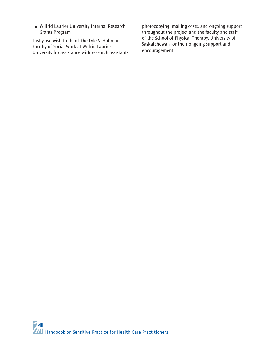Wilfrid Laurier University Internal Research Grants Program

Lastly, we wish to thank the Lyle S. Hallman Faculty of Social Work at Wilfrid Laurier University for assistance with research assistants,

photocopying, mailing costs, and ongoing support throughout the project and the faculty and staff of the School of Physical Therapy, University of Saskatchewan for their ongoing support and encouragement.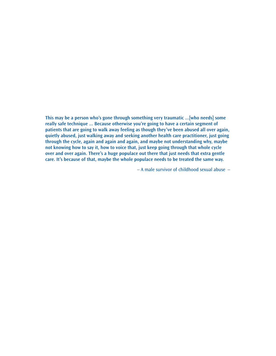**This may be a person who's gone through something very traumatic ...[who needs] some really safe technique ... Because otherwise you're going to have a certain segment of patients that are going to walk away feeling as though they've been abused all over again, quietly abused, just walking away and seeking another health care practitioner, just going through the cycle, again and again and again, and maybe not understanding why, maybe not knowing how to say it, how to voice that, just keep going through that whole cycle over and over again. There's a huge populace out there that just needs that extra gentle care. It's because of that, maybe the whole populace needs to be treated the same way.**

– A male survivor of childhood sexual abuse –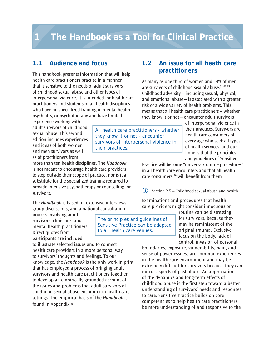#### **1.1 Audience and focus**

This handbook presents information that will help health care practitioners practise in a manner that is sensitive to the needs of adult survivors of childhood sexual abuse and other types of interpersonal violence. It is intended for health care practitioners and students of all health disciplines who have no specialized training in mental health, psychiatry, or psychotherapy and have limited

experience working with adult survivors of childhood sexual abuse. This second edition includes experiences and ideas of both women and men survivors as well as of practitioners from

more than ten health disciplines. The *Handbook* is not meant to encourage health care providers to step outside their scope of practice, nor is it a substitute for the specialized training required to provide intensive psychotherapy or counselling for survivors.

The *Handbook* is based on extensive interviews, group discussions, and a national consultation

process involving adult survivors, clinicians, and mental health practitioners. Direct quotes from participants are included

to illustrate selected issues and to connect health care providers in a more personal way to survivors' thoughts and feelings. To our knowledge, the *Handbook* is the only work in print that has employed a process of bringing adult survivors and health care practitioners together to develop an empirically grounded account of the issues and problems that adult survivors of childhood sexual abuse encounter in health care settings. The empirical basis of the *Handbook* is found in Appendix A.

All health care practitioners - whether they know it or not - encounter survivors of interpersonal violence in their practices.

The principles and guidelines of Sensitive Practice can be adapted

to all health care venues.

#### **1.2 An issue for all heath care practitioners**

As many as one third of women and 14% of men are survivors of childhood sexual abuse.<sup>31,62,25</sup> Childhood adversity – including sexual, physical, and emotional abuse – is associated with a greater risk of a wide variety of health problems. This means that all health care practitioners – whether they know it or not – encounter adult survivors

of interpersonal violence in their practices. Survivors are health care consumers of every age who seek all types of health services, and our hope is that the principles and guidelines of Sensitive

Practice will become "universal/routine procedures" in all health care encounters and that all health care consumers<sup>136</sup> will benefit from them.

 $\Omega$  Section 2.5 – Childhood sexual abuse and health

Examinations and procedures that health care providers might consider innocuous or

> routine can be distressing for survivors, because they may be reminiscent of the original trauma. Exclusive focus on the body, lack of control, invasion of personal

boundaries, exposure, vulnerability, pain, and sense of powerlessness are common experiences in the health care environment and may be extremely difficult for survivors because they can mirror aspects of past abuse. An appreciation of the dynamics and long-term effects of childhood abuse is the first step toward a better understanding of survivors' needs and responses to care. Sensitive Practice builds on core competencies to help health care practitioners be more understanding of and responsive to the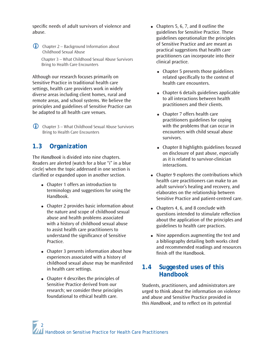specific needs of adult survivors of violence and abuse.

 $\bigcirc$  Chapter 2 – Background Information about Childhood Sexual Abuse

Chapter 3 – What Childhood Sexual Abuse Survivors Bring to Health Care Encounters

Although our research focuses primarily on Sensitive Practice in traditional health care settings, health care providers work in widely diverse areas including client homes, rural and remote areas, and school systems. We believe the principles and guidelines of Sensitive Practice can be adapted to all health care venues.

 $\bigcirc$  Chapter 3 – What Childhood Sexual Abuse Survivors Bring to Health Care Encounters

## **1.3 Organization**

The *Handbook* is divided into nine chapters. Readers are alerted (watch for a blue "i" in a blue circle) when the topic addressed in one section is clarified or expanded upon in another section.

- Chapter 1 offers an introduction to terminology and suggestions for using the Handbook.
- Chapter 2 provides basic information about the nature and scope of childhood sexual abuse and health problems associated with a history of childhood sexual abuse to assist health care practitioners to understand the significance of Sensitive Practice.
- Chapter 3 presents information about how experiences associated with a history of childhood sexual abuse may be manifested in health care settings.
- Chapter 4 describes the principles of Sensitive Practice derived from our research; we consider these principles foundational to ethical health care.
- Chapters 5, 6, 7, and 8 outline the guidelines for Sensitive Practice. These guidelines operationalize the principles of Sensitive Practice and are meant as practical suggestions that health care practitioners can incorporate into their clinical practice.
	- Chapter 5 presents those guidelines related specifically to the context of health care encounters.
	- Chapter 6 details guidelines applicable to all interactions between health practitioners and their clients.
	- Chapter 7 offers health care practitioners guidelines for coping with the problems that can occur in encounters with child sexual abuse survivors.
	- Chapter 8 highlights guidelines focused on disclosure of past abuse, especially as it is related to survivor-clinician interactions.
- Chapter 9 explores the contributions which health care practitioners can make to an adult survivor's healing and recovery, and elaborates on the relationship between Sensitive Practice and patient-centred care.
- Chapters 4, 6, and 8 conclude with questions intended to stimulate reflection about the application of the principles and guidelines to health care practices.
- Nine appendices augmenting the text and a bibliography detailing both works cited and recommended readings and resources finish off the Handbook.

## **1.4 Suggested uses of this Handbook**

Students, practitioners, and administrators are urged to think about the information on violence and abuse and Sensitive Practice provided in this *Handbook*, and to reflect on its potential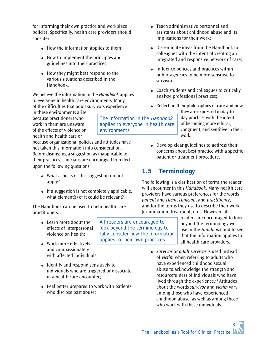for informing their own practice and workplace policies. Specifically, health care providers should consider:

- How the information applies to them;
- How to implement the principles and guidelines into their practices;
- How they might best respond to the various situations described in the Handbook.

We believe the information in the *Handbook* applies to everyone in health care environments. Many of the difficulties that adult survivors experience

in these environments arise because practitioners who work in them are unaware of the effects of violence on health and health care or

because organizational policies and attitudes have not taken this information into consideration. Before dismissing a suggestion as inapplicable to their practices, clinicians are encouraged to reflect upon the following questions:

- What aspects of this suggestion do not apply?
- $\bullet$  If a suggestion is not completely applicable, what element(s) of it could be relevant?

The Handbook can be used to help health care practitioners:

- **Learn more about the** effects of interpersonal violence on health;
- Work more effectively and compassionately with affected individuals;
- Identify and respond sensitively to individuals who are triggered or dissociate in a health care encounter;
- Feel better prepared to work with patients who disclose past abuse;

All readers are encouraged to look beyond the terminology to fully consider how the information applies to their own practices.

- Teach administrative personnel and assistants about childhood abuse and its implications for their work;
- Disseminate ideas from the Handbook to colleagues with the intent of creating an integrated and responsive network of care;
- $\bullet$  Influence policies and practices within public agencies to be more sensitive to survivors;
- Coach students and colleagues to critically analyze professional practices;
- $\bullet$  Reflect on their philosophies of care and how

they are expressed in day-today practice, with the intent of becoming more ethical, congruent, and sensitive in their work;

• Develop clear guidelines to address their concerns about best practice with a specific patient or treatment procedure.

## **1.5 Terminology**

The following is a clarification of terms the reader will encounter in this *Handbook*. Many health care providers have various preferences for the words *patient* and *client*, *clinician*, and *practitioner*, and for the terms they use to describe their work (examination, treatment, etc.). However, all

> readers are encouraged to look beyond the terminology we use in the *Handbook* and to see that the information applies to all health care providers.

 *Survivor* or *adult survivor* is used instead of *victim* when referring to adults who have experienced childhood sexual abuse to acknowledge the strength and resourcefulness of individuals who have lived through the experience.<sup>23</sup> Attitudes about the words *survivor* and *victim* vary among those who have experienced childhood abuse, as well as among those who work with these individuals.

The information in the Handbook applies to everyone in health care environments.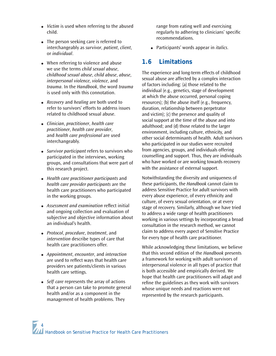- *Victim* is used when referring to the abused child.
- The person seeking care is referred to interchangeably as *survivor*, *patient*, *client*, or *individual*.
- When referring to violence and abuse we use the terms *child sexual abuse*, *childhood sexual abuse*, *child abuse*, *abuse*, *interpersonal violence*, *violence*, and *trauma*. In the *Handbook*, the word *trauma* is used only with this connotation.
- *Recovery* and *healing* are both used to refer to survivors' efforts to address issues related to childhood sexual abuse.
- *Clinician*, *practitioner*, *health care practitioner*, *health care provider*, and *health care professional* are used interchangeably.
- *Survivor participant* refers to survivors who participated in the interviews, working groups, and consultations that were part of this research project.
- *Health care practitioner participants* and *health care provider participants* are the health care practitioners who participated in the working groups.
- Assessment and examination reflect initial and ongoing collection and evaluation of subjective and objective information about an individual's health.
- *Protocol*, *procedure*, *treatment*, and *intervention* describe types of care that health care practitioners offer.
- *Appointment*, *encounter*, and *interaction* are used to reflect ways that health care providers see patients/clients in various health care settings.
- *Self care* represents the array of actions that a person can take to promote general health and/or as a component in the management of health problems. They

range from eating well and exercising regularly to adhering to clinicians' specific recommendations.

Participants' words appear in *italics*.

#### **1.6 Limitations**

The experience and long-term effects of childhood sexual abuse are affected by a complex interaction of factors including: (a) those related to the individual (e.g., genetics, stage of development at which the abuse occurred, personal coping resources); (b) the abuse itself (e.g., frequency, duration, relationship between perpetrator and victim); (c) the presence and quality of social support at the time of the abuse and into adulthood; and (d) those related to the larger environment, including culture, ethnicity, and other social determinants of health. Adult survivors who participated in our studies were recruited from agencies, groups, and individuals offering counselling and support. Thus, they are individuals who have worked or are working towards recovery with the assistance of external support.

Notwithstanding the diversity and uniqueness of these participants, the *Handbook* cannot claim to address Sensitive Practice for adult survivors with every abuse experience, of every ethnicity and culture, of every sexual orientation, or at every stage of recovery. Similarly, although we have tried to address a wide range of health practitioners working in various settings by incorporating a broad consultation in the research method, we cannot claim to address every aspect of Sensitive Practice for every type of health care practitioner.

While acknowledging these limitations, we believe that this second edition of the *Handbook* presents a framework for working with adult survivors of interpersonal violence in all types of practice that is both accessible and empirically derived. We hope that health care practitioners will adapt and refine the guidelines as they work with survivors whose unique needs and reactions were not represented by the research participants.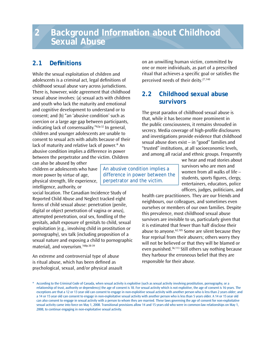## 2.1 Definitions

While the sexual exploitation of children and adolescents is a criminal act, legal definitions of childhood sexual abuse vary across jurisdictions. There is, however, wide agreement that childhood sexual abuse involves: (a) sexual acts with children and youth who lack the maturity and emotional and cognitive development to understand or to consent; and (b) "an 'abusive condition' such as coercion or a large age gap between participants, indicating lack of consensuality."62p.32 In general, children and younger adolescents are unable to consent to sexual acts with adults because of their lack of maturity and relative lack of power.\* An abusive condition implies a difference in power between the perpetrator and the victim. Children

can also be abused by other children or adolescents who have more power by virtue of age, physical strength, life experience, intelligence, authority, or

social location. The Canadian Incidence Study of Reported Child Abuse and Neglect tracked eight forms of child sexual abuse: penetration (penile, digital or object penetration of vagina or anus), attempted penetration, oral sex, fondling of the genitals, adult exposure of genitals to child, sexual exploitation (e.g., involving child in prostitution or pornography), sex talk (including proposition of a sexual nature and exposing a child to pornographic material), and voyeurism.168p.38-39

An extreme and controversial type of abuse is ritual abuse, which has been defined as psychological, sexual, and/or physical assault on an unwilling human victim, committed by one or more individuals, as part of a prescribed ritual that achieves a specific goal or satisfies the perceived needs of their deity.27,140

## **2.2 Childhood sexual abuse survivors**

The great paradox of childhood sexual abuse is that, while it has become more prominent in the public consciousness, it remains shrouded in secrecy. Media coverage of high-profile disclosures and investigations provide evidence that childhood sexual abuse does exist – in "good" families and "trusted" institutions, at all socioeconomic levels, and among all racial and ethnic groups. Frequently

> we hear and read stories about survivors who are men and women from all walks of life – students, sports figures, clergy, entertainers, educators, police officers, judges, politicians, and

health care practitioners. They are our friends and neighbours, our colleagues, and sometimes even ourselves or members of our own families. Despite this prevalence, most childhood sexual abuse survivors are invisible to us, particularly given that it is estimated that fewer than half disclose their abuse to anyone. $62,105$  Some are silent because they fear reprisal from their abusers; others worry they will not be believed or that they will be blamed or even punished.56,113 Still others say nothing because they harbour the erroneous belief that they are responsible for their abuse.

An abusive condition implies a difference in power between the perpetrator and the victim.

<sup>\*</sup> According to the Criminal Code of Canada, when sexual activity is exploitive (such as sexual activity involving prostitution, pornography, or a relationship of trust, authority or dependency) the age of consent is 18. For sexual activity which is not exploitive, the age of consent is 16 years. The exceptions are that a 12 or 13 year old can consent to engage in non-exploitive sexual activity with another person who is less than 2 years older; and a 14 or 15 year old can consent to engage in non-exploitative sexual activity with another person who is less than 5 years older. A 14 or 15 year old can also consent to engage in sexual activity with a person to whom they are married. These laws governing the age of consent for non-exploitative sexual activity came into force on May 1, 2008. Transitional provisions allow 14 and 15 years old who were in common-law relationships on May 1, 2008, to continue engaging in non-exploitative sexual activity.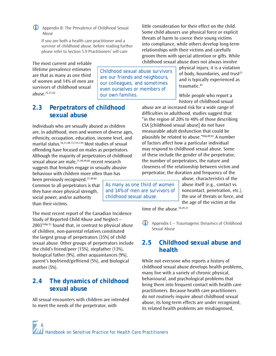**C** Appendix B: The Prevalence of Childhood Sexual Abuse

If you are both a health care practitioner and a survivor of childhood abuse, before reading further please refer to Section 5.9 Practitioners' self-care

The most current and reliable lifetime prevalence estimates are that as many as one third of women and 14% of men are survivors of childhood sexual abuse.25,31,62

Childhood sexual abuse survivors are our friends and neighbours, our colleagues, and sometimes even ourselves or members of our own families.

#### **2.3 Perpetrators of childhood sexual abuse**

Individuals who are sexually abused as children are, in adulthood, men and women of diverse ages, ethnicity, occupation, education, income level, and marital status.16,31,48,73,114,139 Most studies of sexual offending have focused on males as perpetrators. Although the majority of perpetrators of childhood sexual abuse are male, 31,48,49,60 recent research suggests that females engage in sexually abusive behaviour with children more often than has

been previously recognized.31,48,60 Common to all perpetrators is that they have more physical strength, social power, and/or authority than their victims.

The most recent report of the Canadian Incidence Study of Reported Child Abuse and Neglect – 2003168p.53 found that, in contrast to physical abuse of children, non-parental relatives constituted the largest group of perpetrators (35%) of child sexual abuse. Other groups of perpetrators include the child's friend/peer (15%), stepfather (13%), biological father (9%), other acquaintances (9%), parent's boyfriend/girlfriend (5%), and biological mother (5%).

## **2.4 The dynamics of childhood sexual abuse**

All sexual encounters with children are intended to meet the needs of the perpetrator, with

little consideration for their effect on the child. Some child abusers use physical force or explicit threats of harm to coerce their young victims into compliance, while others develop long-term relationships with their victims and carefully groom them with special attention or gifts. While childhood sexual abuse does not always involve

> physical injury, it is a violation of body, boundaries, and trust $23$ and is typically experienced as traumatic.<sup>81</sup>

While people who report a history of childhood sexual

abuse are at increased risk for a wide range of difficulties in adulthood, studies suggest that "in the region of 20% to 40% of those describing CSA [childhood sexual abuse] do not have measurable adult dysfunction that could be plausibly be related to abuse."60p.89,61 A number of factors affect how a particular individual may respond to childhood sexual abuse. Some of these include the gender of the perpetrator, the number of perpetrators, the nature and closeness of the relationship between victim and perpetrator, the duration and frequency of the

abuse, characteristics of the abuse itself (e.g., contact vs. noncontact, penetration, etc.), the use of threats or force, and the age of the victim at the

time of the abuse.<sup>18,29,31</sup>

 $\bigcirc$  Appendix C – Traumagenic Dynamics of Childhood Sexual Abuse

#### **2.5 Childhood sexual abuse and health**

While not everyone who reports a history of childhood sexual abuse develops health problems, many live with a variety of chronic physical, behavioural, and psychological problems that bring them into frequent contact with health care practitioners. Because health care practitioners do not routinely inquire about childhood sexual abuse, its long-term effects are under recognized, its related health problems are misdiagnosed,

#### As many as one third of women and 14% of men are survivors of childhood sexual abuse.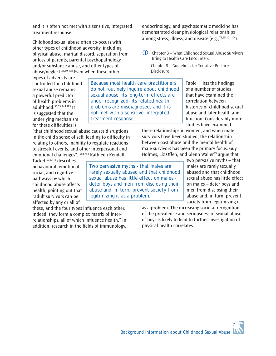and it is often not met with a sensitive, integrated treatment response.

Childhood sexual abuse often co-occurs with other types of childhood adversity, including physical abuse, marital discord, separation from or loss of parents, parental psychopathology and/or substance abuse, and other types of abuse/neglect.31,60,108 Even when these other

types of adversity are controlled for, childhood sexual abuse remains a powerful predictor of health problems in adulthood.30,33,145,183 It is suggested that the underlying mechanism for these difficulties is

"that childhood sexual abuse causes disruptions in the child's sense of self, leading to difficulty in relating to others, inability to regulate reactions to stressful events, and other interpersonal and emotional challenges".108p.753 Kathleen Kendall-

Tackett<sup>93p.716</sup> describes behavioural, emotional, social, and cognitive pathways by which childhood abuse affects health, pointing out that "adult survivors can be affected by any or all of

these, and the four types influence each other. Indeed, they form a complex matrix of interrelationships, all of which influence health." In addition, research in the fields of immunology,

endocrinology, and psychosomatic medicine has demonstrated clear physiological relationships among stress, illness, and disease (e.g.,<sup>71,95,101,104</sup>).

 $\bigcirc$  Chapter 3 – What Childhood Sexual Abuse Survivors Bring to Health Care Encounters Chapter 8 – Guidelines for Sensitive Practice: **Disclosure** 

Because most health care practitioners do not routinely inquire about childhood sexual abuse, its long-term effects are under recognized, its related health problems are misdiagnosed, and it is not met with a sensitive, integrated treatment response.

Two pervasive myths - that males are

sexual abuse has little effect on males -

abuse and, in turn, prevent society from

legitimizing it as a problem.

of a number of studies that have examined the correlation between histories of childhood sexual abuse and later health and function. Considerably more studies have examined

Table 1 lists the findings

these relationships in women, and when male survivors have been studied, the relationship between past abuse and the mental health of male survivors has been the primary focus. Guy Holmes, Liz Offen, and Glenn Waller<sup>85</sup> argue that

two pervasive myths – that males are rarely sexually abused and that childhood sexual abuse has little effect on males – deter boys and men from disclosing their abuse and, in turn, prevent society from legitimizing it rarely sexually abused and that childhood deter boys and men from disclosing their

> as a problem. The increasing societal recognition of the prevalence and seriousness of sexual abuse of boys is likely to lead to further investigation of physical health correlates.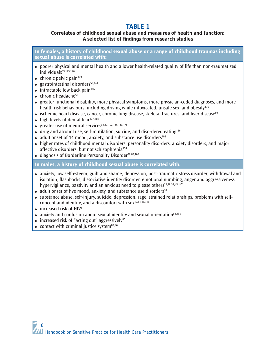## **TABLE 1**

#### **Correlates of childhood sexual abuse and measures of health and function:** A selected list of findings from research studies

**In females, a history of childhood sexual abuse or a range of childhood traumas including** 

**sexual abuse is correlated with:** poorer physical and mental health and a lower health-related quality of life than non-traumatized individuals<sup>59,145,176</sup>  $\bullet$  chronic pelvic pain<sup>129</sup>  $\bullet$  gastrointestinal disorders<sup>53,141</sup>  $\bullet$  intractable low back pain<sup>146</sup>  $\bullet$  chronic headache<sup>58</sup> greater functional disability, more physical symptoms, more physician-coded diagnoses, and more health risk behaviours, including driving while intoxicated, unsafe sex, and obesity<sup>176</sup>  $\bullet$  ischemic heart disease, cancer, chronic lung disease, skeletal fractures, and liver disease<sup>59</sup>  $\bullet$  high levels of dental fear<sup>177,185</sup>  $\bullet$  greater use of medical services<sup>35,87,102,116,150,178</sup>  $\bullet$  drug and alcohol use, self-mutilation, suicide, and disordered eating<sup>156</sup> • adult onset of 14 mood, anxiety, and substance use disorders<sup>108</sup> higher rates of childhood mental disorders, personality disorders, anxiety disorders, and major affective disorders, but not schizophrenia<sup>154</sup>  $\bullet$  diagnosis of Borderline Personality Disorder<sup>79,82,100</sup> **In males, a history of childhood sexual abuse is correlated with:**

- anxiety, low self-esteem, guilt and shame, depression, post-traumatic stress disorder, withdrawal and isolation, flashbacks, dissociative identity disorder, emotional numbing, anger and aggressiveness, hypervigilance, passivity and an anxious need to please others<sup>22,28,32,45,147</sup>
- adult onset of five mood, anxiety, and substance use disorders<sup>108</sup>
- substance abuse, self-injury, suicide, depression, rage, strained relationships, problems with selfconcept and identity, and a discomfort with sex<sup>49,54,133,161</sup>
- $\bullet$  increased risk of HIV<sup>5</sup>
- anxiety and confusion about sexual identity and sexual orientation<sup>85,133</sup>
- $\bullet$  increased risk of "acting out" aggressively<sup>85</sup>
- $\bullet$  contact with criminal justice system $85,96$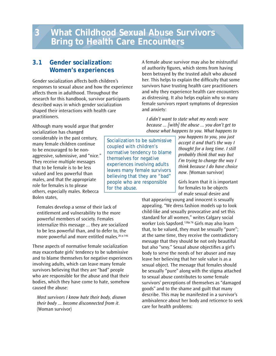## **3.1 Gender socialization: Women's experiences**

Gender socialization affects both children's responses to sexual abuse and how the experience affects them in adulthood. Throughout the research for this handbook, survivor participants described ways in which gender socialization shaped their interactions with health care practitioners.

Although many would argue that gender socialization has changed

considerably in the past century, many female children continue to be encouraged to be nonaggressive, submissive, and "nice." They receive multiple messages that to be female is to be less valued and less powerful than males, and that the appropriate role for females is to please others, especially males. Rebecca Bolen states,

Females develop a sense of their lack of entitlement and vulnerability to the more powerful members of society. Females internalize this message ... they are socialized to be less powerful than, and to defer to, the more powerful and more entitled males.<sup>26 p.146</sup>

These aspects of normative female socialization may exacerbate girls' tendency to be submissive and to blame themselves for negative experiences involving adults, which can leave many female survivors believing that they are "bad" people who are responsible for the abuse and that their bodies, which they have come to hate, somehow caused the abuse:

*Most survivors I know hate their body, disown their body ... become disconnected from it*. (Woman survivor)

A female abuse survivor may also be mistrustful of authority figures, which stems from having been betrayed by the trusted adult who abused her. This helps to explain the difficulty that some survivors have trusting health care practitioners and why they experience health care encounters as distressing. It also helps explain why so many female survivors report symptoms of depression and anxiety:

*I didn't want to state what my needs were because ... [with] the abuse ... you don't get to choose what happens to you. What happens to* 

Socialization to be submissive coupled with children's normative tendency to blame themselves for negative experiences involving adults leaves many female survivors believing that they are "bad" people who are responsible for the abuse.

*you happens to you, you just accept it and that's the way I thought for a long time. I still probably think that way but I'm trying to change the way I think because I do have choice now*. (Woman survivor)

Girls learn that it is important for females to be objects of male sexual desire and

that appearing young and innocent is sexually appealing. "We dress fashion models up to look child-like and sexually provocative and set this standard for all women," writes Calgary social worker Lois Sapsford.138p.76 Girls may also learn that, to be valued, they must be sexually "pure"; at the same time, they receive the contradictory message that they should be not only beautiful but also "sexy." Sexual abuse objectifies a girl's body to serve the needs of her abuser and may leave her believing that her sole value is as a sexual object. The message that females should be sexually "pure" along with the stigma attached to sexual abuse contributes to some female survivors' perceptions of themselves as "damaged goods" and to the shame and guilt that many describe. This may be manifested in a survivor's ambivalence about her body and reticence to seek care for health problems: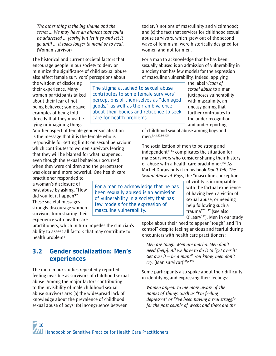*The other thing is the big shame and the secret ... We may have an ailment that could be addressed ... [early] but let it go and let it go until ... it takes longer to mend or to heal*. (Woman survivor)

The historical and current societal factors that encourage people in our society to deny or minimize the significance of child sexual abuse also affect female survivors' perceptions about

the wisdom of disclosing their experience. Many women participants talked about their fear of not being believed; some gave examples of being told directly that they must be lying or imagining things.

Another aspect of female gender socialization is the message that it is the female who is responsible for setting limits on sexual behaviour, which contributes to women survivors fearing that they will be blamed for what happened, even though the sexual behaviour occurred when they were children and the perpetrator was older and more powerful. One health care

practitioner responded to a woman's disclosure of past abuse by asking, "How did you let it happen?" These societal messages strongly discourage women survivors from sharing their experience with health care

practitioners, which in turn impedes the clinician's ability to assess all factors that may contribute to health problems.

#### **3.2 Gender socialization: Men's experiences**

The men in our studies repeatedly reported feeling invisible as survivors of childhood sexual abuse. Among the major factors contributing to the invisibility of male childhood sexual abuse survivors are: (a) the widespread lack of knowledge about the prevalence of childhood sexual abuse of boys; (b) incongruence between

society's notions of masculinity and victimhood; and (c) the fact that services for childhood sexual abuse survivors, which grew out of the second wave of feminism, were historically designed for women and not for men.

For a man to acknowledge that he has been sexually abused is an admission of vulnerability in a society that has few models for the expression of masculine vulnerability. Indeed, applying

The stigma attached to sexual abuse contributes to some female survivors' perceptions of them-selves as "damaged goods," as well as their ambivalence about their bodies and reticence to seek care for health problems.

For a man to acknowledge that he has been sexually abused is an admission of vulnerability in a society that has few models for the expression of

masculine vulnerability.

the label *victim of sexual abuse* to a man juxtaposes vulnerability with masculinity, an uneasy pairing that further contributes to the under recognition and underreporting

of childhood sexual abuse among boys and men.<sup>3,43,52,86,105</sup>

The socialization of men to be strong and independent<sup>15,85</sup> complicates the situation for male survivors who consider sharing their history of abuse with a health care practitioner.165 As Michel Dorais puts it in his book *Don't Tell: The Sexual Abuse of Boys*, the "masculine conception

> of virility is incompatible with the factual experience of having been a victim of sexual abuse, or needing help following such a trauma"52p.17 (see also O'Leary<sup>117</sup>). Men in our study

spoke about their need to appear "tough" and "in control" despite feeling anxious and fearful during encounters with health care practitioners:

*Men are tough. Men are macho. Men don't need [help]. All we have to do is to "get over it! Get over it – be a man!" You know, men don't cry*. (Man survivor)167p.509

Some participants also spoke about their difficulty in identifying and expressing their feelings:

*Women appear to me more aware of the names of things. Such as "I'm feeling depressed" or "I've been having a real struggle for the past couple of weeks and these are the*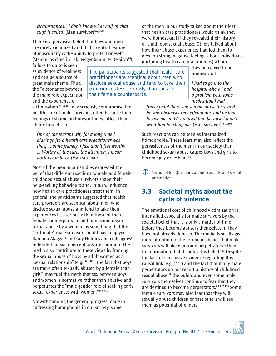*circumstances." I don't know what half of that*  stuff is called. (Man survivor)<sup>167p.510</sup>

There is a pervasive belief that boys and men are rarely victimized and that a central feature of masculinity is the ability to protect oneself (Mendel as cited in Lab, Feigenbaum,  $\&$  De Silva<sup>96</sup>);

> The participants suggested that health care practitioners are sceptical about men who disclose sexual abuse and tend to take their experiences less seriously than those of

their female counterparts.

failure to do so is seen as evidence of weakness and can be a source of great male shame. Thus, the "dissonance between the male role expectation and the experience of

victimisation"117p.83 may seriously compromise the health care of male survivors, often because their feelings of shame and unworthiness affect their ability to seek care:

*One of the reasons why for a long time I didn't go [to a health care practitioner was that] ... quite frankly, I just didn't feel worthy ... Worthy of the care, the attention. I mean doctors are busy*. (Man survivor)

Most of the men in our studies expressed the belief that different reactions to male and female childhood sexual abuse survivors shape their help-seeking behaviours and, in turn, influence how health care practitioners treat them. In general, the participants suggested that health care providers are sceptical about men who disclose sexual abuse and tend to take their experiences less seriously than those of their female counterparts. In addition, some regard sexual abuse by a woman as something that the "fortunate" male survivor should have enjoyed. Ramona Alaggia<sup>3</sup> and Guy Holmes and colleagues $85$ reiterate that such perceptions are common. The media also contribute to these views by framing the sexual abuse of boys by adult women as a "sexual relationship" (e.g.,  $36,149$ ). The fact that boys are more often sexually abused by a female than  $girls<sup>31</sup>$  may fuel the myth that sex between boys and women is normative rather than abusive and perpetuates the "male gender role of seeking early sexual experiences with women."15p.225

Notwithstanding the general progress made in addressing homophobia in our society, some

of the men in our study talked about their fear that health care practitioners would think they were homosexual if they revealed their history of childhood sexual abuse. Others talked about how their abuse experiences had led them to develop strong negative feelings about individuals (including health care practitioners) whom

they perceived to be homosexual:

*I had to go into the hospital where I had a problem with some medication I had* 

*[taken] and there was a male nurse there and he was obviously very effeminate, and he had to give me an IV, I refused him because I didn't want him touching me.* (Man survivor)<sup>167p.506</sup>

Such reactions can be seen as internalized homophobia. These fears may also reflect the pervasiveness of the myth in our society that childhood sexual abuse causes boys and girls to become gay or lesbian.132

 $\binom{1}{k}$  Section 3.6 – Questions about sexuality and sexual orientation

## **3.3 Societal myths about the cycle of violence**

The emotional cost of childhood victimization is intensified especially for male survivors by the societal belief that it is only a matter of time before they become abusers themselves, if they have not already done so. The media typically give more attention to the erroneous belief that male survivors will likely become perpetrators $43$  than to information that disputes this belief.117 Despite the lack of conclusive evidence regarding this causal link (e.g.,  $68,137$ ) and the fact that many male perpetrators do not report a history of childhood sexual abuse,<sup>99</sup> the public and even some male survivors themselves continue to fear that they are destined to become perpetrators.<sup>85,117,133</sup> Some female survivors may also fear that they will sexually abuse children or that others will see them as potential offenders.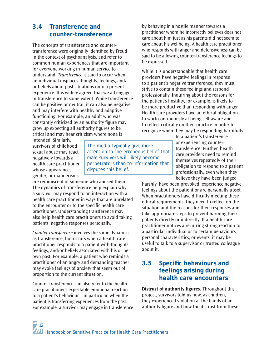## **3.4 Transference and counter-transference**

The concepts of transference and countertransference were originally identified by Freud in the context of psychoanalysis, and refer to common human experiences that are important for everyone working in human service to understand. *Transference* is said to occur when an individual displaces thoughts, feelings, and/ or beliefs about past situations onto a present experience. It is widely agreed that we all engage in transference to some extent. While transference can be positive or neutral, it can also be negative and may interfere with healthy and adaptive functioning. For example, an adult who was constantly criticized by an authority figure may grow up expecting all authority figures to be critical and may hear criticism where none is

intended. Similarly, survivors of childhood sexual abuse may react negatively towards a health care practitioner whose appearance, gender, or mannerisms

are reminiscent of someone who abused them. The dynamics of transference help explain why a survivor may respond to an interaction with a health care practitioner in ways that are unrelated to the encounter or to the specific health care practitioner. Understanding transference may also help health care practitioners to avoid taking patients' negative responses personally.

*Counter-transference* involves the same dynamics as transference, but occurs when a health care practitioner responds to a patient with thoughts, feelings, and/or beliefs associated with his or her own past. For example, a patient who reminds a practitioner of an angry and demanding teacher may evoke feelings of anxiety that seem out of proportion to the current situation.

Counter-transference can also refer to the health care practitioner's expectable emotional reaction to a patient's behaviour – in particular, when the patient is transferring experiences from the past. For example, a survivor may engage in transference

The media typically give more attention to the erroneous belief that male survivors will likely become perpetrators than to information that disputes this belief.

by behaving in a hostile manner towards a practitioner whom he incorrectly believes does not care about him just as his parents did not seem to care about his wellbeing. A health care practitioner who responds with anger and defensiveness can be said to be allowing counter-transference feelings to be expressed.

While it is understandable that health care providers have negative feelings in response to a patient's negative transference, they must strive to contain these feelings and respond professionally. Inquiring about the reasons for the patient's hostility, for example, is likely to be more productive than responding with anger. Health care providers have an ethical obligation to work continuously at being self-aware and to reflect critically on their practice in order to recognize when they may be responding harmfully

> to a patient's transference or experiencing countertransference. Further, health care providers need to remind themselves repeatedly of their obligation to respond to a patient professionally, even when they believe they have been judged

harshly, have been provoked, experience negative feelings about the patient or are personally upset. When practitioners have difficulty meeting these ethical requirements, they need to reflect on the situation and the reasons for their responses and take appropriate steps to prevent harming their patients directly or indirectly. If a health care practitioner notices a recurring strong reaction to a particular individual or to certain behaviours, personal characteristics, or events, it may be useful to talk to a supervisor or trusted colleague about it.

## **3.5 Specific behaviours and feelings arising during health care encounters**

**Distrust of authority figures.** Throughout this project, survivors told us how, as children, they experienced violation at the hands of an authority figure and how the distrust from these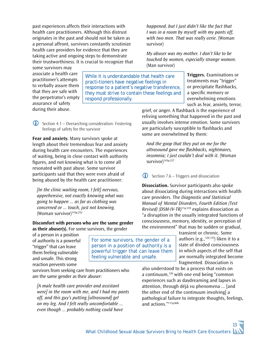past experiences affects their interactions with health care practitioners. Although this distrust originates in the past and should not be taken as a personal affront, survivors constantly scrutinize health care providers for evidence that they are taking active and ongoing steps to demonstrate their trustworthiness. It is crucial to recognize that

some survivors may associate a health care practitioner's attempts to verbally assure them that they are safe with the perpetrator's empty assurance of safety during their abuse.

While it is understandable that health care practi-tioners have negative feelings in response to a patient's negative transference, they must strive to contain these feelings and respond professionally.

*happened, but I just didn't like the fact that I was in a room by myself with my pants off, with two men. That was really eerie*. (Woman survivor)

*My abuser was my mother. I don't like to be touched by women, especially strange women*. (Man survivor)

grief, or anger. A flashback is the experience of reliving something that happened in the past and usually involves intense emotion. Some survivors are particularly susceptible to flashbacks and

*And the goop that they put on me for the ultrasound gave me fl ashbacks, nightmares, insomnia; I just couldn't deal with it*. (Woman

G Section  $7.6 - Triggers$  and dissociation

**Dissociation.** Survivor participants also spoke about dissociating during interactions with health care providers. The *Diagnostic and Statistical Manual of Mental Disorders, Fourth Edition (Text Revised) (DSM-IV-TR)*11p.519 explains dissociation as "a disruption in the usually integrated functions of consciousness, memory, identity, or perception of

some are overwhelmed by them:

survivor)<sup>143p.257</sup>

**Triggers.** Examinations or treatments may "trigger" or precipitate flashbacks, a specific memory or overwhelming emotions such as fear, anxiety, terror,

 $\bullet$  Section 4.1 – Overarching consideration: Fostering feelings of safety for the survivor

**Fear and anxiety.** Many survivors spoke at length about their tremendous fear and anxiety during health care encounters. The experiences of waiting, being in close contact with authority figures, and not knowing what is to come all resonated with past abuse. Some survivor participants said that they were even afraid of being abused by the health care practitioner:

*[In the clinic waiting room, I felt] nervous, apprehensive, not exactly knowing what was going to happen ... as far as clothing was concerned or ... touch, just not knowing*. (Woman survivor)<sup>143p.252</sup>

#### **Discomfort with persons who are the same gender as their abuser(s).** For some survivors, the gender

of a person in a position of authority is a powerful "trigger" that can leave them feeling vulnerable and unsafe. This strong reaction prevents some

survivors from seeking care from practitioners who are the same gender as their abuser:

*[A male health care provider and assistant were] in the room with me, and I had my pants off, and this guy's putting [ultrasound] gel on my leg. And I felt really uncomfortable ... even though ... probably nothing could have* 

For some survivors, the gender of a person in a position of authority is a powerful trigger that can leave them feeling vulnerable and unsafe.

the environment" that may be sudden or gradual,

transient or chronic. Some authors (e.g.,  $120,155$ ) liken it to a state of divided consciousness in which aspects of the self that are normally integrated become fragmented. Dissociation is

also understood to be a process that exists on a continuum,<sup>120</sup> with one end being "common experiences such as daydreaming and lapses in attention, through déjà vu phenomena ... [and the other end of the continuum involving] a pathological failure to integrate thoughts, feelings, and actions."111p.806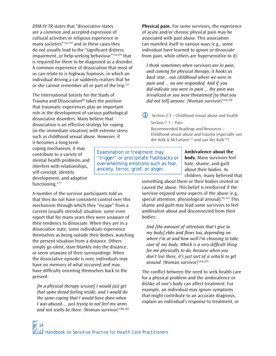*DSM-IV-TR* states that "dissociative states are a common and accepted expression of cultural activities or religious experience in many societies"<sup>11p.519</sup> and in these cases they do not usually lead to the "significant distress, impairment, or help-seeking behaviour"<sup>11p.519</sup> that is required for them to be diagnosed as a disorder. A common experience of dissociation that most of us can relate to is highway hypnosis, in which an individual driving a car suddenly realizes that he or she cannot remember all or part of the trip.<sup>121</sup>

The International Society for the Study of Trauma and Dissociation<sup>89</sup> takes the position that traumatic experiences play an important role in the development of various pathological dissociative disorders. Many believe that dissociation is an effective strategy for coping (in the immediate situation) with extreme stress such as childhood sexual abuse. However, if

it becomes a long-term coping mechanism, it may contribute to a variety of mental health problems and interfere with relationships, self-concept, identity development, and adaptive functioning.4,77

A number of the survivor participants told us that they do not have consistent control over this mechanism through which they "escape" from a current (usually stressful) situation; some even report that for many years they were unaware of their tendency to dissociate. When they are in a dissociative state, some individuals experience themselves as being outside their bodies, watching the present situation from a distance. Others simply go silent, stare blankly into the distance, or seem unaware of their surroundings. When the dissociative episode is over, individuals may have no memory of what occurred and may have difficulty orienting themselves back to the present:

*[In a physical therapy session] I would just get that same dread feeling inside, and I would do the same coping that I would have done when I was abused ... just trying to not feel my arms*  and not really be there. (Woman survivor)<sup>158p.182</sup>

**Physical pain.** For some survivors, the experience of acute and/or chronic physical pain may be associated with past abuse. This association can manifest itself in various ways (e.g., some individual have learned to ignore or dissociate from pain, while others are hypersensitive to it):

*I think sometimes when survivors are in pain, and coming for physical therapy, it hooks us back into…our childhood where we were in pain and ... no one responded. And if you did indicate you were in pain ... the pain was trivialized or you were threatened [so that you*  did not tell] anyone. (Woman survivor)<sup>143p.256</sup>

 $\Omega$  Section 2.5 – Childhood sexual abuse and health

Section 7.1 – Pain

Recommended Readings and Resources – Childhood sexual abuse and trauma (especially van der Kolk & McFarlane<sup>172</sup> and van der Kolk<sup>170</sup>)

Examination or treatment may "trigger" or precipitate flashbacks or overwhelming emotions such as fear, anxiety, terror, grief, or anger.

**Ambivalence about the body.** Many survivors feel hate, shame, and guilt about their bodies. As children, many believed that

something about them or their bodies invited or caused the abuse. This belief is reinforced if the survivor enjoyed some aspects of the abuse (e.g., special attention, physiological arousal).<sup>85,133</sup> This shame and guilt may lead some survivors to feel ambivalent about and disconnected from their bodies:

*And [the amount of attention that I give to my body] ebbs and flows too, depending on where I'm at and how well I'm choosing to take care of my body. Which is a very difficult thing for me physically to do, because when you don't live there, it's just sort of a vehicle to get*  around. (Woman survivor)<sup>143p.255</sup>

The conflict between the need to seek health care for a physical problem and the ambivalence or dislike of one's body can affect treatment. For example, an individual may ignore symptoms that might contribute to an accurate diagnosis, explain an individual's response to treatment, or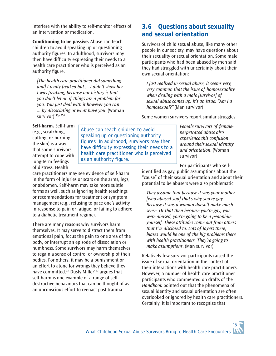interfere with the ability to self-monitor effects of an intervention or medication.

**Conditioning to be passive.** Abuse can teach children to avoid speaking up or questioning authority figures. In adulthood, survivors may then have difficulty expressing their needs to a health care practitioner who is perceived as an authority figure.

*[The health care practitioner did something and] I really freaked but ... I didn't show her I was freaking, because our history is that you don't let on if things are a problem for you. You just deal with it however you can ... by dissociating or what have you*. (Woman survivor)<sup>143p.254</sup>

## **3.6 Questions about sexuality and sexual orientation**

Survivors of child sexual abuse, like many other people in our society, may have questions about their sexuality or sexual orientation. Some male participants who had been abused by men said they had struggled with uncertainty about their own sexual orientation:

*I just realized in sexual abuse, it seems very, very common that the issue of homosexuality when dealing with a male [survivor] of sexual abuse comes up. It's an issue: "Am I a homosexual?"* (Man survivor)

Some women survivors report similar struggles:

**Self-harm.** Self-harm (e.g., scratching, cutting, or burning the skin) is a way that some survivors attempt to cope with long-term feelings of distress. Health

Abuse can teach children to avoid speaking up or questioning authority figures. In adulthood, survivors may then have difficulty expressing their needs to a health care practitioner who is perceived as an authority figure.

care practitioners may see evidence of self-harm in the form of injuries or scars on the arms, legs, or abdomen. Self-harm may take more subtle forms as well, such as ignoring health teachings or recommendations for treatment or symptom management (e.g., refusing to pace one's activity in response to pain or fatigue, or failing to adhere to a diabetic treatment regime).

There are many reasons why survivors harm themselves. It may serve to distract them from emotional pain, focus the pain to one area of the body, or interrupt an episode of dissociation or numbness. Some survivors may harm themselves to regain a sense of control or ownership of their bodies. For others, it may be a punishment or an effort to atone for wrongs they believe they have committed.<sup>47</sup> Dusty Miller<sup>107</sup> argues that self-harm is one example of a range of selfdestructive behaviours that can be thought of as an unconscious effort to reenact past trauma.

*Female survivors of femaleperpetrated abuse also experience this confusion around their sexual identity and orientation*. (Woman survivor)

For participants who self-

identified as gay, public assumptions about the "cause" of their sexual orientation and about their potential to be abusers were also problematic:

*They assume that because it was your mother [who abused you] that's why you're gay. Because it was a woman doesn't make much sense. Or that then because you're gay, you were abused, you're going to be a pedophile yourself. These attitudes come out from others that I've disclosed to. Lots of layers there; biases would be one of the big problems there with health practitioners. They're going to make assumptions*. (Man survivor)

Relatively few survivor participants raised the issue of sexual orientation in the context of their interactions with health care practitioners. However, a number of health care practitioner participants who commented on drafts of the *Handbook* pointed out that the phenomena of sexual identity and sexual orientation are often overlooked or ignored by health care practitioners. Certainly, it is important to recognize that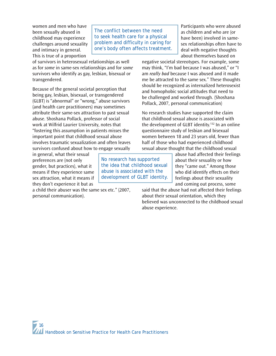women and men who have been sexually abused in childhood may experience challenges around sexuality and intimacy in general. This is true of a proportion

of survivors in heterosexual relationships as well as for *some* in same-sex relationships and for *some* survivors who identify as gay, lesbian, bisexual or transgendered.

Because of the general societal perception that being gay, lesbian, bisexual, or transgendered (GLBT) is "abnormal" or "wrong," abuse survivors (and health care practitioners) may sometimes attribute their same-sex attraction to past sexual abuse. Shoshana Pollack, professor of social work at Wilfrid Laurier University, notes that "fostering this assumption in patients misses the important point that childhood sexual abuse involves traumatic sexualization and often leaves survivors confused about how to engage sexually

in general, what their sexual preferences are (not only gender, but practices), what it means if they experience same sex attraction, what it means if they don't experience it but as

a child their abuser was the same sex etc." (2007, personal communication).

The conflict between the need to seek health care for a physical problem and difficulty in caring for one's body often affects treatment.

No research has supported the idea that childhood sexual abuse is associated with the development of GLBT identity.

Participants who were abused as children and who are (or have been) involved in samesex relationships often have to deal with negative thoughts about themselves based on

negative societal stereotypes. For example, some may think, "I'm bad because I was abused," or "I am *really bad* because I was abused and it made me be attracted to the same sex." These thoughts should be recognized as internalized heterosexist and homophobic social attitudes that need to be challenged and worked through. (Shoshana Pollack, 2007, personal communication)

No research studies have supported the claim that childhood sexual abuse is associated with the development of GLBT identity.132 In an online questionnaire study of lesbian and bisexual women between 18 and 23 years old, fewer than half of those who had experienced childhood sexual abuse thought that the childhood sexual

> abuse had affected their feelings about their sexuality or how they "came out." Among those who did identify effects on their feelings about their sexuality and coming out process, some

said that the abuse had not affected their feelings about their sexual orientation, which they believed was unconnected to the childhood sexual abuse experience.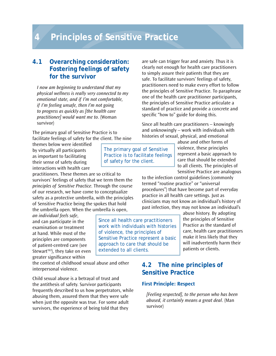#### **4.1 Overarching consideration: Fostering feelings of safety for the survivor**

*I now am beginning to understand that my physical wellness is really very connected to my emotional state, and if I'm not comfortable, if I'm feeling unsafe, then I'm not going to progress as quickly as [the health care practitioner] would want me to*. (Woman survivor)

The primary goal of Sensitive Practice is to facilitate feelings of safety for the client. The nine

themes below were identified by virtually all participants as important to facilitating their sense of safety during interactions with health care

practitioners. These themes are so critical to survivors' feelings of safety that we term them the *principles of Sensitive Practice*. Through the course of our research, we have come to conceptualize safety as a protective umbrella, with the principles of Sensitive Practice being the spokes that hold the umbrella open. When the umbrella is open,

*an individual feels safe*, and can participate in the examination or treatment at hand. While most of the principles are components of patient-centred care (see Stewart<sup>163</sup>), they take on even greater significance within

the context of childhood sexual abuse and other interpersonal violence.

Child sexual abuse is a betrayal of trust and the antithesis of safety. Survivor participants frequently described to us how perpetrators, while abusing them, assured them that they were safe when just the opposite was true. For some adult survivors, the experience of being told that they

The primary goal of Sensitive Practice is to facilitate feelings of safety for the client.

Since all health care practitioners work with individuals with histories

Sensitive Practice represent a basic approach to care that should be

of violence, the principles of

extended to all clients.

are safe can trigger fear and anxiety. Thus it is clearly not enough for health care practitioners to simply assure their patients that they are safe. To facilitate survivors' feelings of safety, practitioners need to make every effort to follow the principles of Sensitive Practice. To paraphrase one of the health care practitioner participants, the principles of Sensitive Practice articulate a standard of practice and provide a concrete and specific "how to" guide for doing this.

Since all health care practitioners – knowingly and unknowingly – work with individuals with histories of sexual, physical, and emotional

> abuse and other forms of violence, these principles represent a basic approach to care that should be extended to all clients. The principles of Sensitive Practice are analogous

to the infection control guidelines (commonly termed "routine practice" or "universal procedures") that have become part of everyday practice in all health care settings. Just as clinicians may not know an individual's history of past infection, they may not know an individual's

> abuse history. By adopting the principles of Sensitive Practice as the standard of care, health care practitioners make it less likely that they will inadvertently harm their patients or clients.

#### **4.2 The nine principles of Sensitive Practice**

#### **First Principle: Respect**

*[Feeling respected], to the person who has been abused, it certainly means a great deal*. (Man survivor)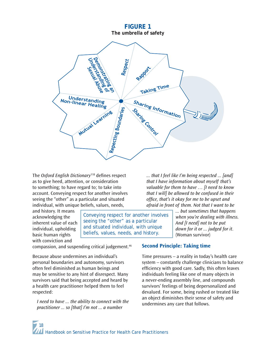

The *Oxford English Dictionary*<sup>118</sup> defines respect as to give heed, attention, or consideration to something; to have regard to; to take into account. Conveying respect for another involves seeing the "other" as a particular and situated individual, with unique beliefs, values, needs,

and history. It means acknowledging the inherent value of each individual, upholding basic human rights with conviction and

Conveying respect for another involves seeing the "other" as a particular and situated individual, with unique beliefs, values, needs, and history.

compassion, and suspending critical judgement.46

Because abuse undermines an individual's personal boundaries and autonomy, survivors often feel diminished as human beings and may be sensitive to any hint of disrespect. Many survivors said that being accepted and heard by a health care practitioner helped them to feel respected:

*I need to have ... the ability to connect with the practitioner ... so [that] I'm not ... a number* 

*... that I feel like I'm being respected ... [and] that I have information about myself that's valuable for them to have … [I need to know that I will] be allowed to be confused in their offi ce, that's it okay for me to be upset and afraid in front of them. Not that I want to be* 

> *... but sometimes that happens when you're dealing with illness. And [I need] not to be put down for it or ... judged for it*. (Woman survivor)

#### **Second Principle: Taking time**

Time pressures – a reality in today's health care system – constantly challenge clinicians to balance efficiency with good care. Sadly, this often leaves individuals feeling like one of many objects in a never-ending assembly line, and compounds survivors' feelings of being depersonalized and devalued. For some, being rushed or treated like an object diminishes their sense of safety and undermines any care that follows.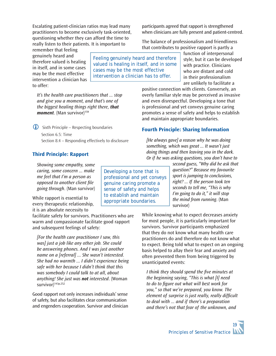Escalating patient-clinician ratios may lead many practitioners to become exclusively task-oriented, questioning whether they can afford the time to really listen to their patients. It is important to

remember that feeling genuinely heard and therefore valued is healing in itself, and in some cases may be the most effective intervention a clinician has to offer:

*It's the health care practitioners that ... stop and give you a moment, and that's one of the biggest healing things right there, that moment*. (Man survivor)<sup>159</sup>

 $\bigcirc$  Sixth Principle – Respecting boundaries Section 6.5: Time Section 8.4 – Responding effectively to disclosure

#### **Third Principle: Rapport**

*Showing some empathy, some caring, some concern ... make me feel that I'm a person as opposed to another client file going through*. (Man survivor)

While rapport is essential to every therapeutic relationship, it is an absolute necessity to

facilitate safety for survivors. Practitioners who are warm and compassionate facilitate good rapport and subsequent feelings of safety:

*[For the health care practitioner I saw, this was] just a job like any other job. She could be answering phones. And I was just another name on a [referral] ... She wasn't interested. She had no warmth ... I didn't experience being safe with her because I didn't think that this was somebody I could talk to at all, about anything! She just was not interested*. (Woman survivor)<sup>143p.252</sup>

Good rapport not only increases individuals' sense of safety, but also facilitates clear communication and engenders cooperation. Survivor and clinician

Developing a tone that is professional and yet conveys genuine caring promote a sense of safety and helps to establish and maintain appropriate boundaries.

Feeling genuinely heard and therefore valued is healing in itself, and in some cases may be the most effective intervention a clinician has to offer.

participants agreed that rapport is strengthened when clinicians are fully present and patient-centred.

The balance of professionalism and friendliness that contributes to positive rapport is partly a

> function of interpersonal style, but it can be developed with practice. Clinicians who are distant and cold in their professionalism are unlikely to facilitate a

positive connection with clients. Conversely, an overly familiar style may be perceived as invasive and even disrespectful. Developing a tone that is professional and yet conveys genuine caring promotes a sense of safety and helps to establish and maintain appropriate boundaries.

#### **Fourth Principle: Sharing Information**

*[He always gave] a reason why he was doing something, which was great ... It wasn't just doing things and then leaving you in the dark. Or if he was asking questions, you don't have to* 

> *second guess, "Why did he ask that question?" Because my favourite sport is jumping to conclusions, right? ... If the person took ten seconds to tell me, "This is why I'm going to do it," it will stop the mind from running*. (Man survivor)

While knowing what to expect decreases anxiety for most people, it is particularly important for survivors. Survivor participants emphasized that they do not know what many health care practitioners do and therefore do not know what to expect. Being told what to expect on an ongoing basis helped to allay their fear and anxiety and often prevented them from being triggered by unanticipated events:

*I think they should spend the five minutes at the beginning saying, "This is what [I] need to do to fi gure out what will best work for you," so that we're prepared, you know. The element of surprise is just really, really difficult to deal with ... and if there's a preparation and there's not that fear of the unknown, and*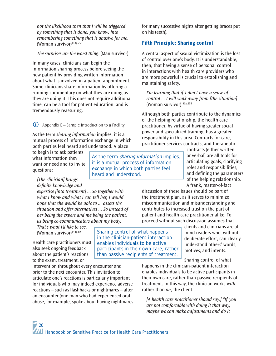*not the likelihood then that I will be triggered by something that is done, you know, into remembering something that is abusive for me*. (Woman survivor)<sup>143p.255</sup>

#### *The surprises are the worst thing*. (Man survivor)

In many cases, clinicians can begin the information sharing process before seeing the new patient by providing written information about what is involved in a patient appointment. Some clinicians share information by offering a running commentary on what they are doing as they are doing it. This does not require additional time, can be a tool for patient education, and is tremendously reassuring.

#### **(i)** Appendix  $E -$  Sample Introduction to a Facility

As the term *sharing information* implies, it is a mutual process of information exchange in which both parties feel heard and understood. A place

to begin is to ask patients what information they want or need and to invite questions:

*[The clinician] brings defi nite knowledge and* 

*expertise [into treatment] ... So together with what I know and what I can tell her, I would hope that she would be able to ... assess the situation and offer alternatives ... So instead of her being the expert and me being the patient, us being co-communicators about my body.* 

*That's what I'd like to see*. (Woman survivor) $144p.82$ 

Health care practitioners must also seek ongoing feedback about the patient's reactions to the exam, treatment, or

intervention throughout every encounter and prior to the next encounter. This invitation to articulate one's reactions is particularly important for individuals who may indeed experience adverse reactions – such as flashbacks or nightmares – after an encounter (one man who had experienced oral abuse, for example, spoke about having nightmares

As the term *sharing information* implies, it is a mutual process of information exchange in which both parties feel heard and understood.

for many successive nights after getting braces put on his teeth).

#### **Fifth Principle: Sharing control**

A central aspect of sexual victimization is the loss of control over one's body. It is understandable, then, that having a sense of personal control in interactions with health care providers who are more powerful is crucial to establishing and maintaining safety.

*I'm learning that if I don't have a sense of control ... I will walk away from [the situation]*. (Woman survivor)<sup>143p.255</sup>

Although both parties contribute to the dynamics of the helping relationship, the health care practitioner, by virtue of having greater social power and specialized training, has a greater responsibility in this area. Contracts for care, practitioner services contracts, and therapeutic

contracts (either written or verbal) are all tools for articulating goals, clarifying roles and responsibilities, and defining the parameters of the helping relationship. A frank, matter-of-fact

discussion of these issues should be part of the treatment plan, as it serves to minimize miscommunication and misunderstanding and contributes to increased trust on the part of patient and health care practitioner alike. To proceed without such discussion assumes that

> clients and clinicians are all mind readers who, without deliberate effort, can clearly understand others' words, motives, and intents.

Sharing control of what happens in the clinician-patient interaction enables individuals to be active participants in their own care, rather than passive recipients of treatment. In this way, the clinician works *with*, rather than *on*, the client:

*[A health care practitioner should say,] "If you are not comfortable with doing it that way, maybe we can make adjustments and do it* 

Sharing control of what happens in the clinician-patient interaction enables individuals to be active participants in their own care, rather than passive recipients of treatment.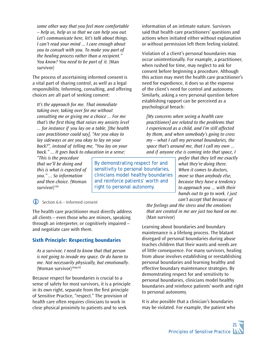*some other way that you feel more comfortable – help us, help us so that we can help you out. Let's communicate here, let's talk about things. I can't read your mind ... I care enough about you to consult with you. To make you part of the healing process rather than a recipient." You know? You need to be part of it.* (Man survivor)

The process of ascertaining informed consent is a vital part of sharing control, as well as a legal responsibility. Informing, consulting, and offering choices are all part of seeking consent:

*It's the approach for me. That immediate taking over, taking over for me without consulting me or giving me a choice ... For me that's the first thing that raises my anxiety level ... for instance if you lay on a table, [the health care practitioner could say], "Are you okay to lay sideways or are you okay to lay on your back?", instead of telling me, "You lay on your back." ... It goes back to education in a sense:* 

*"This is the procedure that we'll be doing and this is what is expected of you." ... So information and then choice*. (Woman survivor)<sup>159</sup>

By demonstrating respect for and sensitivity to personal boundaries, clinicians model healthy boundaries and reinforce patients' worth and right to personal autonomy.

information of an intimate nature. Survivors said that health care practitioners' questions and actions when initiated either without explanation or without permission left them feeling violated.

Violation of a client's personal boundaries may occur unintentionally. For example, a practitioner, when rushed for time, may neglect to ask for consent before beginning a procedure. Although this action may meet the health care practitioner's need for expedience, it does so at the expense of the client's need for control and autonomy. Similarly, asking a very personal question before establishing rapport can be perceived as a psychological breach:

*[My concerns when seeing a health care practitioner] are related to the problems that I experienced as a child, and I'm still affected by them, and when somebody's going to cross my – what I call my personal boundaries, the space that's around me, that I call my own ... and if anyone else is coming into that space, I* 

> *prefer that they tell me exactly what they're doing there. When it comes to doctors, more so than anybody else, because they have a tendency to approach you ... with their hands out to go to work. I just can't accept that because of*

#### $\bigcirc$  Section 6.6 – Informed consent

The health care practitioner must directly address all clients – even those who are minors, speaking through an interpreter, or cognitively impaired – and negotiate care with them.

#### **Sixth Principle: Respecting boundaries**

*As a survivor, I need to know that that person is not going to invade my space. Or do harm to me. Not necessarily physically, but emotionally*. (Woman survivor)<sup>164p.95</sup>

Because respect for boundaries is crucial to a sense of safety for most survivors, it is a principle in its own right, separate from the first principle of Sensitive Practice, "respect." The provision of health care often requires clinicians to work in close physical proximity to patients and to seek

*the feelings and the stress and the emotions that are created in me are just too hard on me*. (Man survivor)

Learning about boundaries and boundary maintenance is a lifelong process. The blatant disregard of personal boundaries during abuse teaches children that their wants and needs are of little consequence. For many survivors, healing from abuse involves establishing or reestablishing personal boundaries and learning healthy and effective boundary maintenance strategies. By demonstrating respect for and sensitivity to personal boundaries, clinicians model healthy boundaries and reinforce patients' worth and right to personal autonomy.

It is also possible that a clinician's boundaries may be violated. For example, the patient who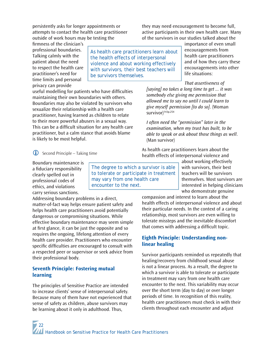persistently asks for longer appointments or attempts to contact the health care practitioner outside of work hours may be testing the

firmness of the clinician's professional boundaries. Talking calmly with the patient about the need to respect the health care practitioner's need for time limits and personal privacy can provide

As health care practitioners learn about the health effects of interpersonal violence and about working effectively with survivors, their best teachers will be survivors themselves.

The degree to which a survivor is able to tolerate or participate in treatment

may vary from one health care

encounter to the next.

useful modelling for patients who have difficulties maintaining their own boundaries with others. Boundaries may also be violated by survivors who sexualize their relationship with a health care practitioner, having learned as children to relate to their more powerful abusers in a sexual way. This can be a difficult situation for any health care practitioner, but a calm stance that avoids blame is likely to be most helpful.

 $\bigcirc$  Second Principle – Taking time

Boundary maintenance is a fiduciary responsibility clearly spelled out in professional codes of ethics, and violations carry serious sanctions.

Addressing boundary problems in a direct, matter-of-fact way helps ensure patient safety and helps health care practitioners avoid potentially dangerous or compromising situations. While effective boundary maintenance may seem simple at first glance, it can be just the opposite and so requires the ongoing, lifelong attention of every health care provider. Practitioners who encounter specific difficulties are encouraged to consult with a respected peer or supervisor or seek advice from their professional body.

#### **Seventh Principle: Fostering mutual learning**

The principles of Sensitive Practice are intended to increase clients' sense of interpersonal safety. Because many of them have not experienced that sense of safety as children, abuse survivors may be learning about it only in adulthood. Thus,

*That assertiveness of [saying] no takes a long time to get ... it was somebody else giving me permission that allowed me to say no until I could learn to give myself permission [to do so]*. (Woman

> *I often need the "permission" later in the examination, when my trust has built, to be able to speak or ask about those things as well*. (Man survivor)

As health care practitioners learn about the health effects of interpersonal violence and

> about working effectively with survivors, their best teachers will be survivors themselves. Most survivors are interested in helping clinicians who demonstrate genuine

compassion and interest to learn about the health effects of interpersonal violence and about their particular needs. In the context of a caring relationship, most survivors are even willing to tolerate missteps and the inevitable discomfort that comes with addressing a difficult topic.

#### **Eighth Principle: Understanding nonlinear healing**

Survivor participants reminded us repeatedly that healing/recovery from childhood sexual abuse is not a linear process. As a result, the degree to which a survivor is able to tolerate or participate in treatment may vary from one health care encounter to the next. This variability may occur over the short term (day to day) or over longer periods of time. In recognition of this reality, health care practitioners must check in with their clients throughout each encounter and adjust

they may need encouragement to become full, active participants in their own health care. Many of the survivors in our studies talked about the

importance of even small encouragements from health care practitioners and of how they carry these encouragements into other life situations:

survivor)<sup>143p.254</sup>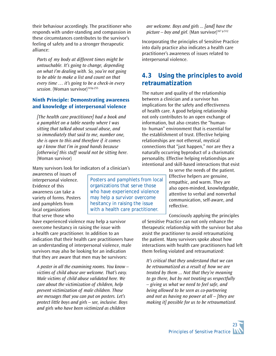their behaviour accordingly. The practitioner who responds with under-standing and compassion in these circumstances contributes to the survivor's feeling of safety and to a stronger therapeutic alliance:

*Parts of my body at different times might be untouchable. It's going to change, depending on what I'm dealing with. So, you're not going to be able to make a list and count on that every time … it's going to be a check-in every*  session. (Woman survivor)<sup>143p.255</sup>

#### **Ninth Principle: Demonstrating awareness and knowledge of interpersonal violence**

*[The health care practitioner] had a book and a pamphlet on a table nearby where I was sitting that talked about sexual abuse, and so immediately that said to me, number one, she is open to this and therefore if it comes up I know that I'm in good hands because [otherwise] this stuff would not be sitting here*. (Woman survivor)

Many survivors look for indicators of a clinician's

awareness of issues of interpersonal violence. Evidence of this awareness can take a variety of forms. Posters and pamphlets from local organizations that serve those who

Posters and pamphlets from local organizations that serve those who have experienced violence may help a survivor overcome hesitancy in raising the issue with a health care practitioner.

have experienced violence may help a survivor overcome hesitancy in raising the issue with a health care practitioner. In addition to an indication that their health care practitioners have an understanding of interpersonal violence, male survivors may also be looking for an indication that they are aware that men may be survivors:

*A poster in all the examining rooms. You know – victims of child abuse are welcome. That's easy. Male victims of child abuse validated here. We care about the victimization of children, help prevent victimization of male children. Those are messages that you can put on posters. Let's protect little boys and girls – see, inclusive. Boys and girls who have been victimized as children* 

*are welcome. Boys and girls ... [and] have the picture – boy and girl*. (Man survivor)167 p.512

Incorporating the principles of Sensitive Practice into daily practice also indicates a health care practitioner's awareness of issues related to interpersonal violence.

## **4.3 Using the principles to avoid retraumatization**

The nature and quality of the relationship between a clinician and a survivor has implications for the safety and effectiveness of health care. A good helping relationship not only contributes to an open exchange of information, but also creates the "humanto- human" environment that is essential for the establishment of trust. Effective helping relationships are not ethereal, mystical connections that "just happen," nor are they a naturally occurring byproduct of a charismatic personality. Effective helping relationships are intentional and skill-based interactions that exist

to serve the needs of the patient. Effective helpers are genuine, empathic, and warm. They are also open-minded, knowledgeable, attentive to verbal and nonverbal communication, self-aware, and reflective.

Consciously applying the principles of Sensitive Practice can not only enhance the therapeutic relationship with the survivor but also assist the practitioner to avoid retraumatizing the patient. Many survivors spoke about how interactions with health care practitioners had left them feeling violated and retraumatized:

*It's critical that they understand that we can be retraumatized as a result of how we are treated by them ... Not that they're meaning to go there, but by not treating us respectfully – giving us what we need to feel safe, and being allowed to be seen as co-partnering and not as having no power at all – [they are making it] possible for us to be retraumatized.*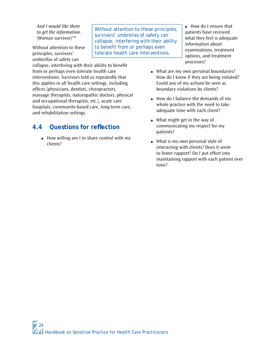*And I would like them to get the information*. (Woman survivor)159

Without attention to these principles, survivors' umbrellas of safety can

collapse, interfering with their ability to benefit from or perhaps even tolerate health care interventions. Survivors told us repeatedly that this applies in all health care settings, including offices (physicians, dentists, chiropractors, massage therapists, naturopathic doctors, physical and occupational therapists, etc.), acute care hospitals, community-based care, long-term care, and rehabilitation settings.

#### **4.4 Questions for reflection**

• How willing am I to share control with my clients?

Without attention to these principles, survivors' umbrellas of safety can collapse, interfering with their ability to benefit from or perhaps even tolerate health care interventions.

 How do I ensure that patients have received what they feel is adequate information about examinations, treatment options, and treatment processes?

- What are my own personal boundaries? How do I know if they are being violated? Could any of my actions be seen as boundary violations by clients?
- How do I balance the demands of my whole practice with the need to take adequate time with each client?
- What might get in the way of communicating my respect for my patients?
- What is my own personal style of interacting with clients? Does it seem to foster rapport? Do I put effort into maintaining rapport with each patient over time?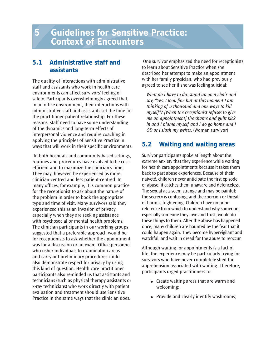## **5.1 Administrative staff and assistants**

The quality of interactions with administrative staff and assistants who work in health care environments can affect survivors' feeling of safety. Participants overwhelmingly agreed that, in an office environment, their interactions with administrative staff and assistants set the tone for the practitioner-patient relationship. For these reasons, staff need to have some understanding of the dynamics and long-term effects of interpersonal violence and require coaching in applying the principles of Sensitive Practice in ways that will work in their specific environments.

 In both hospitals and community-based settings, routines and procedures have evolved to be costefficient and to maximize the clinician's time. They may, however, be experienced as more clinician-centred and less patient-centred. In many offices, for example, it is common practice for the receptionist to ask about the nature of the problem in order to book the appropriate type and time of visit. Many survivors said they experienced this as an invasion of privacy, especially when they are seeking assistance with psychosocial or mental health problems. The clinician participants in our working groups suggested that a preferable approach would be for receptionists to ask whether the appointment was for a discussion or an exam. Office personnel who usher individuals to examination areas and carry out preliminary procedures could also demonstrate respect for privacy by using this kind of question. Health care practitioner participants also reminded us that assistants and technicians (such as physical therapy assistants or x-ray technicians) who work directly with patient evaluation and treatment should use Sensitive Practice in the same ways that the clinician does.

 One survivor emphasized the need for receptionists to learn about Sensitive Practice when she described her attempt to make an appointment with her family physician, who had previously agreed to see her if she was feeling suicidal:

*What do I have to do, stand up on a chair and*  say, "Yes, I look fine but at this moment I am *thinking of a thousand and one ways to kill myself"? [When the receptionist refuses to give me an appointment] the shame and guilt kick in and I blame myself and I do go home and I OD or I slash my wrists*. (Woman survivor)

## **5.2 Waiting and waiting areas**

Survivor participants spoke at length about the extreme anxiety that they experience while waiting for health care appointments because it takes them back to past abuse experiences. Because of their naiveté, children never anticipate the first episode of abuse; it catches them unaware and defenceless. The sexual acts seem strange and may be painful; the secrecy is confusing; and the coercion or threat of harm is frightening. Children have no prior reference from which to understand why someone, especially someone they love and trust, would do these things to them. After the abuse has happened once, many children are haunted by the fear that it could happen again. They become hypervigilant and watchful, and wait in dread for the abuse to reoccur.

Although waiting for appointments is a fact of life, the experience may be particularly trying for survivors who have never completely shed the apprehension associated with waiting. Therefore, participants urged practitioners to:

- Create waiting areas that are warm and welcoming;
- Provide and clearly identify washrooms;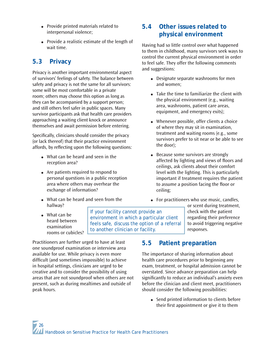- Provide printed materials related to interpersonal violence;
- Provide a realistic estimate of the length of wait time.

## **5.3 Privacy**

Privacy is another important environmental aspect of survivors' feelings of safety. The balance between safety and privacy is not the same for all survivors: some will be most comfortable in a private room; others may choose this option as long as they can be accompanied by a support person; and still others feel safer in public spaces. Many survivor participants ask that health care providers approaching a waiting client knock or announce themselves and await permission before entering.

Specifically, clinicians should consider the privacy (or lack thereof) that their practice environment affords, by reflecting upon the following questions:

- What can be heard and seen in the reception area?
- Are patients required to respond to personal questions in a public reception area where others may overhear the exchange of information?
- What can be heard and seen from the hallway?

If your facility cannot provide an

to another clinician or facility.

environment in which a particular client feels safe, discuss the option of a referral

• What can be heard between examination rooms or cubicles?

Practitioners are further urged to have at least one soundproof examination or interview area available for use. While privacy is even more difficult (and sometimes impossible) to achieve in hospital settings, clinicians are urged to be creative and to consider the possibility of using areas that are not soundproof when others are not present, such as during mealtimes and outside of peak hours.

## **5.4 Other issues related to physical environment**

Having had so little control over what happened to them in childhood, many survivors seek ways to control the current physical environment in order to feel safe. They offer the following comments and suggestions:

- Designate separate washrooms for men and women;
- Take the time to familiarize the client with the physical environment (e.g., waiting area, washrooms, patient care areas, equipment, and emergency exits);
- Whenever possible, offer clients a choice of where they may sit in examination, treatment and waiting rooms (e.g., some survivors prefer to sit near or be able to see the door);
- Because some survivors are strongly affected by lighting and views of floors and ceilings, ask clients about their comfort level with the lighting. This is particularly important if treatment requires the patient to assume a position facing the floor or ceiling;
- For practitioners who use music, candles,

or scent during treatment, check with the patient regarding their preference to avoid triggering negative responses.

## **5.5 Patient preparation**

The importance of sharing information about health care procedures prior to beginning any exam, treatment, or hospital admission cannot be overstated. Since advance preparation can help significantly to reduce an individual's anxiety even before the clinician and client meet, practitioners should consider the following possibilities:

• Send printed information to clients before their first appointment or give it to them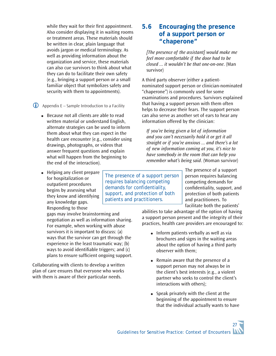while they wait for their first appointment. Also consider displaying it in waiting rooms or treatment areas. These materials should be written in clear, plain language that avoids jargon or medical terminology. As well as providing information about the organization and service, these materials can also cue survivors to think about what they can do to facilitate their own safety (e.g., bringing a support person or a small familiar object that symbolizes safety and security with them to appointments).

**(i)** Appendix  $E -$  Sample Introduction to a Facility

- Because not all clients are able to read written material or understand English, alternate strategies can be used to inform them about what they can expect in the health care encounter (e.g., consider using drawings, photographs, or videos that answer frequent questions and explain what will happen from the beginning to the end of the interaction).
- Helping any client prepare for hospitalization or outpatient procedures begins by assessing what they know and identifying any knowledge gaps. Responding to those

gaps may involve brainstorming and negotiation as well as information sharing. For example, when working with abuse survivors it is important to discuss: (a) ways that the survivor can get through the experience in the least traumatic way; (b) ways to avoid identifiable triggers; and  $(c)$ plans to ensure sufficient ongoing support.

Collaborating with clients to develop a written plan of care ensures that everyone who works with them is aware of their particular needs.

**5.6 Encouraging the presence of a support person or "chaperone"** 

*[The presence of the assistant] would make me feel more comfortable if the door had to be closed ... it wouldn't be that one-on-one*. (Man survivor)

A third party observer (either a patientnominated support person or clinician-nominated "chaperone") is commonly used for some examinations and procedures. Survivors explained that having a support person with them often helps to decrease their fears. The support person can also serve as another set of ears to hear any information offered by the clinician:

*If you're being given a lot of information and you can't necessarily hold it or get it all straight or if you're anxious ... and there's a lot of new information coming at you, it's nice to have somebody in the room that can help you remember what's being said*. (Woman survivor)

> The presence of a support person requires balancing competing demands for confidentiality, support, and protection of both patients and practitioners. To facilitate both the patients'

abilities to take advantage of the option of having a support person present and the integrity of their practices, health care providers are encouraged to:

- Inform patients verbally as well as via brochures and signs in the waiting areas about the option of having a third party observer with them;
- Remain aware that the presence of a support person may not always be in the client's best interests (e.g., a violent partner who seeks to control the client's interactions with others);
- $\bullet$  Speak privately with the client at the beginning of the appointment to ensure that the individual actually wants to have

The presence of a support person requires balancing competing demands for confidentiality, support, and protection of both patients and practitioners.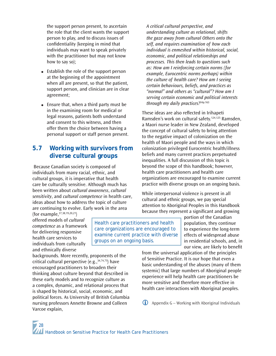the support person present, to ascertain the role that the client wants the support person to play, and to discuss issues of confidentiality (keeping in mind that individuals may want to speak privately with the practitioner but may not know how to say so);

- Establish the role of the support person at the beginning of the appointment when all are present, so that the patient, support person, and clinician are in clear agreement;
- Ensure that, when a third party must be in the examining room for medical or legal reasons, patients both understand and consent to this witness, and then offer them the choice between having a personal support or staff person present.

## **5.7 Working with survivors from diverse cultural groups**

 Because Canadian society is composed of individuals from many racial, ethnic, and cultural groups, it is imperative that health care be culturally sensitive. Although much has been written about *cultural awareness*, *cultural sensitivity*, and *cultural competence* in health care, ideas about how to address the topic of culture are continuing to evolve. Early work in the area

(for example,37,38,19,20,21) offered models of *cultural competence* as a framework for delivering responsive health care services to individuals from culturally and ethnically diverse

backgrounds. More recently, proponents of the critical cultural perspective  $(e.g.,<sup>34,74,75</sup>)$  have encouraged practitioners to broaden their thinking about culture beyond that described in these early models and to recognize culture as a complex, dynamic, and relational process that is shaped by historical, social, economic, and political forces. As University of British Columbia nursing professors Annette Browne and Colleen Varcoe explain,

Health care practitioners and health care organizations are encouraged to examine current practice with diverse groups on an ongoing basis.

*A critical cultural perspective, and understanding culture as relational, shifts the gaze away from cultural Others onto the self, and requires examination of how each individual is enmeshed within historical, social, economic, and political relationships and processes. This then leads to questions such as: How am I reinforcing certain norms (for example, Eurocentric norms perhaps) within the culture of health care? How am I seeing certain behaviours, beliefs, and practices as "normal" and others as "cultural"? How am I serving certain economic and political interests through my daily practices?*34p.163

These ideas are also reflected in Irihapeti Ramsden's work on cultural safety.<sup>124,125</sup> Ramsden. a Maori nurse leader in New Zealand, developed the concept of cultural safety to bring attention to the negative impact of colonization on the health of Maori people and the ways in which colonization privileged Eurocentric health/illness beliefs and many current practices perpetuated inequalities. A full discussion of this topic is beyond the scope of this handbook; however, health care practitioners and health care organizations are encouraged to examine current practice with diverse groups on an ongoing basis.

While interpersonal violence is present in all cultural and ethnic groups, we pay special attention to Aboriginal Peoples in this Handbook because they represent a significant and growing

> portion of the Canadian population, they continue to experience the long-term effects of widespread abuse in residential schools, and, in our view, are likely to benefit

from the universal application of the principles of Sensitive Practice. It is our hope that even a basic understanding of the abuses (many of them systemic) that large numbers of Aboriginal people experience will help health care practitioners be more sensitive and therefore more effective in health care interactions with Aboriginal peoples.

 $\bigcirc$  Appendix G – Working with Aboriginal Individuals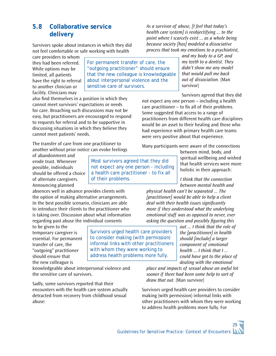### **5.8 Collaborative service delivery**

Survivors spoke about instances in which they did not feel comfortable or safe working with health

care providers to whom they had been referred. While options may be limited, all patients have the right to referral to another clinician or facility. Clinicians may

For permanent transfer of care, the "outgoing practitioner" should ensure that the new colleague is knowledgeable about interpersonal violence and the sensitive care of survivors.

also find themselves in a position in which they cannot meet survivors' expectations or needs for care. Broaching such discussions may not be easy, but practitioners are encouraged to respond to requests for referral and to be supportive in discussing situations in which they believe they cannot meet patients' needs.

The transfer of care from one practitioner to another without prior notice can evoke feelings

of abandonment and erode trust. Whenever possible, individuals should be offered a choice of alternate caregivers. Announcing planned

absences well in advance provides clients with the option of making alternative arrangements. In the best possible scenario, clinicians are able to introduce their clients to the practitioner who is taking over. Discussion about what information regarding past abuse the individual consents

to be given to the temporary caregiver is essential. For permanent transfer of care, the "outgoing" practitioner should ensure that the new colleague is

knowledgeable about interpersonal violence and the sensitive care of survivors.

Sadly, some survivors reported that their encounters with the health care system actually detracted from recovery from childhood sexual abuse:

Most survivors agreed that they did not expect any one person - including a health care practitioner - to fix all of their problems.

Survivors urged health care providers to consider making (with permission) informal links with other practitioners with whom they were working to address health problems more fully.

*As a survivor of abuse, [I feel that today's health care system] is reobjectifying ... to the point where I scarcely exist ... as a whole being because society [has] modeled a dissociative process that took my emotions to a psychiatrist,* 

> *and my body to a GP, and my teeth to a dentist. They didn't show me any model that would pull me back out of dissociation*. (Man survivor)

Survivors agreed that they did

not expect any one person – including a health care practitioner  $-$  to fix all of their problems. Some suggested that access to a range of practitioners from different health care disciplines would be an asset to their healing and those who had experience with primary health care teams were very positive about that experience.

Many participants were aware of the connections

between mind, body, and spiritual wellbeing and wished that health services were more holistic in their approach:

*I think that the connection between mental health and* 

*physical health can't be separated ... The [practitioner] would be able to help a client deal with their health issues significantly more if they understood what the underlying emotional stuff was as opposed to never, ever asking the question and possibly figuring this* 

> *out ... I think that the role of the [practitioner] in health should [include] a larger component of emotional health ... I think that I ... could have got to the place of dealing with the emotional*

*place and impacts of sexual abuse an awful lot sooner if there had been some help to sort of draw that out.* (Man survivor)

Survivors urged health care providers to consider making (with permission) informal links with other practitioners with whom they were working to address health problems more fully. For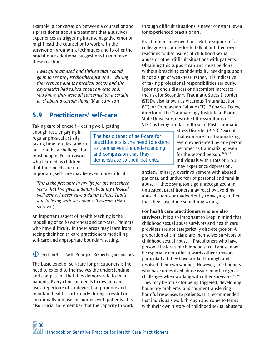example, a conversation between a counsellor and a practitioner about a treatment that a survivor experiences as triggering intense negative emotion might lead the counsellor to work with the survivor on grounding techniques and to offer the practitioner additional suggestions to minimize these reactions:

*I was quite amazed and thrilled that I could go in to see my [psycho]therapist and ... during the week she and the medical doctor and the psychiatrist had talked about my case and, you know, they were all concerned on a certain level about a certain thing.* (Man survivor)

#### **5.9 Practitioners' self-care**

Taking care of oneself – eating well, getting

enough rest, engaging in regular physical activity, taking time to relax, and so on – can be a challenge for most people. For survivors who learned as children that their needs are not

The basic tenet of self-care for practitioners is the need to extend to themselves the understanding and compassion that they demonstrate to their patients.

important, self-care may be even more difficult:

*This is the first time in my life for the past three years that I've given a damn about my physical well-being. I never gave a damn before. That's due to living with very poor self-esteem.* (Man survivor)

An important aspect of health teaching is the modelling of self-awareness and self-care. Patients who have difficulty in these areas may learn from seeing their health care practitioners modelling self-care and appropriate boundary setting.

G Section  $4.2 -$  Sixth Principle: Respecting boundaries

The basic tenet of self-care for practitioners is the need to extend to themselves the understanding and compassion that they demonstrate to their patients. Every clinician needs to develop and use a repertoire of strategies that promote and maintain health, particularly during stressful or emotionally intense encounters with patients. It is also crucial to remember that the capacity to work through difficult situations is never constant, even for experienced practitioners.

Practitioners may need to seek the support of a colleague or counsellor to talk about their own reactions to disclosures of childhood sexual abuse or other difficult situations with patients. Obtaining this support can and must be done without breaching confidentiality. Seeking support is not a sign of weakness; rather, it is indicative of taking professional responsibilities seriously. Ignoring one's distress or discomfort increases the risk for Secondary Traumatic Stress Disorder (STSD), also known as Vicarious Traumatization (VT), or Compassion Fatigue (CF).109 Charles Figley, director of the Traumatology Institute at Florida State University, described the symptoms of STSD as being similar to those of Post-Traumatic

> Stress Disorder (PTSD) "except that exposure to a traumatizing event experienced by one person becomes as traumatizing even for the second person."66p.11 Individuals with PTSD or STSD may experience depression,

anxiety, lethargy, overinvolvement with abused patients, and undue fear of personal and familial abuse. If these symptoms go unrecognized and untreated, practitioners may react by avoiding abused clients or inadvertently conveying to them that they have done something wrong.

**For health care practitioners who are also survivors.** It is also important to keep in mind that childhood sexual abuse survivors and health care providers are not categorically discrete groups. A proportion of clinicians are themselves survivors of childhood sexual abuse.94 Practitioners who have personal histories of childhood sexual abuse may be especially empathic towards other survivors, particularly if they have worked through and resolved their own wounds. However, practitioners who have unresolved abuse issues may face great challenges when working with other survivors. $24,109$ They may be at risk for being triggered, developing boundary problems, and counter-transferring harmful responses to patients. It is recommended that individuals work through and come to terms with their own history of childhood sexual abuse to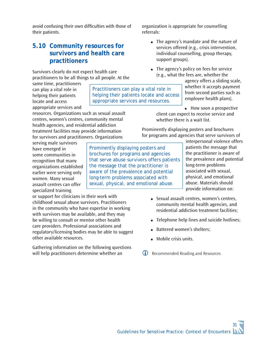avoid confusing their own difficulties with those of their patients.

### **5.10 Community resources for survivors and health care practitioners**

Survivors clearly do not expect health care practitioners to be all things to all people. At the

same time, practitioners can play a vital role in helping their patients locate and access appropriate services and

resources. Organizations such as sexual assault centres, women's centres, community mental health agencies, and residential addiction treatment facilities may provide information for survivors and practitioners. Organizations

serving male survivors have emerged in some communities in recognition that many organizations established earlier were serving only women. Many sexual assault centres can offer specialized training

or support for clinicians in their work with childhood sexual abuse survivors. Practitioners in the community who have expertise in working with survivors may be available, and they may be willing to consult or mentor other health care providers. Professional associations and regulatory/licensing bodies may be able to suggest other available resources.

Gathering information on the following questions will help practitioners determine whether an

organization is appropriate for counselling referrals:

- The agency's mandate and the nature of services offered (e.g., crisis intervention, individual counselling, group therapy, support groups).
- The agency's policy on fees for service (e.g., what the fees are, whether the

agency offers a sliding scale, whether it accepts payment from second parties such as employee health plans).

• How soon a prospective client can expect to receive service and whether there is a wait list.

Prominently displaying posters and brochures for programs and agencies that serve survivors of

> interpersonal violence offers patients the message that the practitioner is aware of the prevalence and potential long-term problems associated with sexual, physical, and emotional abuse. Materials should provide information on:

- Sexual assault centres, women's centres, community mental health agencies, and residential addiction treatment facilities;
- Telephone help lines and suicide hotlines;
- Battered women's shelters:
- Mobile crisis units.
- **C** Recommended Reading and Resources

Prominently displaying posters and brochures for programs and agencies that serve abuse survivors offers patients the message that the practitioner is aware of the prevalence and potential long-term problems associated with sexual, physical, and emotional abuse.

Practitioners can play a vital role in helping their patients locate and access appropriate services and resources.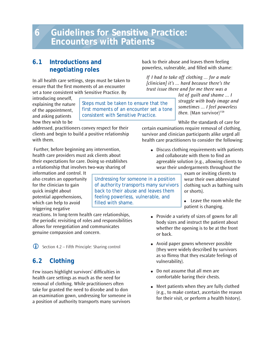# **6.1 Introductions and negotiating roles**

In all health care settings, steps must be taken to ensure that the first moments of an encounter set a tone consistent with Sensitive Practice. By

introducing oneself, explaining the nature of the appointment, and asking patients how they wish to be

Steps must be taken to ensure that the first moments of an encounter set a tone consistent with Sensitive Practice.

addressed, practitioners convey respect for their clients and begin to build a positive relationship with them.

 Further, before beginning any intervention, health care providers must ask clients about their expectations for care. Doing so establishes a relationship that involves two-way sharing of

information and control. It also creates an opportunity for the clinician to gain quick insight about potential apprehensions, which can help to avoid triggering negative

reactions. In long-term health care relationships, the periodic revisiting of roles and responsibilities allows for renegotiation and communicates genuine compassion and concern.

 $\bf{C}$  Section 4.2 – Fifth Principle: Sharing control

# **6.2 Clothing**

Few issues highlight survivors' difficulties in health care settings as much as the need for removal of clothing. While practitioners often take for granted the need to disrobe and to don an examination gown, undressing for someone in a position of authority transports many survivors

back to their abuse and leaves them feeling powerless, vulnerable, and filled with shame:

*If I had to take off clothing ... for a male [clinician] it's ... hard because there's the trust issue there and for me there was a* 

*lot of guilt and shame ... I struggle with body image and sometimes ... I feel powerless*  then. (Man survivor)<sup>159</sup>

While the standards of care for certain examinations require removal of clothing, survivor and clinician participants alike urged all health care practitioners to consider the following:

• Discuss clothing requirements with patients and collaborate with them to find an agreeable solution (e.g., allowing clients to wear their undergarments throughout the

> exam or inviting clients to wear their own abbreviated clothing such as bathing suits or shorts).

- Leave the room while the patient is changing.
- Provide a variety of sizes of gowns for all body sizes and instruct the patient about whether the opening is to be at the front or back.
- Avoid paper gowns whenever possible (they were widely described by survivors as so flimsy that they escalate feelings of vulnerability).
- Do not assume that all men are comfortable baring their chests.
- Meet patients when they are fully clothed (e.g., to make contact, ascertain the reason for their visit, or perform a health history).

Undressing for someone in a position of authority transports many survivors back to their abuse and leaves them feeling powerless, vulnerable, and filled with shame.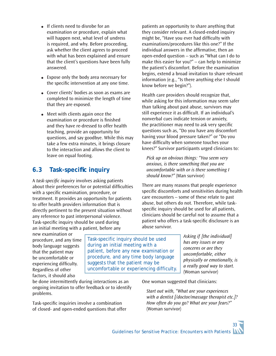- **If clients need to disrobe for an** examination or procedure, explain what will happen next, what level of undress is required, and why. Before proceeding, ask whether the client agrees to proceed with what has been explained and ensure that the client's questions have been fully answered.
- Expose only the body area necessary for the specific intervention at any one time.
- Cover clients' bodies as soon as exams are completed to minimize the length of time that they are exposed.
- Meet with clients again once the examination or procedure is finished and they have re-dressed to offer health teaching, provide an opportunity for questions, and say goodbye. While this may take a few extra minutes, it brings closure to the interaction and allows the client to leave on equal footing.

# **6.3 Task-specific inquiry**

A *task-specific inquiry* involves asking patients about their preferences for or potential difficulties with a specific examination, procedure, or treatment. It provides an opportunity for patients to offer health providers information that is directly pertinent to the present situation without any reference to past interpersonal violence. Task-specific inquiry should be used during an initial meeting with a patient, before any

new examination or procedure, and any time body language suggests that the patient may be uncomfortable or experiencing difficulty. Regardless of other factors, it should also

Task-specific inquiry should be used during an initial meeting with a patient, before any new examination or procedure, and any time body language suggests that the patient may be uncomfortable or experiencing difficulty.

be done intermittently during interactions as an ongoing invitation to offer feedback or to identify problems.

Task-specific inquiries involve a combination of closed- and open-ended questions that offer

patients an opportunity to share anything that they consider relevant. A closed-ended inquiry might be, "Have you ever had difficulty with examinations/procedures like this one?" If the individual answers in the affirmative, then an open-ended question – such as "What can I do to make this easier for you?" – can help to minimize the patient's discomfort. Before the examination begins, extend a broad invitation to share relevant information (e.g., "Is there anything else I should know before we begin?").

Health care providers should recognize that, while asking for this information may seem safer than talking about past abuse, survivors may still experience it as difficult. If an individual's nonverbal cues indicate tension or anxiety, the practitioner may need to ask very specific questions such as, "Do you have any discomfort having your blood pressure taken?" or "Do you have difficulty when someone touches your knees?" Survivor participants urged clinicians to:

*Pick up on obvious things: "You seem very anxious, is there something that you are uncomfortable with or is there something I should know?"* (Man survivor)

There are many reasons that people experience specific discomforts and sensitivities during health care encounters – some of these relate to past abuse, but others do not. Therefore, while taskspecific inquiry should be used for all patients, clinicians should be careful not to assume that a patient who offers a task-specific disclosure is an abuse survivor.

> *Asking if [the individual] has any issues or any concerns or are they uncomfortable, either physically or emotionally, is a really good way to start.* (Woman survivor)

One woman suggested that clinicians:

*Start out with, "What are your experiences with a dentist [/doctor/massage therapist etc.]? How often do you go? What are your fears?"* (Woman survivor)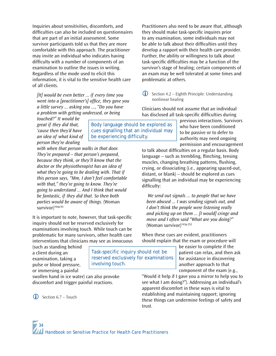Inquiries about sensitivities, discomforts, and difficulties can also be included on questionnaires that are part of an initial assessment. Some survivor participants told us that they are more comfortable with this approach. The practitioner may invite an individual who indicates having difficulty with a number of components of an examination to outline the issues in writing. Regardless of the mode used to elicit this information, it is vital to the sensitive health care of all clients.

*[It] would be even better ... if every time you went into a [practitioner's] office, they gave you a little survey ... asking you ..., "Do you have a problem with getting undressed, or being* 

*touched?" It would be great if they did that, 'cause then they'd have an idea of what kind of person they're dealing* 

Body language should be explored as cues signalling that an individual may be experiencing difficulty.

Task-specific inquiry should not be reserved exclusively for examinations

*with when that person walks in that door. They're prepared – that person's prepared, because they think, or they'll know that the doctor or the physiotherapist has an idea of what they're going to be dealing with. That if this person says, "Mm, I don't feel comfortable with that," they're going to know. They're going to understand ... And I think that would be fantastic, if they did that. So then both parties would be aware of things.* (Woman survivor)<sup>164p.93</sup>

It is important to note, however, that task-specific inquiry should not be reserved exclusively for examinations involving touch. While touch can be problematic for many survivors, other health care interventions that clinicians may see as innocuous

(such as standing behind a client during an examination, taking a pulse or blood pressure, or immersing a painful

swollen hand in ice water) can also provoke discomfort and trigger painful reactions.

 $\Omega$  Section 6.7 – Touch

Practitioners also need to be aware that, although they should make task-specific inquires prior to any examination, some individuals may not be able to talk about their difficulties until they develop a rapport with their health care provider. Further, the ability or willingness to talk about task-specific difficulties may be a function of the survivor's stage of healing; certain components of an exam may be well tolerated at some times and problematic at others.

 $\bullet$  Section 4.2 – Eighth Principle: Understanding nonlinear healing

Clinicians should not assume that an individual has disclosed all task-specific difficulties during

> previous interactions. Survivors who have been conditioned to be passive or to defer to authority may need ongoing permission and encouragement

to talk about difficulties on a regular basis. Body  $l$ anguage – such as trembling, flinching, tensing muscles, changing breathing patterns, flushing, crying, or dissociating (i.e., appearing spaced-out, distant, or blank) – should be explored as cues signalling that an individual may be experiencing difficulty:

 *We send out signals ... to people that we have been abused ... I was sending signals out, and I don't think the people were listening really and picking up on them ... [I would] cringe and move and I often said "What are you doing?"* (Woman survivor)<sup>143p.252</sup>

When these cues are evident, practitioners should explain that the exam or procedure will

> be easier to complete if the patient can relax, and then ask for assistance in discovering another approach to that component of the exam (e.g.,

"Would it help if I gave you a mirror to help you to see what I am doing?"). Addressing an individual's apparent discomfort in these ways is vital to establishing and maintaining rapport; ignoring these things can undermine feelings of safety and trust.

involving touch.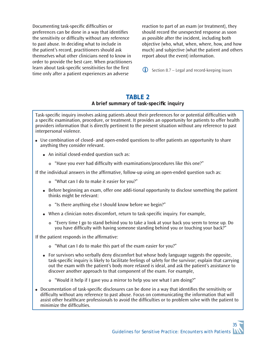Documenting task-specific difficulties or preferences can be done in a way that identifies the sensitivity or difficulty without any reference to past abuse. In deciding what to include in the patient's record, practitioners should ask themselves what other clinicians need to know in order to provide the best care. When practitioners learn about task-specific sensitivities for the first time only after a patient experiences an adverse

reaction to part of an exam (or treatment), they should record the unexpected response as soon as possible after the incident, including both objective (who, what, when, where, how, and how much) and subjective (what the patient and others report about the event) information.

 $\bigcirc$  Section 8.7 – Legal and record-keeping issues

### **TABLE 2**

#### A brief summary of task-specific inquiry

Task-specific inquiry involves asking patients about their preferences for or potential difficulties with a specific examination, procedure, or treatment. It provides an opportunity for patients to offer health providers information that is directly pertinent to the present situation without any reference to past interpersonal violence.

- Use combination of closed- and open-ended questions to offer patients an opportunity to share anything they consider relevant.
	- An initial closed-ended question such as:
		- <sup>"</sup>Have you ever had difficulty with examinations/procedures like this one?"

If the individual answers in the affirmative, follow-up using an open-ended question such as:

- "What can I do to make it easier for you?"
- Before beginning an exam, offer one addi-tional opportunity to disclose something the patient thinks might be relevant:
	- "Is there anything else I should know before we begin?"
- $\bullet$  When a clinician notes discomfort, return to task-specific inquiry. For example,
	- "Every time I go to stand behind you to take a look at your back you seem to tense up. Do you have difficulty with having someone standing behind you or touching your back?"

If the patient responds in the affirmative:

- "What can I do to make this part of the exam easier for you?"
- For survivors who verbally deny discomfort but whose body language suggests the opposite, task-specific inquiry is likely to facilitate feelings of safety for the survivor; explain that carrying out the exam with the patient's body more relaxed is ideal, and ask the patient's assistance to discover another approach to that component of the exam. For example,
	- "Would it help if I gave you a mirror to help you see what I am doing?"
- Documentation of task-specific disclosures can be done in a way that identifies the sensitivity or difficulty without any reference to past abuse. Focus on communicating the information that will assist other healthcare professionals to avoid the difficulties or to problem solve with the patient to minimize the difficulties.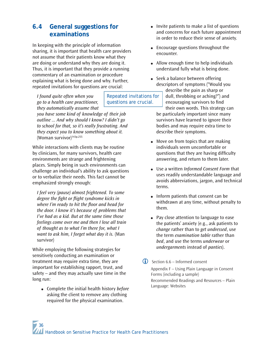## **6.4 General suggestions for examinations**

In keeping with the principle of information sharing, it is important that health care providers not assume that their patients know what they are doing or understand why they are doing it. Thus, it is important that they provide a running commentary of an examination or procedure explaining what is being done and why. Further, repeated invitations for questions are crucial:

*I found quite often when you go to a health care practitioner, they automatically assume that* 

*you have some kind of knowledge of their job outline ... And why should I know? I didn't go to school for that, so it's really frustrating. And they expect you to know something about it.*  (Woman survivor)<sup>143p.255</sup>

While interactions with clients may be routine by clinicians, for many survivors, health care environments are strange and frightening places. Simply being in such environments can challenge an individual's ability to ask questions or to verbalize their needs. This fact cannot be emphasized strongly enough:

*I feel very (pause) almost frightened. To some degree the fight or flight syndrome kicks in where I'm ready to hit the fl oor and head for the door. I know it's because of problems that I've had as a kid. But at the same time those feelings come over me and then I lose all train of thought as to what I'm there for, what I want to ask him, I forget what day it is.* (Man survivor)

While employing the following strategies for sensitively conducting an examination or treatment may require extra time, they are important for establishing rapport, trust, and safety – and they may actually save time in the long run:

 Complete the initial health history *before* asking the client to remove any clothing required for the physical examination.

- Invite patients to make a list of questions and concerns for each future appointment in order to reduce their sense of anxiety.
- Encourage questions throughout the encounter.
- Allow enough time to help individuals understand fully what is being done.
- Seek a balance between offering descriptors of symptoms ("Would you describe the pain as sharp or dull, throbbing or aching?") and encouraging survivors to find their own words. This strategy can Repeated invitations for questions are crucial.

be particularly important since many survivors have learned to ignore their bodies and may require extra time to describe their symptoms.

- Move on from topics that are making individuals seem uncomfortable or questions that they are having difficulty answering, and return to them later.
- Use a written *Informed Consent Form* that uses readily understandable language and avoids abbreviations, jargon, and technical terms.
- Inform patients that consent can be withdrawn at any time, without penalty to them.
- Pay close attention to language to ease the patients' anxiety (e.g., ask patients to *change* rather than to *get undressed*, use the term *examination table* rather than *bed*, and use the terms *underwear* or *undergarments* instead of *panties*).
- $\Omega$  Section 6.6 Informed consent

Appendix F – Using Plain Language in Consent Forms (including a sample) Recommended Readings and Resources – Plain Language: Websites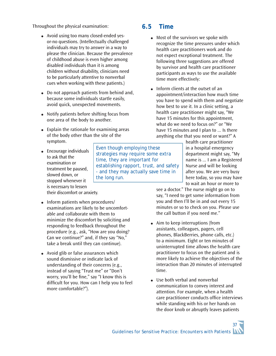Throughout the physical examination:

- Avoid using too many closed-ended yesor-no questions. (Intellectually challenged individuals may try to answer in a way to please the clinician. Because the prevalence of childhood abuse is even higher among disabled individuals than it is among children without disability, clinicians need to be particularly attentive to nonverbal cues when working with these patients.)
- Do not approach patients from behind and, because some individuals startle easily, avoid quick, unexpected movements.
- Notify patients before shifting focus from one area of the body to another.
- Explain the rationale for examining areas of the body other than the site of the symptom.
- Encourage individuals to ask that the examination or treatment be paused, slowed down, or stopped whenever it is necessary to lessen their discomfort or anxiety.
- Inform patients when procedures/ examinations are likely to be uncomfortable and collaborate with them to minimize the discomfort by soliciting and responding to feedback throughout the procedure (e.g., ask, "How are you doing? Can we continue?" and, if they say "No," take a break until they can continue).
- Avoid glib or false assurances which sound dismissive or indicate lack of understanding of their concerns (e.g., instead of saying "Trust me" or "Don't worry, you'll be fine," say "I know this is difficult for you. How can I help you to feel more comfortable?").

Even though employing these strategies may require some extra time, they are important for establishing rapport, trust, and safety - and they may actually save time in the long run.

# **6.5 Time**

- Most of the survivors we spoke with recognize the time pressures under which health care practitioners work and do not expect exceptional treatment. The following three suggestions are offered by survivor and health care practitioner participants as ways to use the available time more effectively:
- Inform clients at the outset of an appointment/interaction how much time you have to spend with them and negotiate how best to use it. In a clinic setting, a health care practitioner might say, "We have 15 minutes for this appointment, what do we need to focus on?" or "We have 15 minutes and I plan to ... Is there anything else that you need or want?" A

health care practitioner in a hospital emergency department might say, "My name is ... I am a Registered Nurse and will be looking after you. We are very busy here today, so you may have to wait an hour or more to

see a doctor." The nurse might go on to say, "I need to get some information from you and then I'll be in and out every 15 minutes or so to check on you. Please use the call button if you need me."

- Aim to keep interruptions (from assistants, colleagues, pagers, cell phones, BlackBerries, phone calls, etc.) to a minimum. Eight or ten minutes of uninterrupted time allows the health care practitioner to focus on the patient and is more likely to achieve the objectives of the interaction than 20 minutes of interrupted time.
- Use both verbal and nonverbal communication to convey interest and attention. For example, when a health care practitioner conducts office interviews while standing with his or her hands on the door knob or abruptly leaves patients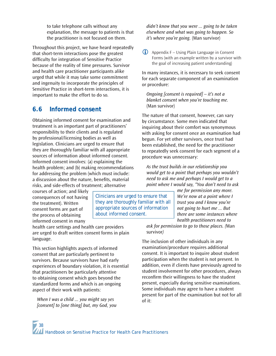to take telephone calls without any explanation, the message to patients is that the practitioner is not focused on them.

Throughout this project, we have heard repeatedly that short-term interactions pose the greatest difficulty for integration of Sensitive Practice because of the reality of time pressures. Survivor and health care practitioner participants alike urged that while it may take some commitment and ingenuity to incorporate the principles of Sensitive Practice in short-term interactions, it is important to make the effort to do so.

# **6.6 Informed consent**

Obtaining informed consent for examination and treatment is an important part of practitioners' responsibility to their clients and is regulated by professional/licensing bodies as well as legislation. Clinicians are urged to ensure that they are thoroughly familiar with all appropriate sources of information about informed consent. Informed consent involves: (a) explaining the health problem; and (b) making recommendations for addressing the problem (which must include: a discussion about the nature, benefits, material risks, and side-effects of treatment; alternative

courses of action; and likely consequences of not having the treatment). Written consent forms are part of the process of obtaining informed consent in many

health care settings and health care providers are urged to draft written consent forms in plain language.

This section highlights aspects of informed consent that are particularly pertinent to survivors. Because survivors have had early experiences of boundary violation, it is essential that practitioners be particularly attentive to obtaining consent which goes beyond the standardized forms and which is an ongoing aspect of their work with patients:

*When I was a child ... you might say yes [consent] to [one thing] but, my God, you* 

Clinicians are urged to ensure that they are thoroughly familiar with all appropriate sources of information about informed consent.

*didn't know that you were ... going to be taken elsewhere and what was going to happen. So it's where you're going.* (Man survivor)

 $\bullet$  Appendix F – Using Plain Language in Consent Forms (with an example written by a survivor with the goal of increasing patient understanding)

In many instances, it is necessary to seek consent for each separate component of an examination or procedure:

*Ongoing [consent is required] – it's not a blanket consent when you're touching me.* (Man survivor)

The nature of that consent, however, can vary by circumstance. Some men indicated that inquiring about their comfort was synonymous with asking for consent once an examination had begun. For yet other survivors, once trust had been established, the need for the practitioner to repeatedly seek consent for each segment of a procedure was unnecessary:

*As the trust builds in our relationship you would get to a point that perhaps you wouldn't need to ask me and perhaps I would get to a point where I would say, "You don't need to ask* 

> *me for permission any more. We're now at a point where I trust you and I know you're not going to hurt me ... But there are some instances where health practitioners need to*

*ask for permission to go to those places. (*Man survivor*)*

The inclusion of other individuals in any examination/procedure requires additional consent. It is important to inquire about student participation when the student is not present. In addition, even if clients have previously agreed to student involvement for other procedures, always reconfirm their willingness to have the student present, especially during sensitive examinations. Some individuals may agree to have a student present for part of the examination but not for all of it: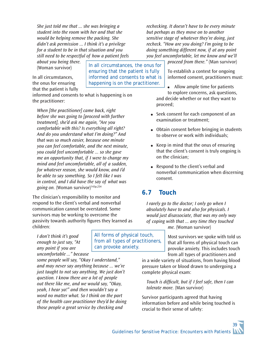*She just told me that ... she was bringing a student into the room with her and that she would be helping remove the packing. She didn't ask permission ... I think it's a privilege for a student to be in that situation and you still need to be respectful of how a patient feels* 

*about you being there.* (Woman survivor)

In all circumstances, the onus for ensuring that the patient is fully

informed and consents to what is happening is on the practitioner:

*When [the practitioner] came back, right before she was going to [proceed with further treatment], she'd ask me again, "Are you comfortable with this? Is everything all right? And do you understand what I'm doing?" And that was so much easier, because one minute you can feel comfortable, and the next minute, you could feel uncomfortable ... so she gave me an opportunity that, if I were to change my mind and feel uncomfortable, all of a sudden, for whatever reason, she would know, and I'd be able to say something. So I felt like I was in control, and I did have the say of what was*  going on. (Woman survivor)<sup>143p.254</sup>

The clinician's responsibility to monitor and respond to the client's verbal and nonverbal communication cannot be overstated. Some survivors may be working to overcome the passivity towards authority figures they learned as children:

*I don't think it's good enough to just say, "At any point if you are uncomfortable ..." because* 

*some people will say, "Okay I understand," and may never say anything because ... we're just taught to not say anything. We just don't question. I know there are a lot of people out there like me, and we would say, "Okay, yeah, I hear ya!" and then wouldn't say a word no matter what. So I think on the part of the health care practitioner they'd be doing those people a great service by checking and* 

In all circumstances, the onus for ensuring that the patient is fully informed and consents to what is happening is on the practitioner.

*rechecking. It doesn't have to be every minute but perhaps as they move on to another sensitive stage of whatever they're doing, just recheck. "How are you doing? I'm going to be doing something different now, if at any point you feel uncomfortable, let me know and we'll* 

*proceed from there."* (Man survivor)

To establish a context for ongoing informed consent, practitioners must:

• Allow ample time for patients to explore concerns, ask questions, and decide whether or not they want to proceed;

- Seek consent for each component of an examination or treatment;
- Obtain consent before bringing in students to observe or work with individuals;
- Keep in mind that the onus of ensuring that the client's consent is truly ongoing is on the clinician;
- Respond to the client's verbal and nonverbal communication when discerning consent.

### **6.7 Touch**

*I rarely go to the doctor; I only go when I absolutely have to and also for physicals. I would just disassociate, that was my only way of coping with that ... any time they touched me.* (Woman survivor)

> Most survivors we spoke with told us that all forms of physical touch can provoke anxiety. This includes touch from all types of practitioners and

in a wide variety of situations, from having blood pressure taken or blood drawn to undergoing a complete physical exam:

Touch is difficult, but if I feel safe, then I can *tolerate more.* (Man survivor)

Survivor participants agreed that having information before and while being touched is crucial to their sense of safety:

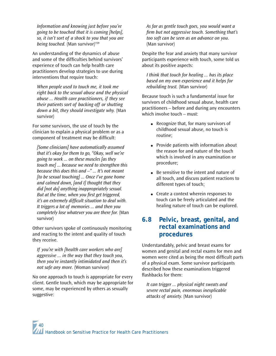*Information and knowing just before you're going to be touched that it is coming [helps], so, it isn't sort of a shock to you that you are being touched.* (Man survivor)<sup>159</sup>

An understanding of the dynamics of abuse and some of the difficulties behind survivors' experience of touch can help health care practitioners develop strategies to use during interventions that require touch:

*When people used to touch me, it took me right back to the sexual abuse and the physical abuse ... Health care practitioners, if they see their patients sort of backing off or shutting down a bit, they should investigate why.* (Man survivor)

For some survivors, the use of touch by the clinician to explain a physical problem or as a component of treatment may be difficult:

*[Some clinicians] have automatically assumed that it's okay for them to go, "Okay, well we're going to work ... on these muscles [as they touch me] ... because we need to strengthen this because this does this and –" ... It's not meant [to be sexual touching] ... Once I've gone home and calmed down, [and I] thought that they did [not do] anything inappropriately sexual.*  But at the time, when you first get triggered, *it's an extremely difficult situation to deal with. It triggers a lot of memories ... and then you completely lose whatever you are there for.* (Man survivor)

Other survivors spoke of continuously monitoring and reacting to the intent and quality of touch they receive.

*If you're with [health care workers who are] aggressive ... in the way that they touch you, then you're instantly intimidated and then it's not safe any more.* (Woman survivor)

No one approach to touch is appropriate for every client. Gentle touch, which may be appropriate for some, may be experienced by others as sexually suggestive:

*As far as gentle touch goes, you would want a fi rm but not aggressive touch. Something that's too soft can be seen as an advance on you.* (Man survivor)

Despite the fear and anxiety that many survivor participants experience with touch, some told us about its positive aspects:

*I think that touch for healing ... has its place based on my own experience and it helps for rebuilding trust.* (Man survivor)

Because touch is such a fundamental issue for survivors of childhood sexual abuse, health care practitioners – before and during any encounters which involve touch – must:

- Recognize that, for many survivors of childhood sexual abuse, no touch is routine;
- Provide patients with information about the reason for and nature of the touch which is involved in any examination or procedure;
- Be sensitive to the intent and nature of all touch, and discuss patient reactions to different types of touch;
- Create a context wherein responses to touch can be freely articulated and the healing nature of touch can be explored.

#### **6.8 Pelvic, breast, genital, and rectal examinations and procedures**

Understandably, pelvic and breast exams for women and genital and rectal exams for men and women were cited as being the most difficult parts of a physical exam. Some survivor participants described how these examinations triggered flashbacks for them:

*It can trigger ... physical night sweats and severe rectal pain, enormous inexplicable attacks of anxiety.* (Man survivor)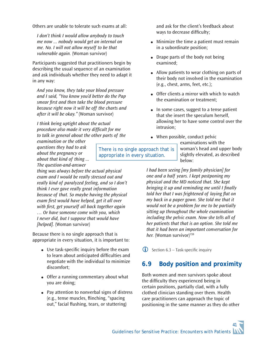Others are unable to tolerate such exams at all:

*I don't think I would allow anybody to touch me now ... nobody would get an internal on me. No. I will not allow myself to be that vulnerable again.* (Woman survivor)

Participants suggested that practitioners begin by describing the usual sequence of an examination and ask individuals whether they need to adapt it in any way:

*And you know, they take your blood pressure and I said, "You know you'd better do the Pap smear fi rst and then take the blood pressure because right now it will be off the charts and after it will be okay."* (Woman survivor)

*I think being uptight about the actual procedure also made it very difficult for me to talk in general about the other parts of the* 

*examination or the other questions they had to ask about the pregnancy or about that kind of thing ... The question-and-answer* 

*thing was always before the actual physical exam and I would be really stressed out and really kind of paralyzed feeling, and so I don't think I ever gave really great information because of that. So maybe having the physical exam fi rst would have helped, get it all over with fi rst, get yourself all back together again … Or have someone come with you, which I never did, but I suppose that would have [helped].* (Woman survivor)

Because there is no single approach that is appropriate in every situation, it is important to:

- $\bullet$  Use task-specific inquiry before the exam to learn about anticipated difficulties and negotiate with the individual to minimize discomfort;
- Offer a running commentary about what you are doing;
- Pay attention to nonverbal signs of distress (e.g., tense muscles, flinching, "spacing out," facial flushing, tears, or stuttering)

and ask for the client's feedback about ways to decrease difficulty;

- Minimize the time a patient must remain in a subordinate position;
- Drape parts of the body not being examined;
- Allow patients to wear clothing on parts of their body not involved in the examination (e.g., chest, arms, feet, etc.);
- Offer clients a mirror with which to watch the examination or treatment;
- In some cases, suggest to a tense patient that she insert the speculum herself, allowing her to have some control over the intrusion;
- When possible, conduct pelvic

There is no single approach that is appropriate in every situation.

examinations with the woman's head and upper body slightly elevated, as described below:

*I had been seeing [my family physician] for one and a half years. I kept postponing my physical and the MD noticed that. She kept bringing it up and reminding me until I finally told her that I was frightened of laying flat on my back in a paper gown. She told me that it would not be a problem for me to be partially sitting up throughout the whole examination including the pelvic exam. Now she tells all of her patients that that is an option. She told me that it had been an important conversation for her.* (Woman survivor)<sup>159</sup>

G Section  $6.3$  – Task-specific inquiry

### **6.9 Body position and proximity**

Both women and men survivors spoke about the difficulty they experienced being in certain positions, partially clad, with a fully clothed clinician standing over them. Health care practitioners can approach the topic of positioning in the same manner as they do other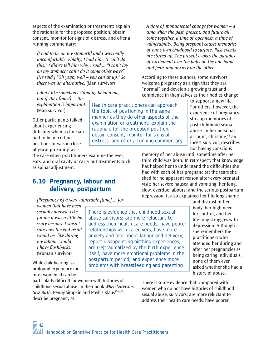aspects of the examination or treatment: explain the rationale for the proposed position, obtain consent, monitor for signs of distress, and offer a running commentary:

*[I had to lie on my stomach] and I was really uncomfortable. Finally, I told him, "I can't do this." I didn't tell him why. I said ... "I can't lay on my stomach; can I do it some other way?" [He said,] "Oh yeah, well – you can sit up." So there was an alternative.* (Man survivor)

*I don't like somebody standing behind me,* 

*but if they [must] ... the explanation is important.* (Man survivor)

Other participants talked about experiencing difficulty when a clinician had to be in certain positions or was in close physical proximity, as is

the case when practitioners examine the eyes, ears, and oral cavity or carry out treatments such as spinal adjustment.

#### **6.10 Pregnancy, labour and delivery, postpartum**

*[Pregnancy is] a very vulnerable [time] ... for* 

*women that have been sexually abused. Like for me it was a little bit scary because I wasn't sure how the end result would be, like during my labour, would I have flashbacks?* (Woman survivor)

While childbearing is a profound experience for most women, it can be

particularly difficult for women with histories of childhood sexual abuse. In their book *When Survivors Give Birth*, Penny Simpkin and Phyllis Klaus<sup>151p.33</sup> describe pregnancy as:

*A time of monumental change for women – a time when the past, present, and future all come together, a time of openness, a time of vulnerability. Being pregnant causes memories of one's own childhood to surface. Past events are stirred up. The present evokes the paradox of excitement over the baby on the one hand, and fears and anxiety on the other.*

According to these authors, some survivors welcome pregnancy as a sign that they are "normal" and develop a growing trust and confidence in themselves as their bodies change

> to support a new life. For others, however, the experience of pregnancy stirs up memories of past childhood sexual abuse. In her personal account, Christine,<sup>42</sup> an incest survivor, describes not having conscious

memory of her abuse until sometime after her third child was born. In retrospect, that knowledge has helped her to understand the difficulties she had with each of her pregnancies: the tears she shed for no apparent reason after every prenatal visit; her severe nausea and vomiting; her long, slow, overdue labours; and the serious postpartum depression. It also explained her life-long shame

There is evidence that childhood sexual abuse survivors: are more reluctant to address their health care needs, have poorer relationships with caregivers, have more anxiety and fear about labour and delivery, report disappointing birthing experiences, are (re)traumatized by the birth experience itself, have more emotional problems in the postpartum period, and experience more problems with breastfeeding and parenting.

Health care practitioners can approach the topic of positioning in the same manner as they do other aspects of the examination or treatment: explain the rationale for the proposed position, obtain consent, monitor for signs of

distress, and offer a running commentary.

and distrust of her body, her high need for control, and her life-long struggles with depression. Although she remembers the practitioners who attended her during and after her pregnancies as being caring individuals, none of them ever asked whether she had a history of abuse.

There is some evidence that, compared with women who do not have histories of childhood sexual abuse, survivors: are more reluctant to address their health care needs, have poorer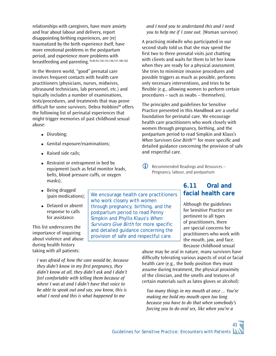relationships with caregivers, have more anxiety and fear about labour and delivery, report disappointing birthing experiences, are (re) traumatized by the birth experience itself, have more emotional problems in the postpartum period, and experience more problems with breastfeeding and parenting.76,84,92,130,134,148,151,180,182

In the Western world, "good" prenatal care involves frequent contacts with health care practitioners (physicians, nurses, midwives, ultrasound technicians, lab personnel, etc.) and typically includes a number of examinations, tests/procedures, and treatments that may prove difficult for some survivors. Debra Hobbins<sup>84</sup> offers the following list of perinatal experiences that might trigger memories of past childhood sexual abuse:

- Disrobing;
- Genital exposure/examinations;
- Raised side rails;
- Restraint or entrapment in bed by equipment (such as fetal monitor leads, belts, blood pressure cuffs, or oxygen masks);
- Being drugged (pain medications);
- Delayed or absent response to calls for assistance.

This list underscores the importance of inquiring about violence and abuse during health history taking with all patients:

who work closely with women through pregnancy, birthing, and the postpartum period to read Penny Simpkin and Phyllis Klaus's When Survivors Give Birth for more specific and detailed guidance concerning the provision of safe and respectful care.

We encourage health care practitioners

*and I need you to understand this and I need you to help me if I zone out.* (Woman survivor)

A practising midwife who participated in our second study told us that she may spend the first two to three prenatal visits just chatting with clients and waits for them to let her know when they are ready for a physical assessment. She tries to minimize invasive procedures and possible triggers as much as possible, performs only necessary interventions, and tries to be flexible (e.g., allowing women to perform certain procedures – such as swabs – themselves).

The principles and guidelines for Sensitive Practice presented in this *Handbook* are a useful foundation for perinatal care. We encourage health care practitioners who work closely with women through pregnancy, birthing, and the postpartum period to read Simpkin and Klaus's *When Survivors Give Birth*<sup>151</sup> for more specific and detailed guidance concerning the provision of safe and respectful care.

 $\circled{L}$  Recommended Readings and Resources – Pregnancy, labour, and postpartum

## **6.11 Oral and facial health care**

Although the guidelines for Sensitive Practice are pertinent to all types of practitioners, there are special concerns for practitioners who work with the mouth, jaw, and face. Because childhood sexual

abuse may be oral in nature, many survivors have difficulty tolerating various aspects of oral or facial health care (e.g., the body position they must assume during treatment, the physical proximity of the clinician, and the smells and textures of certain materials such as latex gloves or alcohol):

*Too many things in my mouth at once ... You're making me hold my mouth open too long because you have to do that when somebody's forcing you to do oral sex, like when you're a* 

*I was afraid of how the care would be, because they didn't know in my first pregnancy, they didn't know at all, they didn't ask and I didn't feel comfortable with telling them because of where I was at and I didn't have that voice to be able to speak out and say, you know, this is what I need and this is what happened to me*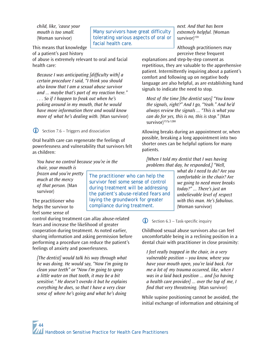*child, like, 'cause your mouth is too small.* (Woman survivor)

Many survivors have great difficulty tolerating various aspects of oral or facial health care.

This means that knowledge

of a patient's past history of abuse is extremely relevant to oral and facial health care:

*Because I was anticipating [difficulty with] a certain procedure I said, "I think you should also know that I am a sexual abuse survivor and ... maybe that's part of my reaction here." . . . So if I happen to freak out when he's poking around in my mouth, that he would have more information there and would know more of what he's dealing with.* (Man survivor)

 $\bullet$  Section 7.6 – Triggers and dissociation

Oral health care can regenerate the feelings of powerlessness and vulnerability that survivors felt as children:

*You have no control because you're in the chair, your mouth is* 

*frozen and you're pretty much at the mercy of that person.* (Man survivor)

The practitioner who helps the survivor to feel some sense of

control during treatment can allay abuse-related fears and increase the likelihood of greater cooperation during treatment. As noted earlier, sharing information and asking permission before performing a procedure can reduce the patient's feelings of anxiety and powerlessness.

*[The dentist] would talk his way through what he was doing. He would say, "Now I'm going to clean your teeth" or "Now I'm going to spray a little water on that tooth, it may be a bit sensitive." He doesn't overdo it but he explains everything he does, so that I have a very clear sense of where he's going and what he's doing* 

The practitioner who can help the survivor feel some sense of control during treatment will be addressing the patient's abuse-related fears and laying the groundwork for greater compliance during treatment.

*next. And that has been extremely helpful.* (Woman survivor)<sup>159</sup>

Although practitioners may perceive these frequent

explanations and step-by-step consent as repetitious, they are valuable to the apprehensive patient. Intermittently inquiring about a patient's comfort and following up on negative body language are also helpful, as are establishing hand signals to indicate the need to stop.

*Most of the time [the dentist says] "You know the signals, right?" And I go, "Yeah." And he'd always review the signals ... "This is what you can do for yes, this is no, this is stop."* (Man survivor)<sup>157p.1280</sup>

Allowing breaks during an appointment or, when possible, breaking a long appointment into two shorter ones can be helpful options for many patients.

*[When I told my dentist that I was having problems that day, he responded,] "Well,* 

> *what do I need to do? Are you comfortable in the chair? Are we going to need more breaks today?" ... There's just an unbelievable level of respect with this man. He's fabulous.* (Woman survivor)

G Section  $6.3 -$  Task-specific inquiry

Childhood sexual abuse survivors also can feel uncomfortable being in a reclining position in a dental chair with practitioner in close proximity:

*I feel really trapped in the chair, in a very vulnerable position – you know, where you have your mouth open, you're laid back. For me a lot of my trauma occurred, like, when I was in a laid back position ... and [so having a health care provider] ... over the top of me, I find that very threatening.* (Man survivor)

While supine positioning cannot be avoided, the initial exchange of information and obtaining of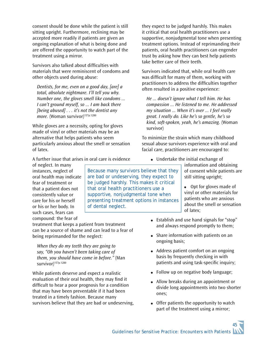consent should be done while the patient is still sitting upright. Furthermore, reclining may be accepted more readily if patients are given an ongoing explanation of what is being done and are offered the opportunity to watch part of the treatment using a mirror.

Survivors also talked about difficulties with materials that were reminiscent of condoms and other objects used during abuse:

*Dentists, for me, even on a good day, [are] a total, absolute nightmare. I'll tell you why. Number one, the gloves smell like condoms ... I can't ground myself, so ... I am back there [being abused] . . . it's not the dentist any*  more. (Woman survivor)<sup>157p.1280</sup>

While gloves are a necessity, opting for gloves made of vinyl or other materials may be an alternative that helps patients who seem particularly anxious about the smell or sensation of latex.

A further issue that arises in oral care is evidence

of neglect. In many instances, neglect of oral health may indicate fear of treatment or that a patient does not consistently value or care for his or herself or his or her body. In such cases, fears can

compound: the fear of treatment that keeps a patient from treatment can be a source of shame and can lead to a fear of

of dental neglect.

being reprimanded for the neglect:

*When they do my teeth they are going to say, "Oh you haven't been taking care of them, you should have come in before."* (Man survivor)<sup>157p.1280</sup>

While patients deserve and expect a realistic evaluation of their oral health, they may find it difficult to hear a poor prognosis for a condition that may have been preventable if it had been treated in a timely fashion. Because many survivors believe that they are bad or undeserving, they expect to be judged harshly. This makes it critical that oral health practitioners use a supportive, nonjudgmental tone when presenting treatment options. Instead of reprimanding their patients, oral health practitioners can engender trust by asking how they can best help patients take better care of their teeth.

Survivors indicated that, while oral health care was difficult for many of them, working with practitioners to address the difficulties together often resulted in a positive experience:

*He ... doesn't ignore what I tell him. He has compassion ... He listened to me. He addressed my situation ... When it's over ... I feel really great. I really do. Like he's so gentle, he's so kind, soft-spoken, yeah, he's amazing.* (Woman survivor)

To minimize the strain which many childhood sexual abuse survivors experience with oral and facial care, practitioners are encouraged to:

Undertake the initial exchange of

Because many survivors believe that they are bad or undeserving, they expect to be judged harshly. This makes it critical that oral health practitioners use a supportive, nonjudgmental tone when presenting treatment options in instances information and obtaining of consent while patients are still sitting upright;

- Opt for gloves made of vinyl or other materials for patients who are anxious about the smell or sensation of latex;
- Establish and use hand signals for "stop" and always respond promptly to them;
- Share information with patients on an ongoing basis;
- Address patient comfort on an ongoing basis by frequently checking in with patients and using task-specific inquiry;
- Follow up on negative body language;
- Allow breaks during an appointment or divide long appointments into two shorter ones;
- Offer patients the opportunity to watch part of the treatment using a mirror;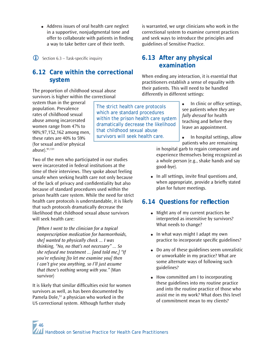• Address issues of oral health care neglect in a supportive, nonjudgmental tone and offer to collaborate with patients in finding a way to take better care of their teeth.

**i** Section 6.3 – Task-specific inquiry

## **6.12 Care within the correctional system**

The proportion of childhood sexual abuse survivors is higher within the correctional

system than in the general population. Prevalence rates of childhood sexual abuse among incarcerated women range from 47% to 90%;97,152,162 among men, these rates are 40% to 59% (for sexual and/or physical abuse).91,131

The strict health care protocols which are standard procedures within the prison health care system dramatically decrease the likelihood that childhood sexual abuse survivors will seek health care.

Two of the men who participated in our studies were incarcerated in federal institutions at the time of their interviews. They spoke about feeling unsafe when seeking health care not only because of the lack of privacy and confidentiality but also because of standard procedures used within the prison health care system. While the need for strict health care protocols is understandable, it is likely that such protocols dramatically decrease the likelihood that childhood sexual abuse survivors will seek health care:

*[When I went to the clinician for a topical nonprescription medication for haemorrhoids, she] wanted to physically check ... I was thinking, "No, no that's not necessary" ... So she refused me treatment ... [and told me,] "If you're refusing [to let me examine you] then I can't give you anything, so I'll just assume that there's nothing wrong with you."* (Man survivor)

It is likely that similar difficulties exist for women survivors as well, as has been documented by Pamela Dole,<sup>51</sup> a physician who worked in the US correctional system. Although further study

is warranted, we urge clinicians who work in the correctional system to examine current practices and seek ways to introduce the principles and guidelines of Sensitive Practice.

### **6.13 After any physical examination**

When ending any interaction, it is essential that practitioners establish a sense of equality with their patients. This will need to be handled differently in different settings:

> • In clinic or office settings, see patients *when they* are *fully dressed* for health teaching and before they leave an appointment.

• In hospital settings, allow patients who are remaining

in hospital garb to regain composure and experience themselves being recognized as a whole person (e.g., shake hands and say good-bye).

 $\bullet$  In all settings, invite final questions and, when appropriate, provide a briefly stated plan for future meetings.

# **6.14 Questions for reflection**

- Might any of my current practices be interpreted as insensitive by survivors? What needs to change?
- In what ways might I adapt my own practice to incorporate specific guidelines?
- Do any of these guidelines seem unrealistic or unworkable in my practice? What are some alternate ways of following such guidelines?
- How committed am I to incorporating these guidelines into my routine practice and into the routine practice of those who assist me in my work? What does this level of commitment mean to my clients?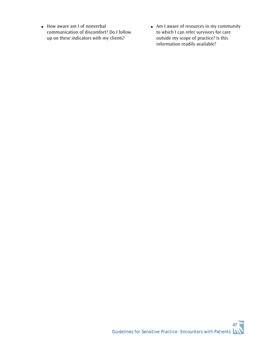- How aware am I of nonverbal communication of discomfort? Do I follow up on these indicators with my clients?
- Am I aware of resources in my community to which I can refer survivors for care outside my scope of practice? Is this information readily available?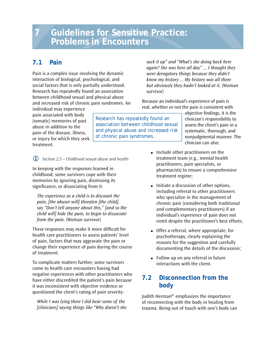# **7.1 Pain**

Pain is a complex issue involving the dynamic interaction of biological, psychological, and social factors that is only partially understood. Research has repeatedly found an association between childhood sexual and physical abuse and increased risk of chronic pain syndromes. An

individual may experience pain associated with body (somatic) memories of past abuse in addition to the pain of the disease, illness, or injury for which they seek treatment.

 $(i)$  Section 2.5 – Childhood sexual abuse and health

In keeping with the responses learned in childhood, some survivors cope with their memories by ignoring pain, dismissing its significance, or dissociating from it:

*The experience as a child is to discount the pain, [the abuser will] threaten [the child], say "Don't tell anyone about this," [and so the child will] hide the pain, to begin to dissociate from the pain.* (Woman survivor)

These responses may make it more difficult for health care practitioners to assess patients' level of pain, factors that may aggravate the pain or change their experience of pain during the course of treatment.

To complicate matters further, some survivors come to health care encounters having had negative experiences with other practitioners who have either discredited the patient's pain because it was inconsistent with objective evidence or questioned the client's rating of pain severity:

*While I was lying there I did hear some of the [clinicians] saying things like "Why doesn't she*  *suck it up" and "What's she doing back here again? She was here all day" ... I thought they were derogatory things because they didn't know my history ... My history was all there but obviously they hadn't looked at it.* (Woman survivor)

Because an individual's experience of pain is real, whether or not the pain is consistent with

Research has repeatedly found an association between childhood sexual and physical abuse and increased risk of chronic pain syndromes.

objective findings, it is the clinician's responsibility to assess the client's pain in a systematic, thorough, and nonjudgmental manner. The clinician can also:

- Include other practitioners on the treatment team (e.g., mental health practitioners, pain specialists, or pharmacists) to ensure a comprehensive treatment regime;
- Initiate a discussion of other options, including referral to other practitioners who specialize in the management of chronic pain (considering both traditional and complementary practitioners) if an individual's experience of pain does not remit despite the practitioner's best efforts;
- Offer a referral, where appropriate, for psychotherapy, clearly explaining the reasons for the suggestion and carefully documenting the details of the discussion;
- Follow up on any referral in future interactions with the client.

# **7.2 Disconnection from the body**

Judith Herman $81$  emphasizes the importance of reconnecting with the body in healing from trauma. Being out of touch with one's body can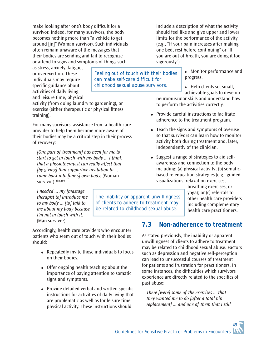49 Guidelines for Sensitive Practice: Problems in Encounters  $\blacksquare$ 

make looking after one's body difficult for a survivor. Indeed, for many survivors, the body becomes nothing more than "a vehicle to get around [in]" (Woman survivor). Such individuals often remain unaware of the messages that their bodies are sending and fail to recognize or attend to signs and symptoms of things such

as stress, anxiety, fatigue, or overexertion. These individuals may require specific guidance about activities of daily living and leisure time, physical

activity (from doing laundry to gardening), or exercise (either therapeutic or physical fitness training).

For many survivors, assistance from a health care provider to help them become more aware of their bodies may be a critical step in their process of recovery:

*[One part of treatment] has been for me to start to get in touch with my body ... I think that a physiotherapist can really affect that [by giving] that supportive invitation to ... come back into [one's] own body.* (Woman survivor)<sup>143p.256</sup>

*I needed ... my [massage therapist to] introduce me to my body ... [to] talk to me about my body because I'm not in touch with it.* (Man survivor)

Accordingly, health care providers who encounter patients who seem out of touch with their bodies should:

- Repeatedly invite those individuals to focus on their bodies.
- Offer ongoing health teaching about the importance of paying attention to somatic signs and symptoms.
- $\bullet$  Provide detailed verbal and written specific instructions for activities of daily living that are problematic as well as for leisure time physical activity. These instructions should

be related to childhood sexual abuse.

include a description of what the activity should feel like and give upper and lower limits for the performance of the activity (e.g., "If your pain increases after making one bed, rest before continuing" or "If you are out of breath, you are doing it too vigorously").

- Monitor performance and progress.
- Help clients set small, achievable goals to develop

neuromuscular skills and understand how to perform the activities correctly.

- Provide careful instructions to facilitate adherence to the treatment program.
- Teach the signs and symptoms of overuse so that survivors can learn how to monitor activity both during treatment and, later, independently of the clinician.
- Suggest a range of strategies to aid selfawareness and connection to the body including: (a) physical activity; (b) somaticbased re-education strategies (e.g., guided visualizations, relaxation exercises,

breathing exercises, or yoga); or (c) referrals to other health care providers including complementary health care practitioners.

# **7.3 Non-adherence to treatment**

As stated previously, the inability or apparent unwillingness of clients to adhere to treatment may be related to childhood sexual abuse. Factors such as depression and negative self-perception can lead to unsuccessful courses of treatment for patients and frustration for practitioners. In some instances, the difficulties which survivors experience are directly related to the specifics of past abuse:

*There [were] some of the exercises ... that they wanted me to do [after a total hip replacement] ... and one of them that I still* 

The inability or apparent unwillingness of clients to adhere to treatment may

Feeling out of touch with their bodies

can make self-care difficult for childhood sexual abuse survivors.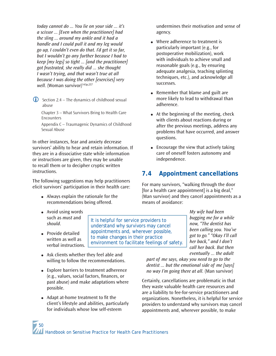*today cannot do ... You lie on your side ... it's a scissor ... [Even when the practitioner] had the sling ... around my ankle and it had a handle and I could pull it and my leg would go up, I couldn't even do that. I'd get it so far, but I wouldn't go any further because I had to keep [my legs] so tight ... [and the practitioner] got frustrated, she really did ... she thought I wasn't trying, and that wasn't true at all because I was doing the other [exercises] very well.* (Woman survivor)<sup>143p.257</sup>

 $\bigcirc$  Section 2.4 – The dynamics of childhood sexual abuse

Chapter 3 – What Survivors Bring to Health Care **Encounters** 

Appendix C – Traumagenic Dynamics of Childhood Sexual Abuse

In other instances, fear and anxiety decrease survivors' ability to hear and retain information. If they are in a dissociative state while information or instructions are given, they may be unable to recall them or to decipher cryptic written instructions.

The following suggestions may help practitioners elicit survivors' participation in their health care:

- Always explain the rationale for the recommendations being offered.
- Avoid using words such as *must* and *should*.
- **•** Provide detailed written as well as verbal instructions.
- Ask clients whether they feel able and willing to follow the recommendations.
- Explore barriers to treatment adherence (e.g., values, social factors, finances, or past abuse) and make adaptations where possible.
- $\bullet$  Adapt at-home treatment to fit the client's lifestyle and abilities, particularly for individuals whose low self-esteem

undermines their motivation and sense of agency.

- Where adherence to treatment is particularly important (e.g., for postoperative mobilization), work with individuals to achieve small and reasonable goals (e.g., by ensuring adequate analgesia, teaching splinting techniques, etc.), and acknowledge all successes.
- Remember that blame and guilt are more likely to lead to withdrawal than adherence.
- At the beginning of the meeting, check with clients about reactions during or after the previous meetings, address any problems that have occurred, and answer questions.
- Encourage the view that actively taking care of oneself fosters autonomy and independence.

# **7.4 Appointment cancellations**

For many survivors, "walking through the door [for a health care appointment] is a big deal," (Man survivor) and they cancel appointments as a means of avoidance:

> *My wife had been bugging me for a while now, "The dentist has been calling you. You've got to go." "Okay I'll call her back," and I don't call her back. But then eventually ... the adult*

*part of me says, okay you need to go to the dentist ... but the emotional side of me [says] no way I'm going there at all.* (Man survivor)

Certainly, cancellations are problematic in that they waste valuable health care resources and are a liability to fee-for-service practitioners and organizations. Nonetheless, it is helpful for service providers to understand why survivors may cancel appointments and, wherever possible, to make

It is helpful for service providers to understand why survivors may cancel appointments and, wherever possible, to make changes in their practice

environment to facilitate feelings of safety.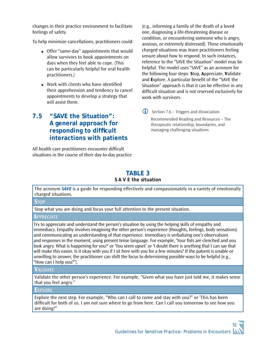changes in their practice environment to facilitate feelings of safety.

To help minimize cancellations, practitioners could:

- Offer "same-day" appointments that would allow survivors to book appointments on days when they feel able to cope. (This can be particularly helpful for oral health practitioners.)
- . Work with clients who have identified their apprehension and tendency to cancel appointments to develop a strategy that will assist them.

# **7.5 "SAVE the Situation": A general approach for responding to difficult interactions with patients**

All health care practitioners encounter difficult situations in the course of their day-to-day practice (e.g., informing a family of the death of a loved one, diagnosing a life-threatening disease or condition, or encountering someone who is angry, anxious, or extremely distressed). These emotionally charged situations may leave practitioners feeling unsure about how to respond. In such instances, reference to the "SAVE the Situation" model may be helpful. The model uses "SAVE" as an acronym for the following four steps: **S**top, **A**ppreciate, **V**alidate and **Explore.** A particular benefit of the "SAVE the Situation" approach is that it can be effective in any difficult situation and is not reserved exclusively for work with survivors.

G Section  $7.6$  – Triggers and dissociation Recommended Reading and Resources – The therapeutic relationship, boundaries, and managing challenging situations

#### **TABLE 3 S A V E the situation**

The acronym *SAVE* is a guide for responding effectively and compassionately in a variety of emotionally charged situations.

#### **S**TOP

Stop what you are doing and focus your full attention to the present situation.

#### **A**PPRECIATE

Try to appreciate and understand the person's situation by using the helping skills of empathy and immediacy. Empathy involves imagining the other person's experience (thoughts, feelings, body sensations) and communicating an understanding of that experience. Immediacy is verbalizing one's observations and responses in the moment, using present tense language. For example, 'Your fists are clenched and you look angry. What is happening for you?' or 'You seem upset' or 'I doubt there is anything that I can say that will make this easier. Is it okay with you if I sit here with you for a few minutes? If the patient is unable or unwilling to answer, the practitioner can shift the focus to determining possible ways to be helpful (e.g., "How can I help you?").

#### **V**ALIDATE

Validate the other person's experience. For example, "Given what you have just told me, it makes sense that you feel angry."

#### **EXPLORE**

Explore the next step. For example, "Who can I call to come and stay with you?" or 'This has been difficult for both of us. I am not sure where to go from here. Can I call you tomorrow to see how you are doing?"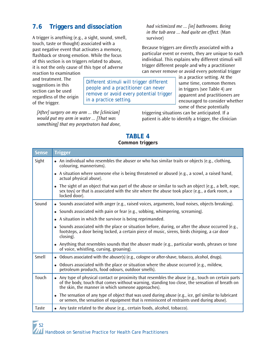# **7.6 Triggers and dissociation**

A trigger is anything (e.g., a sight, sound, smell, touch, taste or thought) associated with a past negative event that activates a memory, flashback or strong emotion. While the focus of this section is on triggers related to abuse, it is not the only cause of this type of adverse

*had victimized me ... [in] bathrooms. Being in the tub area ... had quite an effect.* (Man survivor)

Because triggers are directly associated with a particular event or events, they are unique to each individual. This explains why different stimuli will trigger different people and why a practitioner can never remove or avoid every potential trigger

reaction to examination and treatment. The suggestions in this section can be used regardless of the origin of the trigger.

Different stimuli will trigger different people and a practitioner can never remove or avoid every potential trigger in a practice setting.

*[After] surgery on my arm ... the [clinician] would put my arm in water ... [That was something] that my perpetrators had done,* 

in a practice setting. At the same time, common themes in triggers (see Table 4) are apparent and practitioners are encouraged to consider whether some of these potentially

triggering situations can be anticipated. If a patient is able to identify a trigger, the clinician

| <b>Sense</b> | <b>Trigger</b>                                                                                                                                                                                                                                            |
|--------------|-----------------------------------------------------------------------------------------------------------------------------------------------------------------------------------------------------------------------------------------------------------|
| Sight        | • An individual who resembles the abuser or who has similar traits or objects (e.g., clothing,<br>colouring, mannerisms).                                                                                                                                 |
|              | $\bullet$ A situation where someone else is being threatened or abused (e.g., a scowl, a raised hand,<br>actual physical abuse).                                                                                                                          |
|              | The sight of an object that was part of the abuse or similar to such an object (e.g., a belt, rope,<br>sex toys) or that is associated with the site where the abuse took place (e.g., a dark room, a<br>locked door).                                    |
| Sound        | • Sounds associated with anger (e.g., raised voices, arguments, loud noises, objects breaking).                                                                                                                                                           |
|              | • Sounds associated with pain or fear (e.g., sobbing, whimpering, screaming).                                                                                                                                                                             |
|              | • A situation in which the survivor is being reprimanded.                                                                                                                                                                                                 |
|              | • Sounds associated with the place or situation before, during, or after the abuse occurred (e.g.,<br>footsteps, a door being locked, a certain piece of music, sirens, birds chirping, a car door<br>closing).                                           |
|              | • Anything that resembles sounds that the abuser made (e.g., particular words, phrases or tone<br>of voice, whistling, cursing, groaning).                                                                                                                |
| Smell        | • Odours associated with the abuser(s) (e.g., cologne or after-shave, tobacco, alcohol, drugs).                                                                                                                                                           |
|              | Odours associated with the place or situation where the abuse occurred (e.g., mildew,<br>petroleum products, food odours, outdoor smells).                                                                                                                |
| Touch        | • Any type of physical contact or proximity that resembles the abuse (e.g., touch on certain parts<br>of the body, touch that comes without warning, standing too close, the sensation of breath on<br>the skin, the manner in which someone approaches). |
|              | • The sensation of any type of object that was used during abuse (e.g., ice, gel similar to lubricant<br>or semen, the sensation of equipment that is reminiscent of restraints used during abuse).                                                       |
| Taste        | • Any taste related to the abuse (e.g., certain foods, alcohol, tobacco).                                                                                                                                                                                 |

**TABLE 4 Common triggers**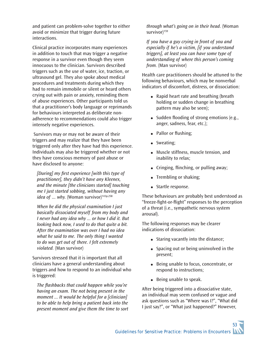and patient can problem-solve together to either avoid or minimize that trigger during future interactions.

Clinical practice incorporates many experiences in addition to touch that may trigger a negative response in a survivor even though they seem innocuous to the clinician. Survivors described triggers such as the use of water, ice, traction, or ultrasound gel. They also spoke about medical procedures and treatments during which they had to remain immobile or silent or heard others crying out with pain or anxiety, reminding them of abuse experiences. Other participants told us that a practitioner's body language or reprimands for behaviours interpreted as deliberate nonadherence to recommendations could also trigger intensely negative experiences.

 Survivors may or may not be aware of their triggers and may realize that they have been triggered only after they have had this experience. Individuals may also be triggered whether or not they have conscious memory of past abuse or have disclosed to anyone:

*[During] my first experience [with this type of practitioner], they didn't have any Kleenex, and the minute [the clinicians started] touching me I just started sobbing, without having any idea of ... why.* (Woman survivor)<sup>143p.258</sup>

*When he did the physical examination I just basically dissociated myself from my body and I never had any idea why ... or how I did it. But looking back now, I used to do that quite a bit. After the examination was over I had no idea what he said to me. The only thing I wanted to do was get out of there. I felt extremely violated.* (Man survivor)

Survivors stressed that it is important that all clinicians have a general understanding about triggers and how to respond to an individual who is triggered:

*The fl ashbacks that could happen while you're having an exam. The not being present in the moment ... It would be helpful for a [clinician] to be able to help bring a patient back into the present moment and give them the time to sort*  *through what's going on in their head.* (Woman survivor)<sup>159</sup>

*If you have a guy crying in front of you and especially if he's a victim, [if you understand triggers], at least you can have some type of understanding of where this person's coming from.* (Man survivor)

Health care practitioners should be attuned to the following behaviours, which may be nonverbal indicators of discomfort, distress, or dissociation:

- Rapid heart rate and breathing (breath holding or sudden change in breathing pattern may also be seen);
- Sudden flooding of strong emotions (e.g., anger, sadness, fear, etc.);
- $\bullet$  Pallor or flushing;
- Sweating;
- Muscle stiffness, muscle tension, and inability to relax;
- $\bullet$  Cringing, flinching, or pulling away;
- Trembling or shaking;
- Startle response.

These behaviours are probably best understood as "freeze-fight-or-flight" responses to the perception of a threat (i.e., sympathetic nervous system arousal).

The following responses may be clearer indications of dissociation:

- Staring vacantly into the distance;
- Spacing out or being uninvolved in the present;
- Being unable to focus, concentrate, or respond to instructions;
- Being unable to speak.

After being triggered into a dissociative state, an individual may seem confused or vague and ask questions such as "Where was I?", "What did I just say?", or "What just happened?" However,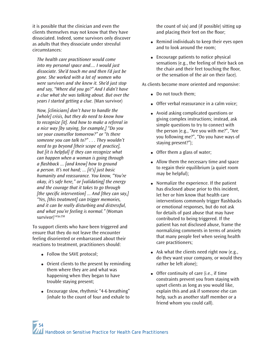it is possible that the clinician and even the clients themselves may not know that they have dissociated. Indeed, some survivors only discover as adults that they dissociate under stressful circumstances:

*The health care practitioner would come into my personal space and.... I would just dissociate. She'd touch me and then I'd just be gone. She worked with a lot of women who were survivors and she knew it. She'd just stop and say, "Where did you go?" And I didn't have a clue what she was talking about. But over the years I started getting a clue.* (Man survivor)

*Now, [clinicians] don't have to handle the [whole] crisis, but they do need to know how to recognize [it]. And how to make a referral in a nice way [by saying, for example,] "Do you see your counsellor tomorrow?" or "Is there someone you can talk to?" . . . They wouldn't need to go beyond [their scope of practice], but [it is helpful] if they can recognize what can happen when a woman is going through a fl ashback ... [and know] how to ground a person. It's not hard; ... [it's] just basic humanity and reassurance. You know, "You're okay, it's safe here," or [validating] the energy and the courage that it takes to go through [the specific intervention]* ... And *[they can say,] "Yes, [this treatment] can trigger memories, and it can be really disturbing and distressful, and what you're feeling is normal."* (Woman survivor)<sup>143p.258</sup>

To support clients who have been triggered and ensure that they do not leave the encounter feeling disoriented or embarrassed about their reactions to treatment, practitioners should:

- Follow the SAVE protocol;
- Orient clients to the present by reminding them where they are and what was happening when they began to have trouble staying present;
- Encourage slow, rhythmic "4-6 breathing" (inhale to the count of four and exhale to

the count of six) and (if possible) sitting up and placing their feet on the floor;

- Remind individuals to keep their eyes open and to look around the room;
- Encourage patients to notice physical sensations (e.g., the feeling of their back on the chair and their feet touching the floor, or the sensation of the air on their face).

As clients become more oriented and responsive:

- Do not touch them;
- Offer verbal reassurance in a calm voice;
- Avoid asking complicated questions or giving complex instructions; instead, ask simple questions to try to connect with the person (e.g., "Are you with me?", "Are you following me?", "Do you have ways of staying present?");
- $\bullet$  Offer them a glass of water;
- Allow them the necessary time and space to regain their equilibrium (a quiet room may be helpful);
- Normalize the experience. If the patient has disclosed abuse prior to this incident, let her or him know that health care interventions commonly trigger flashbacks or emotional responses, but do not ask for details of past abuse that may have contributed to being triggered. If the patient has not disclosed abuse, frame the normalizing comments in terms of anxiety that many people feel when seeing health care practitioners;
- Ask what the clients need right now  $(e.g.,)$ do they want your company, or would they rather be left alone);
- Offer continuity of care (i.e., if time constraints prevent you from staying with upset clients as long as you would like, explain this and ask if someone else can help, such as another staff member or a friend whom you could call).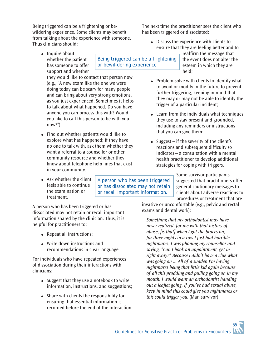Being triggered can be a frightening or bewildering experience. Some clients may benefit from talking about the experience with someone. Thus clinicians should:

• Inquire about whether the patient has someone to offer support and whether

they would like to contact that person now (e.g., "A new exam like the one we were doing today can be scary for many people and can bring about very strong emotions, as you just experienced. Sometimes it helps to talk about what happened. Do you have anyone you can process this with? Would you like to call this person to be with you now?").

- Find out whether patients would like to explore what has happened; if they have no one to talk with, ask them whether they want a referral to a counsellor or other community resource and whether they know about telephone help lines that exist in your community.
- Ask whether the client feels able to continue the examination or treatment.

A person who has been triggered or has dissociated may not retain or recall important information shared by the clinician. Thus, it is helpful for practitioners to:

- Repeat all instructions;
- Write down instructions and recommendations in clear language.

For individuals who have repeated experiences of dissociation during their interactions with clinicians:

- Suggest that they use a notebook to write information, instructions, and suggestions;
- Share with clients the responsibility for ensuring that essential information is recorded before the end of the interaction.

A person who has been triggered or has dissociated may not retain or recall important information.

Being triggered can be a frightening

or bewil-dering experience.

The next time the practitioner sees the client who has been triggered or dissociated:

 Discuss the experience with clients to ensure that they are feeling better and to

> reaffirm the message that the event does not alter the esteem in which they are held;

- Problem-solve with clients to identify what to avoid or modify in the future to prevent further triggering, keeping in mind that they may or may not be able to identify the trigger of a particular incident;
- Learn from the individuals what techniques they use to stay present and grounded, including any reminders or instructions that you can give them;
- $\bullet$  Suggest if the severity of the client's reactions and subsequent difficulty so indicates – a consultation with a mental health practitioner to develop additional strategies for coping with triggers.

Some survivor participants suggested that practitioners offer general cautionary messages to clients about adverse reactions to procedures or treatment that are

invasive or uncomfortable (e.g., pelvic and rectal exams and dental work):

*Something that my orthodontist may have never realized, for me with that history of abuse, [is that] when I got the braces on, for three nights in a row I just had horrible nightmares. I was phoning my counsellor and saying, "Can I book an appointment, get in right away?" Because I didn't have a clue what was going on ... All of a sudden I'm having nightmares being that little kid again because of all this prodding and pulling going on in my mouth. I would want an orthodontist handing out a leaflet going, if you've had sexual abuse, keep in mind this could give you nightmares or this could trigger you.* (Man survivor)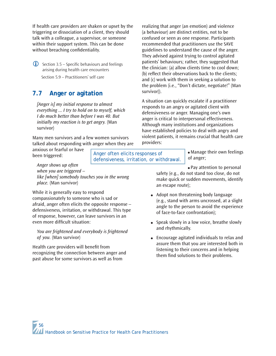If health care providers are shaken or upset by the triggering or dissociation of a client, they should talk with a colleague, a supervisor, or someone within their support system. This can be done without breaching confidentiality.

 $\bigcirc$  Section 3.5 – Specific behaviours and feelings arising during health care encounters Section 5.9 – Practitioners' self care

### **7.7 Anger or agitation**

*[Anger is] my initial response to almost everything ... I try to hold on to myself, which I do much better than before I was 40. But initially my reaction is to get angry.* (Man survivor)

Many men survivors and a few women survivors talked about responding with anger when they are

anxious or fearful or have been triggered:

Anger often elicits responses of defensiveness, irritation, or withdrawal.

*Anger shows up often when you are triggered – like [when] somebody touches you in the wrong place.* (Man survivor)

While it is generally easy to respond compassionately to someone who is sad or afraid, anger often elicits the opposite response – defensiveness, irritation, or withdrawal. This type of response, however, can leave survivors in an even more difficult situation:

*You are frightened and everybody is frightened of you.* (Man survivor)

Health care providers will benefit from recognizing the connection between anger and past abuse for some survivors as well as from

realizing that anger (an emotion) and violence (a behaviour) are distinct entities, not to be confused or seen as one response. Participants recommended that practitioners use the SAVE guidelines to understand the cause of the anger. They advised against trying to control agitated patients' behaviours; rather, they suggested that the clinician: (a) allow clients time to cool down; (b) reflect their observations back to the clients; and (c) work with them in seeking a solution to the problem (i.e., "Don't dictate, negotiate!" (Man survivor)).

A situation can quickly escalate if a practitioner responds to an angry or agitated client with defensiveness or anger. Managing one's own anger is critical to interpersonal effectiveness. Although many institutions and organizations have established policies to deal with angry and violent patients, it remains crucial that health care providers:

> Manage their own feelings of anger;

 Pay attention to personal safety (e.g., do not stand too close, do not make quick or sudden movements, identify an escape route);

- Adopt non threatening body language (e.g., stand with arms uncrossed, at a slight angle to the person to avoid the experience of face-to-face confrontation);
- Speak slowly in a low voice, breathe slowly and rhythmically.
- Encourage agitated individuals to relax and assure them that you are interested both in listening to their concerns and in helping them find solutions to their problems.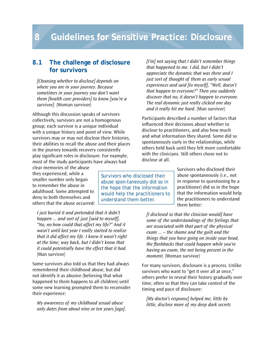### **8.1 The challenge of disclosure for survivors**

*[Choosing whether to disclose] depends on where you are in your journey. Because sometimes in your journey you don't want them [health care providers] to know [you're a survivor].* (Woman survivor)

Although this discussion speaks of survivors collectively, survivors are not a homogenous group; each survivor is a unique individual with a unique history and point of view. While survivors may or may not disclose their histories, their abilities to recall the abuse and their places in the journey towards recovery consistently play significant roles in disclosure. For example, most of the study participants have always had

clear memories of the abuse they experienced, while a smaller number only began to remember the abuse in adulthood. Some attempted to deny to both themselves and others that the abuse occurred:

*I just buried it and pretended that it didn't happen ... and sort of just [said to myself], "No, no-how could that affect my life?" And it wasn't until last year I really started to realize that it did affect my life. I knew it wasn't right at the time, way back, but I didn't know that it could potentially have the effect that it had.* (Man survivor)

Some survivors also told us that they had always remembered their childhood abuse, but did not identify it as abusive (believing that what happened to them happens to all children) until some new learning prompted them to reconsider their experience:

*My awareness of my childhood sexual abuse only dates from about nine or ten years [ago].*  *[I'm] not saying that I didn't remember things that happened to me. I did, but I didn't appreciate the dynamic that was there and I just sort of thought of them as early sexual experiences and said [to myself], "Well, doesn't that happen to everyone?" Then you suddenly discover that no, it doesn't happen to everyone. The real dynamic just really clicked one day and it really hit me hard.* (Man survivor)

Participants described a number of factors that influenced their decisions about whether to disclose to practitioners, and also how much and what information they shared. Some did so spontaneously early in the relationships, while others held back until they felt more comfortable with the clinicians. Still others chose not to disclose at all.

> Survivors who disclosed their abuse spontaneously (i.e., not in response to questioning by a practitioner) did so in the hope that the information would help the practitioners to understand them better:

*[I disclosed so that the clinician would] have some of the understandings of the feelings that are associated with that part of the physical exam ... – the shame and the guilt and the things that you have going on inside your head, the fl ashbacks that could happen while you're having an exam, the not being present in the moment.* (Woman survivor)

For many survivors, disclosure is a process. Unlike survivors who want to "get it over all at once," others prefer to reveal their history gradually over time, often so that they can take control of the timing and pace of disclosure:

*[My doctor's response] helped me, little by little, disclose more of my deep dark secrets* 

Survivors who disclosed their abuse spon-taneously did so in the hope that the information would help the practitioners to understand them better.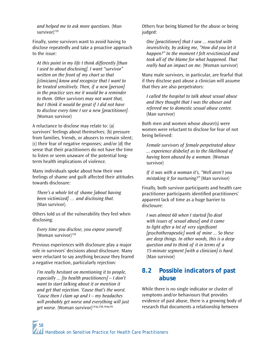*and helped me to ask more questions.* (Man survivor)<sup>159</sup>

Finally, some survivors want to avoid having to disclose repeatedly and take a proactive approach to the issue:

*At this point in my life I think differently [than I used to about disclosing]. I want "survivor" written on the front of my chart so that [clinicians] know and recognize that I want to be treated sensitively. Then, if a new [person] in the practice sees me it would be a reminder to them. Other survivors may not want that, but I think it would be great if I did not have to disclose every time I see a new [practitioner].*  (Woman survivor)

A reluctance to disclose may relate to: (a) survivors' feelings about themselves; (b) pressure from families, friends, or abusers to remain silent; (c) their fear of negative responses; and/or (d) the sense that their practitioners do not have the time to listen or seem unaware of the potential longterm health implications of violence.

Many individuals spoke about how their own feelings of shame and guilt affected their attitudes towards disclosure:

*There's a whole lot of shame [about having been victimized] … and disclosing that.* (Man survivor).

Others told us of the vulnerability they feel when disclosing:

*Every time you disclose, you expose yourself.* (Woman survivor)<sup>159</sup>

Previous experiences with disclosure play a major role in survivors' decisions about disclosure. Many were reluctant to say anything because they feared a negative reaction, particularly rejection:

*I'm really hesitant on mentioning it to people, especially ... [to health practitioners] – I don't want to start talking about it or mention it and get that rejection. 'Cause that's the worst. 'Cause then I clam up and I – my headaches will probably get worse and everything will just*  get worse. (Woman survivor)<sup>143p.258,164p.94</sup>

Others fear being blamed for the abuse or being judged:

*One [practitioner] that I saw ... reacted with insensitivity, by asking me, "How did you let it happen?" In the moment I felt revictimized and took all of the blame for what happened. That really had an impact on me.* (Woman survivor)

Many male survivors, in particular, are fearful that if they disclose past abuse a clinician will assume that they are also perpetrators:

*I called the hospital to talk about sexual abuse and they thought that I was the abuser and referred me to domestic sexual abuse centre.*  (Man survivor)

Both men and women whose abuser(s) were women were reluctant to disclose for fear of not being believed:

*Female survivors of female-perpetrated abuse ... experience disbelief as to the likelihood of having been abused by a woman.* (Woman survivor)

*If it was with a woman it's, "Well aren't you mistaking it for nurturing?"* (Man survivor)

Finally, both survivor participants and health care practitioner participants identified practitioners' apparent lack of time as a huge barrier to disclosure:

*I was almost 60 when I started [to deal with issues of sexual abuse] and it came to light after a lot of very significant [psychotherapeutic] work of mine ... So these are deep things. In other words, this is a deep question and to think of it in terms of a 15-minute segment [with a clinician] is hard.* (Man survivor)

### **8.2 Possible indicators of past abuse**

While there is no single indicator or cluster of symptoms and/or behaviours that provides evidence of past abuse, there is a growing body of research that documents a relationship between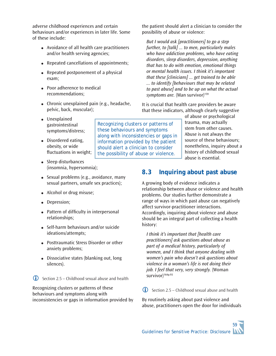adverse childhood experiences and certain behaviours and/or experiences in later life. Some of these include:

- Avoidance of all health care practitioners and/or health serving agencies;
- Repeated cancellations of appointments;
- Repeated postponement of a physical exam;
- Poor adherence to medical recommendations;
- Chronic unexplained pain (e.g., headache, pelvic, back, muscular);
- Unexplained gastrointestinal symptoms/distress;
- Disordered eating, obesity, or wide fluctuations in weight:
- Sleep disturbances (insomnia, hypersomnia);
- Sexual problems (e.g., avoidance, many sexual partners, unsafe sex practices);
- Alcohol or drug misuse;
- Depression;
- $\bullet$  Pattern of difficulty in interpersonal relationships;
- Self-harm behaviours and/or suicide ideations/attempts;
- Posttraumatic Stress Disorder or other anxiety problems;
- Dissociative states (blanking out, long silences).

 $\Omega$  Section 2.5 – Childhood sexual abuse and health

Recognizing clusters or patterns of these behaviours and symptoms along with inconsistencies or gaps in information provided by

Recognizing clusters or patterns of these behaviours and symptoms along with inconsistencies or gaps in information provided by the patient should alert a clinician to consider the possibility of abuse or violence.

the patient should alert a clinician to consider the possibility of abuse or violence:

*But I would ask [practitioners] to go a step further, to [talk] ... to men, particularly males who have addiction problems, who have eating disorders, sleep disorders, depression, anything that has to do with emotion, emotional things or mental health issues. I think it's important that these [clinicians] ... get trained to be able ... to identify [behaviours that may be related to past abuse] and to be up on what the actual symptoms are.* (Man survivor)159

It is crucial that health care providers be aware that these indicators, although clearly suggestive

of abuse or psychological trauma, may actually stem from other causes. Abuse is not always the source of these behaviours; nonetheless, inquiry about a history of childhood sexual abuse is essential.

# **8.3 Inquiring about past abuse**

A growing body of evidence indicates a relationship between abuse or violence and health problems. Our studies further demonstrate a range of ways in which past abuse can negatively affect survivor-practitioner interactions. Accordingly, inquiring about violence and abuse should be an integral part of collecting a health history:

*I think it's important that [health care practitioners] ask questions about abuse as part of a medical history, particularly of women, and I think that anyone dealing with women's pain who doesn't ask questions about violence in a woman's life is not doing their job. I feel that very, very strongly.* (Woman survivor)<sup>164p.93</sup>

 $(i)$  Section 2.5 – Childhood sexual abuse and health

By routinely asking about past violence and abuse, practitioners open the door for individuals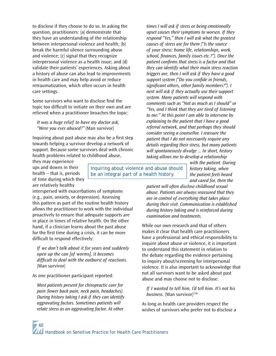to disclose if they choose to do so. In asking the question, practitioners: (a) demonstrate that they have an understanding of the relationship between interpersonal violence and health; (b) break the harmful silence surrounding abuse and violence; (c) signal that they recognize interpersonal violence as a health issue; and (d) validate their patients' experiences. Asking about a history of abuse can also lead to improvements in health care and may help avoid or reduce retraumatization, which often occurs in health care settings.

Some survivors who want to disclose find the topic too difficult to initiate on their own and are relieved when a practitioner broaches the topic:

#### *It was a huge relief to have my doctor ask, "Were you ever abused?"* (Man survivor)

Inquiring about past abuse may also be a first step towards helping a survivor develop a network of support. Because some survivors deal with chronic health problems related to childhood abuse,

they may experience ups and downs in their health – that is, periods of time during which they are relatively healthy

interspersed with exacerbations of symptoms (e.g., pain, anxiety, or depression). Assessing this pattern as part of the routine health history allows the practitioner to work with the individual proactively to ensure that adequate supports are in place in times of relative health. On the other hand, if a clinician learns about the past abuse for the first time during a crisis, it can be more difficult to respond effectively:

*If we don't talk about it for years and suddenly open up the can [of worms], it becomes diffi cult to deal with the outburst of reactions.* (Man survivor)

As one practitioner participant reported:

*Most patients present for chiropractic care for pain (lower back pain, neck pain, headaches). During history taking I ask if they can identify aggravating factors. Sometimes patients will relate stress as an aggravating factor. At other* 

Inquiring about violence and abuse should be an integral part of a health history.

*times I will ask if stress or being emotionally upset causes their symptoms to worsen. If they respond "Yes," then I will ask what the greatest causes of stress are for them ("Is the source of your stress: home life, relationships, work,*  school, finances, family issues etc.?"). Once the *patient confirms that stress is a factor and that they can identify what their main stress reaction triggers are, then I will ask if they have a good*  support system ("Do you confide in friends, significant others, other family members?"). I *next will ask if they actually use their support system. Many patients will respond with comments such as "Not as much as I should" or "Yes, and I think that they are tired of listening to me." At this point I am able to intervene by explaining to the patient that I have a good referral network, and that perhaps they should consider seeing a counsellor. I reassure the patient that I do not necessarily require any details regarding their stress, but many patients will spontaneously divulge ... In short, history taking allows me to develop a relationship* 

> *with the patient. During history taking, when the patient feels heard and cared for, then the*

*patient will often disclose childhood sexual abuse. Patients are always reassured that they are in control of everything that takes place during their visit. Communication is established during history taking and is reinforced during examination and treatments.*

While our own research and that of others makes it clear that health care practitioners have a professional and ethical responsibility to inquire about abuse or violence, it is important to understand this statement in relation to the debate regarding the evidence pertaining to inquiry about/screening for interpersonal violence. It is also important to acknowledge that not all survivors want to be asked about past abuse and may choose not to disclose:

#### *If I wanted to tell him, I'd tell him. It's not his business.* (Man survivor)<sup>159</sup>

As long as health care providers respect the wishes of survivors who prefer not to disclose a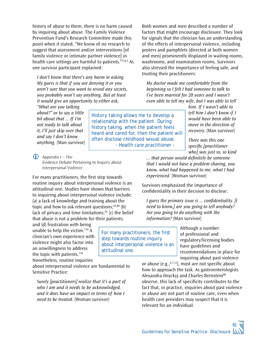history of abuse to them, there is no harm caused by inquiring about abuse. The Family Violence Prevention Fund's Research Committee made this point when it stated, "We know of no research to suggest that assessment and/or interventions [of family violence or intimate partner violence] in health care settings are harmful to patients."57p.5 As one survivor participant explained:

*I don't know that there's any harm in asking. My guess is that if you are denying it or you aren't sure that you want to reveal any secrets, you probably won't say anything. But at least it would give an opportunity to either ask,* 

*"What are you talking about?" or to say a little bit about that ... If I'm not ready to talk about it, I'll just skip over that and say I don't know anything.* (Man survivor)

History taking allows me to develop a relationship with the patient. During history taking, when the patient feels heard and cared for, then the patient will often disclose childhood sexual abuse. - Health care practitioner -

Both women and men described a number of factors that might encourage disclosure. They look for signals that the clinician has an understanding of the effects of interpersonal violence, including posters and pamphlets (directed at both women and men) prominently displayed in waiting rooms, washrooms, and examination rooms. Survivors also stressed the importance of feeling safe, and trusting their practitioners:

*My doctor made me comfortable from the beginning so I felt I had someone to talk to. I've been married for 28 years and I wasn't even able to tell my wife, but I was able to tell* 

*him. If I wasn't able to tell him I don't know if I would have been able to move in the direction of recovery.* (Man survivor)

*There was this one*  specific [practitioner *who] was just so, so kind* 

*... that person would defi nitely be someone that I would not have a problem sharing, you know, what had happened to me, what I had experienced.* (Woman survivor)

Survivors emphasized the importance of confidentiality in their decision to disclose:

*I* guess the primary issue is ... confidentiality. [I] *need to know,] are you going to tell anybody? Are you going to do anything with the information?* (Man survivor)

> Although a number of professional and regulatory/licensing bodies have guidelines and recommendations in place for inquiring about past violence

or abuse (e.g.,  $6,7,12$ ), most are not specific about how to approach the task. As gastroenterologists Alexandra Ilnyckyj and Charles Bernstein<sup>88</sup> observe, this lack of specificity contributes to the fact that, in practice, inquiries about past violence or abuse are not part of routine care, even when health care providers may suspect that it is relevant for an individual.

#### $\bigcap$  Appendix I – The

Evidence Debate Pertaining to Inquiry about Interpersonal Violence

For many practitioners, the first step towards routine inquiry about interpersonal violence is an attitudinal one. Studies have shown that barriers to inquiring about interpersonal violence include: (a) a lack of knowledge and training about the topic and how to ask relevant questions; $44,80$  (b) lack of privacy and time limitations; $55$  (c) the belief that abuse is not a problem for their patients;

and (d) frustration with being unable to help the victim.119 A clinician's own experience with violence might also factor into an unwillingness to address the topic with patients.<sup>110</sup> Nonetheless, routine inquiries

about interpersonal violence are fundamental to Sensitive Practice:

*Surely [practitioners] realize that it's a part of who I am and it needs to be acknowledged, and it does have an impact in terms of how I need to be treated.* (Woman survivor)

For many practitioners, the first step towards routine inquiry about interpersonal violence is an attitudinal one.

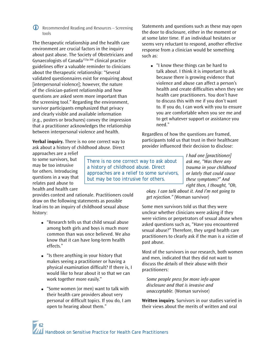L Recommended Reading and Resources – Screening tools

The therapeutic relationship and the health care environment are crucial factors in the inquiry about past abuse. The Society of Obstetricians and Gynaecologists of Canada<sup>153p.366</sup> clinical practice guidelines offer a valuable reminder to clinicians about the therapeutic relationship: "Several validated questionnaires exist for enquiring about [interpersonal violence]; however, the nature of the clinician-patient relationship and how questions are asked seem more important than the screening tool." Regarding the environment, survivor participants emphasized that privacy and clearly visible and available information (e.g., posters or brochures) convey the impression that a practitioner acknowledges the relationship between interpersonal violence and health.

**Verbal inquiry.** There is no one correct way to ask about a history of childhood abuse. Direct

approaches are a relief to some survivors, but may be too intrusive for others. Introducing questions in a way that relates past abuse to health and health care

There is no one correct way to ask about a history of childhood abuse. Direct approaches are a relief to some survivors, but may be too intrusive for others.

provides context and rationale. Practitioners could draw on the following statements as possible lead-ins to an inquiry of childhood sexual abuse history:

- "Research tells us that child sexual abuse among both girls and boys is much more common than was once believed. We also know that it can have long-term health effects."
- "Is there anything in your history that makes seeing a practitioner or having a physical examination difficult? If there is, I would like to hear about it so that we can work together more easily."
- "Some women (or men) want to talk with their health care providers about very personal or difficult topics. If you do, I am open to hearing about them."

Statements and questions such as these may open the door to disclosure, either in the moment or at some later time. If an individual hesitates or seems very reluctant to respond, another effective response from a clinician would be something such as:

• "I know these things can be hard to talk about. I think it is important to ask because there is growing evidence that violence and abuse can affect a person's health and create difficulties when they see health care practitioners. You don't have to discuss this with me if you don't want to. If you do, I can work with you to ensure you are comfortable when you see me and to get whatever support or assistance you need."

Regardless of how the questions are framed, participants told us that trust in their healthcare provider influenced their decision to disclose:

> *I had one [practitioner] ask me, "Was there any trauma in your childhood or lately that could cause these symptoms?" And right then, I thought, "Oh,*

*okay. I can talk about it. And I'm not going to get rejection."* (Woman survivor)

Some men survivors told us that they were unclear whether clinicians were asking if they were victims or perpetrators of sexual abuse when asked questions such as, "Have you encountered sexual abuse?" Therefore, they urged health care practitioners to clearly ask if the man is a *victim* of past abuse.

Most of the survivors in our research, both women and men, indicated that they did not want to discuss the *details* of their abuse with their practitioners:

*Some people press for more info upon disclosure and that is invasive and unacceptable.* (Woman survivor)

**Written inquiry.** Survivors in our studies varied in their views about the merits of written and oral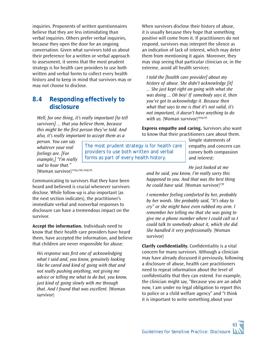inquiries. Proponents of written questionnaires believe that they are less intimidating than verbal inquiries. Others prefer verbal inquiries, because they open the door for an ongoing conversation. Given what survivors told us about their preference for a written or verbal approach to assessment, it seems that the most prudent strategy is for health care providers to use both written and verbal forms to collect every health history and to keep in mind that survivors may or may not choose to disclose.

### **8.4 Responding effectively to disclosure**

*Well, for one thing, it's really important [to tell survivors] ... that you believe them, because*  this might be the first person they've told. And *also, it's really important to accept them as a* 

When survivors disclose their history of abuse, it is usually because they hope that something positive will come from it. If practitioners do not respond, survivors may interpret the silence as an indication of lack of interest, which may deter them from mentioning it again. Moreover, they may stop seeing that particular clinician or, in the extreme, avoid all health services:

*I told the [health care provider] about my history of abuse. She didn't acknowledge [it] ... She just kept right on going with what she was doing ... Oh boy! If somebody says it, then you've got to acknowledge it. Because then what that says to me is that it's not valid, it's not important, it doesn't have anything to do*  with us. (Woman survivor)<sup>164p.95</sup>

**Express empathy and caring.** Survivors also want to know that their practitioners care about them.

*person. You can say whatever your real feelings are. [For example,] "I'm really sad to hear that."* (Woman survivor)<sup>143p.258,164p.95</sup>

The most prudent strategy is for health care providers to use both written and verbal forms as part of every health history.

Simple statements of empathy and concern can convey both compassion and interest:

*He just looked at me and he said, you know, I'm really sorry this happened to you. And that was the best thing he could have said.* (Woman survivor)<sup>159</sup>

*I remember feeling comforted by her, probably by her words. She probably said, "It's okay to cry" or she might have even rubbed my arm. I remember her telling me that she was going to give me a phone number where I could call so I could talk to somebody about it, which she did. She handled it very professionally.* (Woman survivor)

**Clarify confidentiality.** Confidentiality is a vital concern for many survivors. Although a clinician may have already discussed it previously, following a disclosure of abuse, health care practitioners need to repeat information about the level of confidentiality that they can extend. For example, the clinician might say, "Because you are an adult now, I am under no legal obligation to report this to police or a child welfare agency" and "I think it is important to write something about your

Communicating to survivors that they have been heard and believed is crucial whenever survivors disclose. While follow-up is also important (as the next section indicates), the practitioner's immediate verbal and nonverbal responses to disclosure can have a tremendous impact on the survivor.

**Accept the information.** Individuals need to know that their health care providers have heard them, have accepted the information, and believe that children are never responsible for abuse:

*His response was fi rst one of acknowledging what I said and, you know, genuinely looking like he cared and kind of going with that and not really pushing anything, not giving me advice or telling me what to do but, you know, just kind of going slowly with me through that. And I found that was excellent.* (Woman survivor)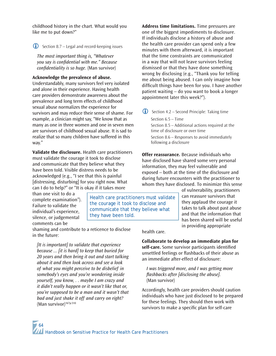childhood history in the chart. What would you like me to put down?"

 $\bullet$  Section 8.7 – Legal and record-keeping issues

*The most important thing is, "Whatever you say is confi dential with me." Because confidentiality is so huge.* (Man survivor)

#### **Acknowledge the prevalence of abuse.**

Understandably, many survivors feel very isolated and alone in their experience. Having health care providers demonstrate awareness about the prevalence and long term effects of childhood sexual abuse normalizes the experience for survivors and may reduce their sense of shame. For example, a clinician might say, "We know that as many as one in three women and one in seven men are survivors of childhood sexual abuse. It is sad to realize that so many children have suffered in this way."

**Validate the disclosure.** Health care practitioners must validate the courage it took to disclose and communicate that they believe what they have been told. Visible distress needs to be acknowledged (e.g., "I see that this is painful [distressing, disturbing] for you right now. What can I do to help?" or "It is okay if it takes more

than one visit to do a complete examination"). Failure to validate the individual's experience, silence, or judgemental comments can be

Health care practitioners must validate the courage it took to disclose and communicate that they believe what they have been told.

shaming and contribute to a reticence to disclose in the future:

*[It is important] to validate that experience because ... [it is hard] to keep that buried for 20 years and then bring it out and start talking about it and then look across and see a look of what you might perceive to be disbelief in somebody's eyes and you're wondering inside yourself, you know, . . maybe I am crazy and it didn't really happen or it wasn't like that or, you're supposed to be a man and it wasn't that bad and just shake it off and carry on right?*  (Man survivor)<sup>167p.510</sup>

**Address time limitations.** Time pressures are one of the biggest impediments to disclosure. If individuals disclose a history of abuse and the health care provider can spend only a few minutes with them afterward, it is important that the time constraints are communicated in a way that will not leave survivors feeling dismissed or that they have done something wrong by disclosing (e.g., "Thank you for telling me about being abused. I can only imagine how difficult things have been for you. I have another patient waiting – do you want to book a longer appointment later this week?").

 $\bullet$  Section 4.2 – Second Principle: Taking time Section 6.5 – Time Section 8.5 – Additional actions required at the time of disclosure or over time Section 8.6 – Responses to avoid immediately following a disclosure

**Offer reassurance.** Because individuals who have disclosed have shared some very personal information, they may feel vulnerable and exposed – both at the time of the disclosure and during future encounters with the practitioner to whom they have disclosed. To minimize this sense

of vulnerability, practitioners can reassure survivors that they applaud the courage it takes to talk about past abuse and that the information that has been shared will be useful in providing appropriate

health care.

**Collaborate to develop an immediate plan for**  self-care. Some survivor participants identified unsettled feelings or flashbacks of their abuse as an immediate after-effect of disclosure:

*I was triggered more, and I was getting more fl ashbacks after [disclosing the abuse].* (Man survivor)

Accordingly, health care providers should caution individuals who have just disclosed to be prepared for these feelings. They should then work with survivors to make a specific plan for self-care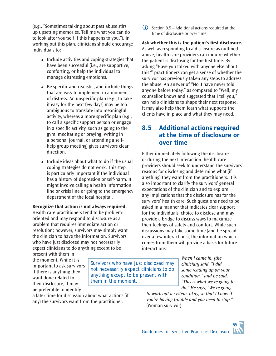(e.g., "Sometimes talking about past abuse stirs up upsetting memories. Tell me what you can do to look after yourself if this happens to you."). In working out this plan, clinicians should encourage individuals to:

- Include activities and coping strategies that have been successful (i.e., are supportive, comforting, or help the individual to manage distressing emotions).
- $\bullet$  Be specific and realistic, and include things that are easy to implement in a moment of distress. An unspecific plan (e.g., to take it easy for the next few days) may be too ambiguous to translate into meaningful activity, whereas a more specific plan (e.g., to call a specific support person or engage in a specific activity, such as going to the gym, meditating or praying, writing in a personal journal, or attending a selfhelp group meeting) gives survivors clear direction.
- Include ideas about what to do if the usual coping strategies do not work. This step is particularly important if the individual has a history of depression or self-harm. It might involve calling a health information line or crisis line or going to the emergency department of the local hospital.

#### **Recognize that action is not always required.**

Health care practitioners tend to be problemoriented and may respond to disclosure as a problem that requires immediate action or resolution; however, survivors may simply want the clinician to have the information. Survivors who have just disclosed may not necessarily expect clinicians to do anything except to be

present with them in the moment. While it is important to ask survivors if there is anything they want done related to their disclosure, it may be preferable to identify

Survivors who have just disclosed may not necessarily expect clinicians to do anything except to be present with them in the moment.

a later time for discussion about what actions (if any) the survivors want from the practitioner.

 $\Omega$  Section 8.5 – Additional actions required at the time of disclosure or over time

Ask whether this is the patient's first disclosure. As well as responding to a disclosure as outlined above, health care providers can inquire whether the patient is disclosing for the first time. By asking "Have you talked with anyone else about this?" practitioners can get a sense of whether the survivor has previously taken any steps to address the abuse. An answer of "No, I have never told anyone before today," as compared to "Well, my counsellor knows and suggested that I tell you," can help clinicians to shape their next response. It may also help them learn what supports the clients have in place and what they may need.

### **8.5 Additional actions required at the time of disclosure or over time**

Either immediately following the disclosure or during the next interaction, health care providers should seek to understand the survivors' reasons for disclosing and determine what (if anything) they want from the practitioners. It is also important to clarify the survivors' general expectations of the clinician and to explore any implications that the disclosure has for the survivors' health care. Such questions need to be asked in a manner that indicates clear support for the individuals' choice to disclose and may provide a bridge to discuss ways to maximize their feelings of safety and comfort. While such discussions may take some time (and be spread over a few interactions), the information which comes from them will provide a basis for future interactions:

> *When I came in, [the clinician] said, "I did some reading up on your condition," and he said, "This is what we're going to do." He says, "We're going*

*to work out a system, okay, so that I know if you're having trouble and you need to stop."*  (Woman survivor)

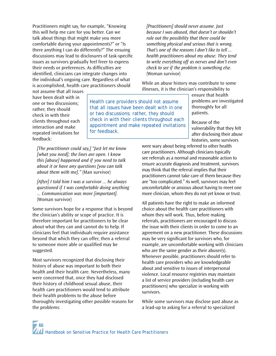Practitioners might say, for example, "Knowing this will help me care for you better. Can we talk about things that might make you more comfortable during your appointments?" or "Is there anything I can do differently?" The ensuing discussions may lead to disclosures of task-specific issues as survivors gradually feel freer to express their needs or preferences. As difficulties are identified, clinicians can integrate changes into the individual's ongoing care. Regardless of what is accomplished, health care practitioners should

not assume that all issues have been dealt with in one or two discussions; rather, they should check in with their clients throughout each interaction and make repeated invitations for feedback:

Health care providers should not assume that all issues have been dealt with in one or two discussions; rather, they should check in with their clients throughout each appointment and make repeated invitations for feedback.

*[The practitioner could say,] "Just let me know [what you need]; the lines are open. I know this [abuse] happened and if you need to talk about it or have any questions [you can talk about them with me]."* (Man survivor)

*[After] I told him I was a survivor ... he always questioned if I was comfortable doing anything ... Communication was more [important].* (Woman survivor)

Some survivors hope for a response that is beyond the clinician's ability or scope of practice. It is therefore important for practitioners to be clear about what they can and cannot do to help. If clinicians feel that individuals require assistance beyond that which they can offer, then a referral to someone more able or qualified may be suggested.

Most survivors recognized that disclosing their history of abuse was important to both their health and their health care. Nevertheless, many were concerned that, once they had disclosed their history of childhood sexual abuse, their health care practitioners would tend to attribute their health problems to the abuse before thoroughly investigating other possible reasons for the problems:

*[Practitioners] should never assume. Just because I was abused, that doesn't or shouldn't rule out the possibility that there could be something physical and serious that is wrong. That's one of the reasons I don't like to tell ... health practitioners about my abuse. They tend to write everything off as nerves and don't even check to see if the problem is something else.* (Woman survivor)

While an abuse history may contribute to some illnesses, it is the clinician's responsibility to

> ensure that health problems are investigated thoroughly for all patients.

Because of the vulnerability that they felt after disclosing their abuse histories, some survivors

were wary about being referred to other health care practitioners. Although clinicians typically see referrals as a normal and reasonable action to ensure accurate diagnosis and treatment, survivors may think that the referral implies that their practitioners cannot take care of them because they are "too complicated." As well, survivors may feel uncomfortable or anxious about having to meet one more clinician, whom they do not yet know or trust.

All patients have the right to make an informed choice about the health care practitioners with whom they will work. Thus, before making referrals, practitioners are encouraged to discuss the issue with their clients in order to come to an agreement on a new practitioner. These discussions may be very significant for survivors who, for example, are uncomfortable working with clinicians who are the same gender as their abuser(s). Whenever possible, practitioners should refer to health care providers who are knowledgeable about and sensitive to issues of interpersonal violence. Local resource registries may maintain a list of service providers (including health care practitioners) who specialize in working with survivors.

While some survivors may disclose past abuse as a lead-up to asking for a referral to specialized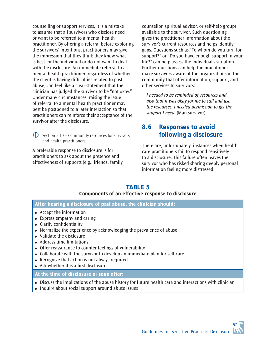counselling or support services, it is a mistake to assume that all survivors who disclose need or want to be referred to a mental health practitioner. By offering a referral before exploring the survivors' intentions, practitioners may give the impression that they think they know what is best for the individual or do not want to deal with the disclosure. An immediate referral to a mental health practitioner, regardless of whether the client is having difficulties related to past abuse, can feel like a clear statement that the clinician has judged the survivor to be "not okay." Under many circumstances, raising the issue of referral to a mental health practitioner may best be postponed to a later interaction so that practitioners can reinforce their acceptance of the survivor after the disclosure.

 $\bigcirc$  Section 5.10 – Community resources for survivors and health practitioners

A preferable response to disclosure is for practitioners to ask about the presence and effectiveness of supports (e.g., friends, family, counsellor, spiritual advisor, or self-help group) available to the survivor. Such questioning gives the practitioner information about the survivor's current resources and helps identify gaps. Questions such as "To whom do you turn for support?" or "Do you have enough support in your life?" can help assess the individual's situation. Further questions can help the practitioner make survivors aware of the organizations in the community that offer information, support, and other services to survivors:

*I needed to be reminded of resources and also that it was okay for me to call and use the resources. I needed permission to get the support I need.* (Man survivor)

## **8.6 Responses to avoid following a disclosure**

There are, unfortunately, instances when health care practitioners fail to respond sensitively to a disclosure. This failure often leaves the survivor who has risked sharing deeply personal information feeling more distressed.

#### **TABLE 5 Components of an effective response to disclosure**

#### **After hearing a disclosure of past abuse, the clinician should:** Accept the information Express empathy and caring  $\bullet$  Clarify confidentiality • Normalize the experience by acknowledging the prevalence of abuse • Validate the disclosure • Address time limitations • Offer reassurance to counter feelings of vulnerability Collaborate with the survivor to develop an immediate plan for self care • Recognize that action is not always required  $\bullet$  Ask whether it is a first disclosure **At the time of disclosure or soon after:** Discuss the implications of the abuse history for future health care and interactions with clinician • Inquire about social support around abuse issues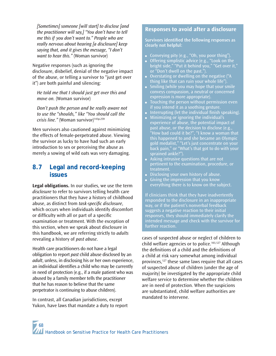*[Sometimes] someone [will start] to disclose [and the practitioner will say,] "You don't have to tell me this if you don't want to." People who are really nervous about hearing [a disclosure] keep saying that, and it gives the message, "I don't want to hear this."* (Woman survivor)

Negative responses (such as ignoring the disclosure, disbelief, denial of the negative impact of the abuse, or telling a survivor to "just get over it") are both painful and silencing:

*He told me that I should just get over this and move on.* (Woman survivor)

*Don't push the person and be really aware not to use the "shoulds," like "You should call the crisis line."* (Woman survivor)<sup>143p.259</sup>

Men survivors also cautioned against minimizing the effects of female-perpetrated abuse. Viewing the survivor as lucky to have had such an early introduction to sex or perceiving the abuse as merely a sowing of wild oats was very damaging.

### **8.7 Legal and record-keeping issues**

**Legal obligations.** In our studies, we use the term *disclosure* to refer to survivors telling health care practitioners that they have a history of childhood abuse, as distinct from *task-specific disclosure*, which occurs when individuals identify discomfort or difficulty with all or part of a specific examination or treatment. With the exception of this section, when we speak about disclosure in this handbook, we are referring strictly to *adults* revealing a history of *past abuse*.

Health care practitioners do not have a legal obligation to report *past* child abuse disclosed by an *adult*, unless, in disclosing his or her own experience, an individual identifies a child who may be currently in need of protection (e.g., if a male patient who was abused by a family member tells the practitioner that he has reason to believe that the same perpetrator is continuing to abuse children).

In contrast, all Canadian jurisdictions, except Yukon, have laws that mandate a duty to report

#### **Responses to avoid after a disclosure**

**Survivors identified the following responses as clearly not helpful:**

- Conveying pity (e.g., "Oh, you poor thing").
- Offering simplistic advice (e.g., "Look on the bright side," "Put it behind you," "Get over it," or "Don't dwell on the past.").
- Overstating or dwelling on the negative ("A thing like that can ruin your whole life").
- Smiling (while you may hope that your smile conveys compassion, a neutral or concerned expression is more appropriate).
- Touching the person without permission even if you intend it as a soothing gesture.
- Interrupting (let the individual finish speaking).
- Minimizing or ignoring the individual's experience of abuse, the potential impact of past abuse, or the decision to disclose (e.g., "How bad could it be?", "I know a woman that this happened to and she became an Olympic gold medalist," "Let's just concentrate on your back pain," or "What's that got to do with your sprained ankle?").
- Asking intrusive questions that are not pertinent to the examination, procedure, or treatment.
- Disclosing your own history of abuse.
- Giving the impression that you know everything there is to know on the subject.

If clinicians think that they have inadvertently responded to the disclosure in an inappropriate way, or if the patient's nonverbal feedback suggests a negative reaction to their initial responses, they should immediately clarify the intended message and check with the survivor for further reaction.

cases of suspected abuse or neglect of children to child welfare agencies or to police.103,127 Although the definitions of a child and the definitions of a child at risk vary somewhat among individual provinces,127 these same laws require that all cases of suspected abuse of children (under the age of majority) be investigated by the appropriate child welfare service to determine whether the children are in need of protection. When the suspicions are substantiated, child welfare authorities are mandated to intervene.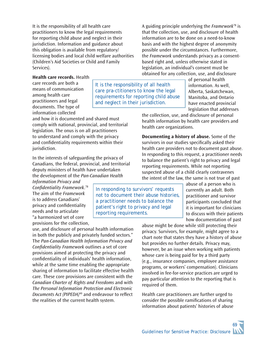It is the responsibility of all health care practitioners to know the legal requirements for reporting child abuse and neglect in their jurisdiction. Information and guidance about this obligation is available from regulatory/ licensing bodies and local child welfare authorities (Children's Aid Societies or Child and Family Services).

A guiding principle underlying the *Framework*78 is that the collection, use, and disclosure of health information are to be done on a need-to-know basis and with the highest degree of anonymity possible under the circumstances. Furthermore, the *Framework* understands privacy as a consentbased right and, unless otherwise stated in legislation, an individual's consent must be obtained for any collection, use, and disclosure

#### **Health care records.** Health

care records are both a means of communication among health care practitioners and legal documents. The type of information collected

and how it is documented and shared must comply with national, provincial, and territorial legislation. The onus is on all practitioners to understand and comply with the privacy and confidentiality requirements within their jurisdiction.

In the interests of safeguarding the privacy of Canadians, the federal, provincial, and territorial deputy ministers of health have undertaken the development of the *Pan-Canadian Health* 

*Information Privacy and Confi dentiality Framework*. 78 The aim of the *Framework* is to address Canadians' privacy and confidentiality needs and to articulate "a harmonized set of core provisions for the collection,

use, and disclosure of personal health information in both the publicly and privately funded sectors." The *Pan-Canadian Health Information Privacy and Confidentiality Framework* outlines a set of core provisions aimed at protecting the privacy and confidentiality of individuals' health information, while at the same time enabling the appropriate sharing of information to facilitate effective health care. These core provisions are consistent with the *Canadian Charter of Rights and Freedoms* and with *The Personal Information Protection and Electronic Documents Act (PIPEDA)<sup>40</sup> and endeavour to reflect* the realities of the current health system.

It is the responsibility of all health care pra-ctitioners to know the legal requirements for reporting child abuse and neglect in their jurisdiction.

of personal health information. As well, Alberta, Saskatchewan, Manitoba, and Ontario have enacted provincial legislation that addresses

the collection, use, and disclosure of personal health information by health care providers and health care organizations.

**Documenting a history of abuse.** Some of the survivors in our studies specifically asked their health care providers not to document past abuse. In responding to this request, a practitioner needs to balance the patient's right to privacy and legal reporting requirements. While not reporting suspected abuse of a child clearly contravenes the intent of the law, the same is not true of past

> abuse of a person who is currently an adult. Both practitioner and survivor participants concluded that it is important for clinicians to discuss with their patients how documentation of past

abuse might be done while still protecting their privacy. Survivors, for example, might agree to a chart note that states they have a history of abuse but provides no further details. Privacy may, however, be an issue when working with patients whose care is being paid for by a third party (e.g., insurance companies, employee assistance programs, or workers' compensation). Clinicians involved in fee-for-service practices are urged to pay particular attention to the reporting that is required of them.

Health care practitioners are further urged to consider the possible ramifications of sharing information about patients' histories of abuse

In responding to survivors' requests not to document their abuse histories, a practitioner needs to balance the patient's right to privacy and legal reporting requirements.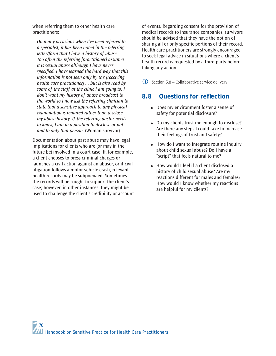when referring them to other health care practitioners:

*On many occasions when I've been referred to a specialist, it has been noted in the referring letter/form that I have a history of abuse. Too often the referring [practitioner] assumes it is sexual abuse although I have never specifi ed. I have learned the hard way that this information is not seen only by the [receiving health care practitioner] ... but is also read by some of the staff at the clinic I am going to. I don't want my history of abuse broadcast to the world so I now ask the referring clinician to state that a sensitive approach to any physical examination is required rather than disclose my abuse history. If the referring doctor needs to know, I am in a position to disclose or not and to only that person.* (Woman survivor)

Documentation about past abuse may have legal implications for clients who are (or may in the future be) involved in a court case. If, for example, a client chooses to press criminal charges or launches a civil action against an abuser, or if civil litigation follows a motor vehicle crash, relevant health records may be subpoenaed. Sometimes the records will be sought to support the client's case; however, in other instances, they might be used to challenge the client's credibility or account of events. Regarding consent for the provision of medical records to insurance companies, survivors should be advised that they have the option of sharing all or only specific portions of their record. Health care practitioners are strongly encouraged to seek legal advice in situations where a client's health record is requested by a third party before taking any action.

 $(i)$  Section 5.8 – Collaborative service delivery

### **8.8 Ouestions for reflection**

- Does my environment foster a sense of safety for potential disclosure?
- Do my clients trust me enough to disclose? Are there any steps I could take to increase their feelings of trust and safety?
- How do I want to integrate routine inquiry about child sexual abuse? Do I have a "script" that feels natural to me?
- How would I feel if a client disclosed a history of child sexual abuse? Are my reactions different for males and females? How would I know whether my reactions are helpful for my clients?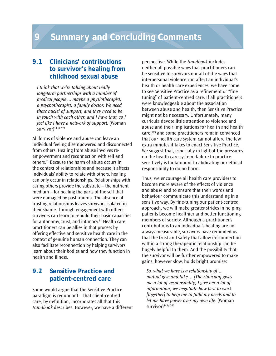### **9.1 Clinicians' contributions to survivor's healing from childhood sexual abuse**

*I think that we're talking about really long-term partnerships with a number of medical people ... maybe a physiotherapist, a psychotherapist, a family doctor. We need these nuclei of support, and they need to be in touch with each other, and I have that, so I feel like I have a network of support.* (Woman survivor)<sup>143p.259</sup>

All forms of violence and abuse can leave an individual feeling disempowered and disconnected from others. Healing from abuse involves reempowerment and reconnection with self and others.81 Because the harm of abuse occurs in the context of relationships and because it affects individuals' ability to relate with others, healing can only occur in relationships. Relationships with caring others provide the substrate – the nutrient medium – for healing the parts of the self that were damaged by past trauma. The absence of trusting relationships leaves survivors isolated in their shame. Through engagement with others, survivors can learn to rebuild their basic capacities for autonomy, trust, and intimacy. $81$  Health care practitioners can be allies in that process by offering effective and sensitive health care in the context of genuine human connection. They can also facilitate reconnection by helping survivors learn about their bodies and how they function in health and illness.

### **9.2 Sensitive Practice and patient-centred care**

Some would argue that the Sensitive Practice paradigm is redundant – that client-centred care, by definition, incorporates all that this *Handbook* describes. However, we have a different

perspective. While the *Handbook* includes neither all possible ways that practitioners can be sensitive to survivors nor all of the ways that interpersonal violence can affect an individual's health or health care experiences, we have come to see Sensitive Practice as a refinement or "fine tuning" of patient-centred care. If all practitioners were knowledgeable about the association between abuse and health, then Sensitive Practice might not be necessary. Unfortunately, many curricula devote little attention to violence and abuse and their implications for health and health care,<sup>169</sup> and some practitioners remain convinced that our health care system cannot afford the few extra minutes it takes to enact Sensitive Practice. We suggest that, especially in light of the pressures on the health care system, failure to practice sensitively is tantamount to abdicating our ethical responsibility to do no harm.

Thus, we encourage all health care providers to become more aware of the effects of violence and abuse and to ensure that their words and behaviour communicate this understanding in a sensitive way. By fine-tuning our patient-centred approach, we will make greater strides in helping patients become healthier and better functioning members of society. Although a practitioner's contributions to an individual's healing are not always measurable, survivors have reminded us that the trust and safety that allow (re)connection within a strong therapeutic relationship can be hugely helpful to them. And the possibility that the survivor will be further empowered to make gains, however slow, holds bright promise:

*So, what we have is a relationship of ... mutual give and take ... [The clinician] gives me a lot of responsibility; I give her a lot of information; we negotiate how best to work [together] to help me to fulfil my needs and to let me have power over my own life.* (Woman survivor)<sup>143p.260</sup>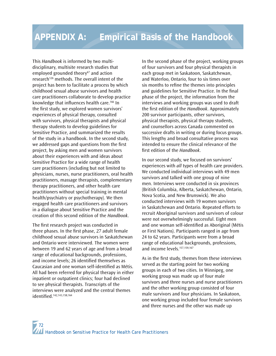# **APPENDIX A: Empirical Basis of the Handbook**

This *Handbook* is informed by two multidisciplinary, multisite research studies that employed grounded theory<sup>67</sup> and action research<sup>126</sup> methods. The overall intent of the project has been to facilitate a process by which childhood sexual abuse survivors and health care practitioners collaborate to develop practice knowledge that influences health care.<sup>166</sup> In the first study, we explored women survivors' experiences of physical therapy, consulted with survivors, physical therapists and physical therapy students to develop guidelines for Sensitive Practice, and summarized the results of the study in a handbook. In the second study, we addressed gaps and questions from the first project, by asking men and women survivors about their experiences with and ideas about Sensitive Practice for a wide range of health care practitioners (including but not limited to physicians, nurses, nurse practitioners, oral health practitioners, massage therapists, complementary therapy practitioners, and other health care practitioners without special training in mental health/psychiatry or psychotherapy). We then engaged health care practitioners and survivors in a dialogue about Sensitive Practice and the creation of this second edition of the *Handbook*.

The first research project was conducted in three phases. In the first phase, 27 adult female childhood sexual abuse survivors in Saskatchewan and Ontario were interviewed. The women were between 19 and 62 years of age and from a broad range of educational backgrounds, professions, and income levels: 26 identified themselves as Caucasian and one woman self-identified as Métis. All had been referred for physical therapy in either inpatient or outpatient clinics; four had declined to see physical therapists. Transcripts of the interviews were analyzed and the central themes identified.<sup>142,143,158,164</sup>

In the second phase of the project, working groups of four survivors and four physical therapists in each group met in Saskatoon, Saskatchewan, and Waterloo, Ontario, four to six times over six months to refine the themes into principles and guidelines for Sensitive Practice. In the final phase of the project, the information from the interviews and working groups was used to draft the fi rst edition of the *Handbook*. Approximately 200 survivor participants, other survivors, physical therapists, physical therapy students, and counsellors across Canada commented on successive drafts in writing or during focus groups. This lengthy and broad consultative process was intended to ensure the clinical relevance of the first edition of the *Handbook*.

In our second study, we focused on survivors' experiences with *all* types of health care providers. We conducted individual interviews with 49 men survivors and talked with one group of nine men. Interviews were conducted in six provinces (British Columbia, Alberta, Saskatchewan, Ontario, Nova Scotia, and New Brunswick). We also conducted interviews with 19 women survivors in Saskatchewan and Ontario. Repeated efforts to recruit Aboriginal survivors and survivors of colour were not overwhelmingly successful. Eight men and one woman self-identified as Aboriginal (Métis or First Nations). Participants ranged in age from 24 to 62 years. Participants were from a broad range of educational backgrounds, professions, and income levels.<sup>157,159,167</sup>

As in the first study, themes from these interviews served as the starting point for two working groups in each of two cities. In Winnipeg, one working group was made up of four male survivors and three nurses and nurse practitioners and the other working group consisted of four male survivors and four physicians. In Saskatoon, one working group included four female survivors and three nurses and the other was made up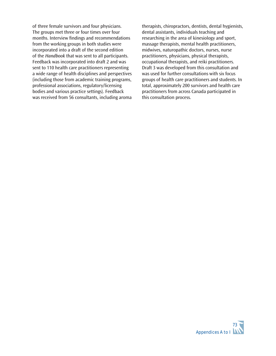of three female survivors and four physicians. The groups met three or four times over four months. Interview findings and recommendations from the working groups in both studies were incorporated into a draft of the second edition of the *Handbook* that was sent to all participants. Feedback was incorporated into draft 2 and was sent to 110 health care practitioners representing a wide range of health disciplines and perspectives (including those from academic training programs, professional associations, regulatory/licensing bodies and various practice settings). Feedback was received from 56 consultants, including aroma therapists, chiropractors, dentists, dental hygienists, dental assistants, individuals teaching and researching in the area of kinesiology and sport, massage therapists, mental health practitioners, midwives, naturopathic doctors, nurses, nurse practitioners, physicians, physical therapists, occupational therapists, and reiki practitioners. Draft 3 was developed from this consultation and was used for further consultations with six focus groups of health care practitioners and students. In total, approximately 200 survivors and health care practitioners from across Canada participated in this consultation process.

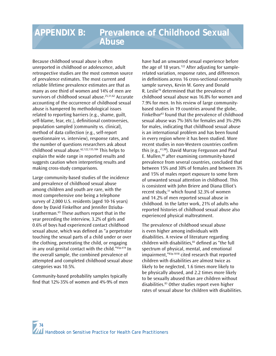## **APPENDIX B: Prevalence of Childhood Sexual Abuse**

Because childhood sexual abuse is often unreported in childhood or adolescence, adult retrospective studies are the most common source of prevalence estimates. The most current and reliable lifetime prevalence estimates are that as many as one third of women and 14% of men are survivors of childhood sexual abuse.<sup>25,31,62</sup> Accurate accounting of the occurrence of childhood sexual abuse is hampered by methodological issues related to reporting barriers (e.g., shame, guilt, self-blame, fear, etc.), definitional controversies, population sampled (community vs. clinical), method of data collection (e.g., self-report questionnaire vs. interview), response rates, and the number of questions researchers ask about childhood sexual abuse.62,122,135,184 This helps to explain the wide range in reported results and suggests caution when interpreting results and making cross-study comparisons.

Large community-based studies of the incidence and prevalence of childhood sexual abuse among children and youth are rare, with the most comprehensive one being a telephone survey of 2,000 U.S. residents (aged 10-16 years) done by David Finkelhor and Jennifer Dziuba-Leatherman.65 These authors report that in the year preceding the interview, 3.2% of girls and 0.6% of boys had experienced contact childhood sexual abuse, which was defined as "a perpetrator touching the sexual parts of a child under or over the clothing, penetrating the child, or engaging in any oral-genital contact with the child."65p.419 In the overall sample, the combined prevalence of attempted and completed childhood sexual abuse categories was 10.5%.

Community-based probability samples typically find that  $12\% - 35\%$  of women and  $4\% - 9\%$  of men have had an unwanted sexual experience before the age of 18 years.<sup>122</sup> After adjusting for samplerelated variation, response rates, and differences in definitions across 16 cross-sectional community sample surveys, Kevin M. Gorey and Donald R. Leslie<sup>70</sup> determined that the prevalence of childhood sexual abuse was 16.8% for women and 7.9% for men. In his review of large communitybased studies in 19 countries around the globe, Finkelhor<sup>63</sup> found that the prevalence of childhood sexual abuse was 7%-36% for females and 3%-29% for males, indicating that childhood sexual abuse is an international problem and has been found in every region where it has been studied. More recent studies in non-Western countries confirm this (e.g., $41,98$ ). David Murray Fergusson and Paul E. Mullen,<sup>60</sup> after examining community-based prevalence from several countries, concluded that between 15% and 30% of females and between 3% and 15% of males report exposure to some form of unwanted sexual attention in childhood. This is consistent with John Briere and Diana Elliot's recent study,31 which found 32.3% of women and 14.2% of men reported sexual abuse in childhood. In the latter work, 21% of adults who reported histories of childhood sexual abuse also experienced physical maltreatment.

The prevalence of childhood sexual abuse is even higher among individuals with disabilities. A review of literature regarding children with disabilities, $83$  defined as "the full spectrum of physical, mental, and emotional impairment,"83p.1018 cited research that reported children with disabilities are almost twice as likely to be neglected, 1.6 times more likely to be physically abused, and 2.2 times more likely to be sexually abused than are children without disabilities.83 Other studies report even higher rates of sexual abuse for children with disabilities.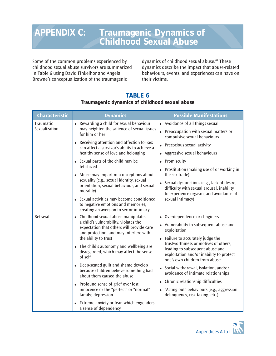## **APPENDIX C: Traumagenic Dynamics of** *Childhood Sexual Abuse*

Some of the common problems experienced by childhood sexual abuse survivors are summarized in Table 6 using David Finkelhor and Angela Browne's conceptualization of the traumagenic

dynamics of childhood sexual abuse.<sup>64</sup> These dynamics describe the impact that abuse-related behaviours, events, and experiences can have on their victims.

## **TABLE 6**

#### **Traumagenic dynamics of childhood sexual abuse**

| <b>Characteristic</b>      | <b>Dynamics</b>                                                                                                                                                                              | <b>Possible Manifestations</b>                                                                                                                        |
|----------------------------|----------------------------------------------------------------------------------------------------------------------------------------------------------------------------------------------|-------------------------------------------------------------------------------------------------------------------------------------------------------|
| Traumatic<br>Sexualization | • Rewarding a child for sexual behaviour<br>may heighten the salience of sexual issues<br>for him or her                                                                                     | • Avoidance of all things sexual<br>Preoccupation with sexual matters or                                                                              |
|                            | • Receiving attention and affection for sex<br>can affect a survivor's ability to achieve a<br>healthy sense of love and belonging                                                           | compulsive sexual behaviours<br>• Precocious sexual activity<br>Aggressive sexual behaviours                                                          |
|                            | • Sexual parts of the child may be<br>fetishized                                                                                                                                             | Promiscuity<br>Prostitution (making use of or working in                                                                                              |
|                            | • Abuse may impart misconceptions about<br>sexuality (e.g., sexual identity, sexual<br>orientation, sexual behaviour, and sexual<br>morality)                                                | the sex trade)<br>Sexual dysfunctions (e.g., lack of desire,<br>difficulty with sexual arousal, inability<br>to experience orgasm, and avoidance of   |
|                            | • Sexual activities may become conditioned<br>to negative emotions and memories,<br>creating an aversion to sex or intimacy                                                                  | sexual intimacy)                                                                                                                                      |
| Betrayal                   | • Childhood sexual abuse manipulates<br>a child's vulnerability, violates the<br>expectation that others will provide care<br>and protection, and may interfere with<br>the ability to trust | Overdependence or clinginess<br>$\bullet$<br>• Vulnerability to subsequent abuse and<br>exploitation<br>Failure to accurately judge the<br>$\bullet$  |
|                            | • The child's autonomy and wellbeing are<br>disregarded, which may affect the sense<br>of self                                                                                               | trustworthiness or motives of others,<br>leading to subsequent abuse and<br>exploitation and/or inability to protect<br>one's own children from abuse |
|                            | • Deep-seated guilt and shame develop<br>because children believe something bad<br>about them caused the abuse                                                                               | • Social withdrawal, isolation, and/or<br>avoidance of intimate relationships                                                                         |
|                            | • Profound sense of grief over lost<br>innocence or the "perfect" or "normal"<br>family; depression                                                                                          | Chronic relationship difficulties<br>$\bullet$<br>• "Acting out" behaviours (e.g., aggression,<br>delinquency, risk-taking, etc.)                     |
|                            | Extreme anxiety or fear, which engenders<br>a sense of dependency                                                                                                                            |                                                                                                                                                       |

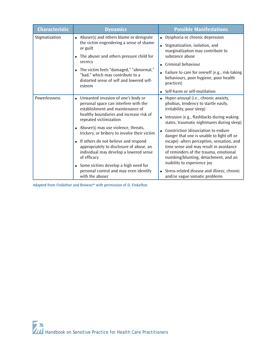| <b>Characteristic</b> | <b>Dynamics</b>                                                                                                                                                                                                                                                                                                                                                                                                                                                                                                                        | <b>Possible Manifestations</b>                                                                                                                                                                                                                                                                                                                                                                                                                                                                                                                                                     |
|-----------------------|----------------------------------------------------------------------------------------------------------------------------------------------------------------------------------------------------------------------------------------------------------------------------------------------------------------------------------------------------------------------------------------------------------------------------------------------------------------------------------------------------------------------------------------|------------------------------------------------------------------------------------------------------------------------------------------------------------------------------------------------------------------------------------------------------------------------------------------------------------------------------------------------------------------------------------------------------------------------------------------------------------------------------------------------------------------------------------------------------------------------------------|
| Stigmatization        | • Abuser(s) and others blame or denigrate<br>the victim engendering a sense of shame<br>or guilt<br>The abuser and others pressure child for<br>secrecy<br>The victim feels "damaged," "abnormal,"<br>"bad," which may contribute to a<br>distorted sense of self and lowered self-<br>esteem                                                                                                                                                                                                                                          | Dysphoria or chronic depression<br>$\bullet$<br>Stigmatization, isolation, and<br>marginalization may contribute to<br>substance abuse<br>Criminal behaviour<br>$\bullet$<br>Failure to care for oneself (e.g., risk-taking<br>behaviours, poor hygiene, poor health<br>practices)<br>Self-harm or self-mutilation<br>$\bullet$                                                                                                                                                                                                                                                    |
| Powerlessness         | • Unwanted invasion of one's body or<br>personal space can interfere with the<br>establishment and maintenance of<br>healthy boundaries and increase risk of<br>repeated victimization<br>• Abuser(s) may use violence, threats,<br>trickery, or bribery to involve their victim<br>• If others do not believe and respond<br>appropriately to disclosure of abuse, an<br>individual may develop a lowered sense<br>of efficacy<br>• Some victims develop a high need for<br>personal control and may even identify<br>with the abuser | Hyper-arousal (i.e., chronic anxiety,<br>phobias, tendency to startle easily,<br>irritability, poor sleep)<br>Intrusion (e.g., flashbacks during waking<br>states, traumatic nightmares during sleep)<br>Constriction (dissociation to endure<br>danger that one is unable to fight off or<br>escape) -alters perception, sensation, and<br>time sense and may result in avoidance<br>of reminders of the trauma, emotional<br>numbing/blunting, detachment, and an<br>inability to experience joy<br>Stress-related disease and illness; chronic<br>and/or vague somatic problems |

Adapted from Finklehor and Browne<sup>64</sup> with permission of D. Finkelhor.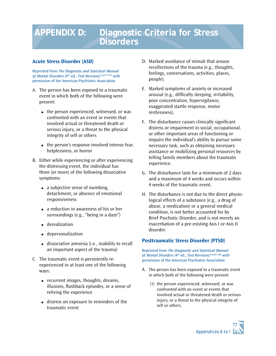## **APPENDIX D: Diagnostic Criteria for Stress Disorders**

#### **Acute Stress Disorder (ASD)**

Reprinted from *The Diagnostic and Statistical Manual*  of Mental Disorders (4<sup>th</sup> ed., Text Revision)<sup>11p.471-472</sup> with permission of the American Psychiatric Association.

- A. The person has been exposed to a traumatic event in which both of the following were present:
	- the person experienced, witnessed, or was confronted with an event or events that involved actual or threatened death or serious injury, or a threat to the physical integrity of self or others
	- the person's response involved intense fear, helplessness, or horror
- B. Either while experiencing or after experiencing the distressing event, the individual has three (or more) of the following dissociative symptoms:
	- a subjective sense of numbing, detachment, or absence of emotional responsiveness
	- a reduction in awareness of his or her surroundings (e.g., "being in a daze")
	- **•** derealization
	- depersonalization
	- dissociative amnesia (i.e., inability to recall an important aspect of the trauma)
- C. The traumatic event is persistently reexperienced in at least one of the following ways:
	- recurrent images, thoughts, dreams, illusions, flashback episodes, or a sense of reliving the experience
	- distress on exposure to reminders of the traumatic event
- D. Marked avoidance of stimuli that arouse recollections of the trauma (e.g., thoughts, feelings, conversations, activities, places, people).
- E. Marked symptoms of anxiety or increased arousal (e.g., difficulty sleeping, irritability, poor concentration, hypervigilance, exaggerated startle response, motor restlessness).
- F. The disturbance causes clinically significant distress or impairment in social, occupational, or other important areas of functioning or impairs the individual's ability to pursue some necessary task, such as obtaining necessary assistance or mobilizing personal resources by telling family members about the traumatic experience.
- G. The disturbance lasts for a minimum of 2 days and a maximum of 4 weeks and occurs within 4 weeks of the traumatic event.
- H. The disturbance is not due to the direct physiological effects of a substance (e.g., a drug of abuse, a medication) or a general medical condition, is not better accounted for by Brief Psychotic Disorder, and is not merely an exacerbation of a pre-existing Axis I or Axis II disorder.

#### **Posttraumatic Stress Disorder (PTSD)**

Reprinted from *The Diagnostic and Statistical Manual*  of Mental Disorders (4<sup>th</sup> ed., Text Revision)<sup>11p.467-468</sup> with permission of the American Psychiatric Association.

- A. The person has been exposed to a traumatic event in which both of the following were present:
	- (1) the person experienced, witnessed, or was confronted with an event or events that involved actual or threatened death or serious injury, or a threat to the physical integrity of self or others.

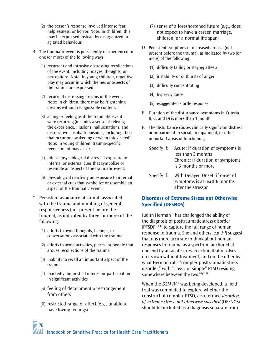- (2) the person's response involved intense fear, helplessness, or horror. Note: In children, this may be expressed instead by disorganized or agitated behaviour.
- B. The traumatic event is persistently reexperienced in one (or more) of the following ways:
	- (1) recurrent and intrusive distressing recollections of the event, including images, thoughts, or perceptions. Note: In young children, repetitive play may occur in which themes or aspects of the trauma are expressed.
	- (2) recurrent distressing dreams of the event. Note: In children, there may be frightening dreams without recognizable content.
	- (3) acting or feeling as if the traumatic event were recurring (includes a sense of reliving the experience, illusions, hallucinations, and dissociative flashback episodes, including those that occur on awakening or when intoxicated). Note: In young children, trauma-specific reenactment may occur.
	- (4) intense psychological distress at exposure to internal or external cues that symbolize or resemble an aspect of the traumatic event.
	- (5) physiological reactivity on exposure to internal or external cues that symbolize or resemble an aspect of the traumatic event.
- C. Persistent avoidance of stimuli associated with the trauma and numbing of general responsiveness (not present before the trauma), as indicated by three (or more) of the following:
	- (1) efforts to avoid thoughts, feelings, or conversations associated with the trauma
	- (2) efforts to avoid activities, places, or people that arouse recollections of the trauma
	- (3) inability to recall an important aspect of the trauma
	- (4) markedly diminished interest or participation in significant activities
	- (5) feeling of detachment or estrangement from others
	- (6) restricted range of affect (e.g., unable to have loving feelings)
- (7) sense of a foreshortened future (e.g., does not expect to have a career, marriage, children, or a normal life span)
- D. Persistent symptoms of increased arousal (not present before the trauma), as indicated by two (or more) of the following:
	- $(1)$  difficulty falling or staying asleep
	- (2) irritability or outbursts of anger
	- (3) difficulty concentrating
	- (4) hypervigilance
	- (5) exaggerated startle response
- E. Duration of the disturbance (symptoms in Criteria B, C, and D) is more than 1 month.
- F. The disturbance causes clinically significant distress or impairment in social, occupational, or other important areas of functioning.
	- Specify if: Acute: if duration of symptoms is less than 3 months Chronic: if duration of symptoms is 3 months or more
	- Specify if: With Delayed Onset: if onset of symptoms is at least 6 months after the stressor

#### **Disorders of Extreme Stress not Otherwise Specified (DESNOS)**

Judith Herman<sup>81</sup> has challenged the ability of the diagnosis of posttraumatic stress disorder  $(PTSD)^{9,10,11}$  to capture the full range of human response to trauma. She and others (e.g.,173) suggest that it is more accurate to think about human responses to trauma as a spectrum anchored at one end by an acute stress reaction that resolves on its own without treatment, and on the other by what Herman calls "complex posttraumatic stress disorder," with "classic or simple" PTSD residing somewhere between the two.<sup>81p.119</sup>

When the *DSM IV*<sup>10</sup> was being developed, a field trial was completed to explore whether the construct of complex PTSD, also termed *disorders of extreme stress, not otherwise specified* (DESNOS) should be included as a diagnosis separate from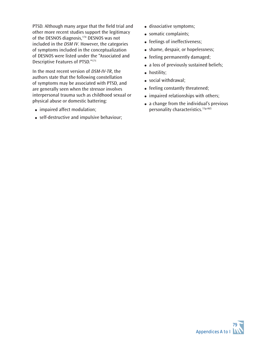PTSD. Although many argue that the field trial and other more recent studies support the legitimacy of the DESNOS diagnosis,174 DESNOS was not included in the *DSM IV*. However, the categories of symptoms included in the conceptualization of DESNOS were listed under the "Associated and Descriptive Features of PTSD."171

In the most recent version of *DSM-IV-TR*, the authors state that the following constellation of symptoms may be associated with PTSD, and are generally seen when the stressor involves interpersonal trauma such as childhood sexual or physical abuse or domestic battering:

- impaired affect modulation;
- self-destructive and impulsive behaviour;
- dissociative symptoms;
- somatic complaints;
- feelings of ineffectiveness;
- shame, despair, or hopelessness;
- feeling permanently damaged;
- a loss of previously sustained beliefs;
- hostility:
- social withdrawal;
- feeling constantly threatened;
- impaired relationships with others;
- a change from the individual's previous personality characteristics.<sup>11p.465</sup>

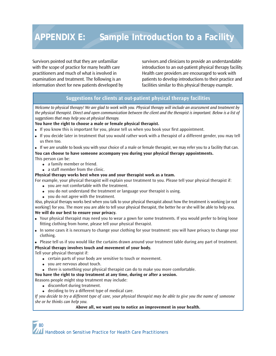# **APPENDIX E: Sample Introduction to a Facility**

Survivors pointed out that they are unfamiliar with the scope of practice for many health care practitioners and much of what is involved in examination and treatment. The following is an information sheet for new patients developed by survivors and clinicians to provide an understandable introduction to an out-patient physical therapy facility. Health care providers are encouraged to work with patients to develop introductions to their practice and facilities similar to this physical therapy example.

#### **Suggestions for clients at out-patient physical therapy facilities**

*Welcome to physical therapy! We are glad to work with you. Physical therapy will include an assessment and treatment by the physical therapist. Direct and open communication between the client and the therapist is important. Below is a list of suggestions that may help you at physical therapy.*

#### **You have the right to choose a male or female physical therapist.**

- $\bullet$  If you know this is important for you, please tell us when you book your first appointment.
- If you decide later in treatment that you would rather work with a therapist of a different gender, you may tell us then too.

 If we are unable to book you with your choice of a male or female therapist, we may refer you to a facility that can. **You can choose to have someone accompany you during your physical therapy appointments.**

This person can be:

- a family member or friend.
- a staff member from the clinic.

#### **Physical therapy works best when you and your therapist work as a team.**

For example, your physical therapist will explain your treatment to you. Please tell your physical therapist if:

- you are not comfortable with the treatment.
- you do not understand the treatment or language your therapist is using.
- you do not agree with the treatment.

Also, physical therapy works best when you talk to your physical therapist about how the treatment is working (or not working!) for you. The more you are able to tell your physical therapist, the better he or she will be able to help you. **We will do our best to ensure your privacy.**

- Your physical therapist may need you to wear a gown for some treatments. If you would prefer to bring loose fitting clothing from home, please tell your physical therapist.
- In some cases it is necessary to change your clothing for your treatment: you will have privacy to change your clothing.
- Please tell us if you would like the curtains drawn around your treatment table during any part of treatment.

#### **Physical therapy involves touch and movement of your body.**

Tell your physical therapist if:

- certain parts of your body are sensitive to touch or movement.
- you are nervous about touch.
- there is something your physical therapist can do to make you more comfortable.

#### **You have the right to stop treatment at any time, during or after a session.**

Reasons people might stop treatment may include:

- discomfort during treatment.
- deciding to try a different type of medical care.

*If you decide to try a different type of care, your physical therapist may be able to give you the name of someone she or he thinks can help you.*

#### **Above all, we want you to notice an improvement in your health.**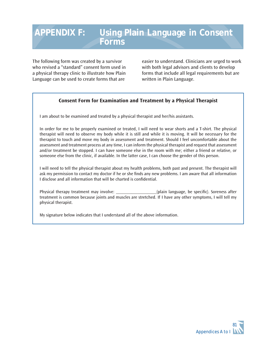## **APPENDIX F: Using Plain Language in Consent Forms**

The following form was created by a survivor who revised a "standard" consent form used in a physical therapy clinic to illustrate how Plain Language can be used to create forms that are

easier to understand. Clinicians are urged to work with both legal advisors and clients to develop forms that include all legal requirements but are written in Plain Language.

#### **Consent Form for Examination and Treatment by a Physical Therapist**

I am about to be examined and treated by a physical therapist and her/his assistants.

In order for me to be properly examined or treated, I will need to wear shorts and a T-shirt. The physical therapist will need to observe my body while it is still and while it is moving. It will be necessary for the therapist to touch and move my body in assessment and treatment. Should I feel uncomfortable about the assessment and treatment process at any time, I can inform the physical therapist and request that assessment and/or treatment be stopped. I can have someone else in the room with me; either a friend or relative, or someone else from the clinic, if available. In the latter case, I can choose the gender of this person.

I will need to tell the physical therapist about my health problems, both past and present. The therapist will ask my permission to contact my doctor if he or she finds any new problems. I am aware that all information I disclose and all information that will be charted is confidential.

Physical therapy treatment may involve: <br>(plain language, be specific). Soreness after treatment is common because joints and muscles are stretched. If I have any other symptoms, I will tell my physical therapist.

My signature below indicates that I understand all of the above information.

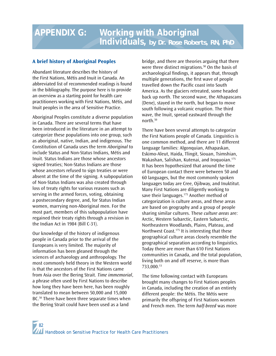

#### **A brief history of Aboriginal Peoples**

Abundant literature describes the history of the First Nations, Métis and Inuit in Canada. An abbreviated list of recommended readings is found in the bibliography. The purpose here is to provide an overview as a starting point for health care practitioners working with First Nations, Métis, and Inuit peoples in the area of Sensitive Practice.

Aboriginal Peoples constitute a diverse population in Canada. There are several terms that have been introduced in the literature in an attempt to categorize these populations into one group, such as aboriginal, native, Indian, and indigenous. The Constitution of Canada uses the term *Aboriginal* to include Status and Non-Status Indians, Métis and Inuit. Status Indians are those whose ancestors signed treaties; Non-Status Indians are those whose ancestors refused to sign treaties or were absent at the time of the signing. A subpopulation of Non-Status Indians was also created through loss of treaty rights for various reasons such as serving in the armed forces, voting, obtaining a postsecondary degree, and, for Status Indian women, marrying non-Aboriginal men. For the most part, members of this subpopulation have regained their treaty rights through a revision in the Indian Act in 1984 (Bill C-31).

Our knowledge of the history of indigenous people in Canada prior to the arrival of the Europeans is very limited. The majority of information has been gleaned through the sciences of archaeology and anthropology. The most commonly held theory in the Western world is that the ancestors of the First Nations came from Asia over the Bering Strait. *Time immemorial*, a phrase often used by First Nations to describe how long they have been here, has been roughly translated to mean between 50,000 and 15,000 BC.<sup>50</sup> There have been three separate times when the Bering Strait could have been used as a land

bridge, and there are theories arguing that there were three distinct migrations.<sup>50</sup> On the basis of archaeological findings, it appears that, through multiple generations, the first wave of people travelled down the Pacific coast into South America. As the glaciers retreated, some headed back up north. The second wave, the Athapascans (Dene), stayed in the north, but began to move south following a volcanic eruption. The third wave, the Inuit, spread eastward through the north.50

There have been several attempts to categorize the First Nations people of Canada. Linguistics is one common method, and there are 11 different language families: Algonquian, Athapaskan, Eskimo-Aleut, Haida, Tlingit, Siouan, Tsimshian, Wakashan, Salishan, Kutenai, and Iroquoian.175 It has been hypothesized that around the time of European contact there were between 50 and 60 languages, but the most commonly spoken languages today are Cree, Ojibway, and Inuktitut. Many First Nations are diligently working to save their languages.<sup>175</sup> Another method of categorization is culture areas, and these areas are based on geography and a group of people sharing similar cultures. These *culture areas* are: Arctic, Western Subarctic, Eastern Subarctic, Northeastern Woodlands, Plains, Plateau, and Northwest Coast.175 It is interesting that these geographical culture areas closely resemble the geographical separation according to linguistics. Today there are more than 610 First Nations communities in Canada, and the total population, living both on and off reserve, is more than 733,000.13

The time following contact with Europeans brought many changes to First Nations peoples in Canada, including the creation of an entirely different people: the Métis. The Métis were primarily the offspring of First Nations women and French men. The term *half-breed* was more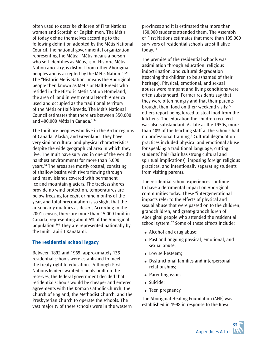often used to describe children of First Nations women and Scottish or English men. The Métis of today define themselves according to the following definition adopted by the Métis National Council, the national governmental organization representing the Métis: "Métis means a person who self identifies as Métis, is of Historic Métis Nation ancestry, is distinct from other Aboriginal peoples and is accepted by the Métis Nation."106 The "Historic Métis Nation" means the Aboriginal people then known as Métis or Half-Breeds who resided in the Historic Métis Nation Homeland, the area of land in west central North America used and occupied as the traditional territory of the Métis or Half-Breeds. The Métis National Council estimates that there are between 350,000 and 400,000 Métis in Canada.106

The Inuit are peoples who live in the Arctic regions of Canada, Alaska, and Greenland. They have very similar cultural and physical characteristics despite the wide geographical area in which they live. The Inuit have survived in one of the world's harshest environments for more than 5,000 years.90 The areas are mostly coastal, consisting of shallow basins with rivers flowing through and many islands covered with permanent ice and mountain glaciers. The treeless shores provide no wind protection, temperatures are below freezing for eight or nine months of the year, and total precipitation is so slight that the area nearly qualifies as desert. According to the 2001 census, there are more than 45,000 Inuit in Canada, representing about 5% of the Aboriginal population.160 They are represented nationally by the Inuit Tapiriit Kanatami.

#### **The residential school legacy**

Between 1892 and 1969, approximately 135 residential schools were established to meet the treaty right to education.<sup>1</sup> Although First Nations leaders wanted schools built on the reserves, the federal government decided that residential schools would be cheaper and entered agreements with the Roman Catholic Church, the Church of England, the Methodist Church, and the Presbyterian Church to operate the schools. The vast majority of these schools were in the western

provinces and it is estimated that more than 150,000 students attended them. The Assembly of First Nations estimates that more than 105,000 survivors of residential schools are still alive today.14

The premise of the residential schools was assimilation through education, religious indoctrination, and cultural degradation (teaching the children to be ashamed of their heritage). Physical, emotional, and sexual abuses were rampant and living conditions were often substandard. Former residents say that they were often hungry and that their parents brought them food on their weekend visits:<sup>72</sup> others report being forced to steal food from the kitchens. The education the children received was also substandard. As late as the 1950s, more than 40% of the teaching staff at the schools had no professional training.<sup>1</sup> Cultural degradation practices included physical and emotional abuse for speaking a traditional language, cutting students' hair (hair has strong cultural and spiritual implications), imposing foreign religious practices, and intentionally separating students from visiting parents.

The residential school experiences continue to have a detrimental impact on Aboriginal communities today. These "intergenerational impacts refer to the effects of physical and sexual abuse that were passed on to the children, grandchildren, and great-grandchildren of Aboriginal people who attended the residential school system."2 Some of these effects include:

- Alcohol and drug abuse;
- Past and ongoing physical, emotional, and sexual abuse;
- Low self-esteem:
- Dysfunctional families and interpersonal relationships;
- Parenting issues;
- Suicide:
- Teen pregnancy.

The Aboriginal Healing Foundation (AHF) was established in 1998 in response to the Royal

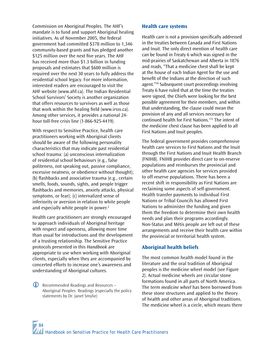Commission on Aboriginal Peoples. The AHF's mandate is to fund and support Aboriginal healing initiatives. As of November 2005, the federal government had committed \$378 million to 1,346 community-based grants and has pledged another \$125 million over the next five years. The AHF has received more than \$1.3 billion in funding proposals and estimates that \$600 million is required over the next 30 years to fully address the residential school legacy. For more information, interested readers are encouraged to visit the AHF website (www.ahf.ca). The Indian Residential School Survivors' Society is another organization that offers resources to survivors as well as those that work within the healing field (www.irsss.ca). Among other services, it provides a national 24 hour toll-free crisis line (1-866-925-4419).

With respect to Sensitive Practice, health care practitioners working with Aboriginal clients should be aware of the following personality characteristics that may indicate past residential school trauma: (a) unconscious internalization of residential school behaviours (e.g., false politeness, not speaking out, passive compliance, excessive neatness, or obedience without thought); (b) flashbacks and associative trauma (e.g., certain smells, foods, sounds, sights, and people trigger flashbacks and memories, anxiety attacks, physical symptoms, or fear); (c) internalized sense of inferiority or aversion in relation to white people and especially white people in power.<sup>2</sup>

Health care practitioners are strongly encouraged to approach individuals of Aboriginal heritage with respect and openness, allowing more time than usual for introductions and the development of a trusting relationship. The Sensitive Practice protocols presented in this *Handbook* are appropriate to use when working with Aboriginal clients, especially when they are accompanied by concerted efforts to increase one's awareness and understanding of Aboriginal cultures.

 $\bigcirc$  Recommended Readings and Resources – Aboriginal Peoples: Readings (especially the policy statements by Dr. Janet Smylie)

#### **Health care systems**

Health care is not a provision specifically addressed in the treaties between Canada and First Nations and Inuit. The only direct mention of health care can be found in Treaty 6 which was signed in the mid-prairies of Saskatchewan and Alberta in 1876 and reads, "That a medicine chest shall be kept at the house of each Indian Agent for the use and benefit of the Indians at the direction of such agent."39 Subsequent court proceedings involving Treaty 6 have ruled that at the time the treaties were signed, the Chiefs were looking for the best possible agreement for their members, and within that understanding, the clause could mean the provision of any and all services necessary for continued health for First Nations.112 The intent of the medicine chest clause has been applied to all First Nations and Inuit peoples.

The federal government provides comprehensive health care services to First Nations and the Inuit through the First Nations and Inuit Health Branch (FNIHB). FNIHB provides direct care to on-reserve populations and reimburses the provincial and other health care agencies for services provided to off-reserve populations. There has been a recent shift in responsibility as First Nations are reclaiming some aspects of self-government. Health transfer payments to individual First Nations or Tribal Councils has allowed First Nations to administer the funding and given them the freedom to determine their own health needs and plan their programs accordingly. Non-Status and Métis people are left out of these arrangements and receive their health care within the provincial or territorial health system.

#### **Aboriginal health beliefs**

The most common health model found in the literature and the oral tradition of Aboriginal peoples is the medicine wheel model (see Figure 2). Actual medicine wheels are circular stone formations found in all parts of North America. The term *medicine wheel* has been borrowed from these stone structures and applied to the theory of health and other areas of Aboriginal traditions. The medicine wheel is a circle, which means there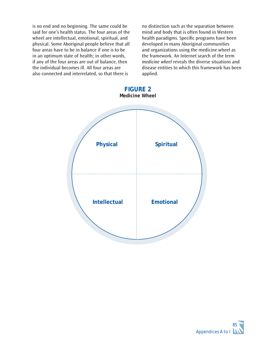is no end and no beginning. The same could be said for one's health status. The four areas of the wheel are intellectual, emotional, spiritual, and physical. Some Aboriginal people believe that all four areas have to be in balance if one is to be in an optimum state of health; in other words, if any of the four areas are out of balance, then the individual becomes ill. All four areas are also connected and interrelated, so that there is

no distinction such as the separation between mind and body that is often found in Western health paradigms. Specific programs have been developed in many Aboriginal communities and organizations using the medicine wheel as the framework. An Internet search of the term *medicine wheel* reveals the diverse situations and disease entities to which this framework has been applied.



**FIGURE 2**

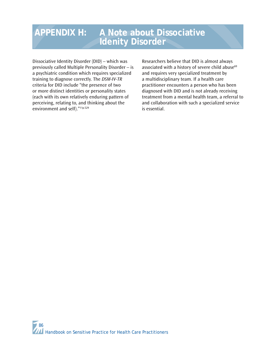## **APPENDIX H: A Note about Dissociative Idenity Disorder**

Dissociative Identity Disorder (DID) – which was previously called Multiple Personality Disorder – is a psychiatric condition which requires specialized training to diagnose correctly. The *DSM-IV-TR* criteria for DID include "the presence of two or more distinct identities or personality states (each with its own relatively enduring pattern of perceiving, relating to, and thinking about the environment and self)."11p.529

Researchers believe that DID is almost always associated with a history of severe child abuse<sup>69</sup> and requires very specialized treatment by a multidisciplinary team. If a health care practitioner encounters a person who has been diagnosed with DID and is not already receiving treatment from a mental health team, a referral to and collaboration with such a specialized service is essential.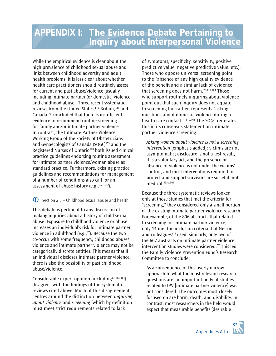## **APPENDIX I: The Evidence Debate Pertaining to Inquiry about Interpersonal Violence**

While the empirical evidence is clear about the high prevalence of childhood sexual abuse and links between childhood adversity and adult health problems, it is less clear about whether health care practitioners should routinely assess for current and past abuse/violence (usually including intimate partner (or domestic) violence and childhood abuse). Three recent systematic reviews from the United States,<sup>115</sup> Britain,<sup>123</sup> and Canada<sup>179</sup> concluded that there is insufficient evidence to recommend routine screening for family and/or intimate partner violence. In contrast, the Intimate Partner Violence Working Group of the Society of Obstetricians and Gynaecologists of Canada (SOGC)<sup>153</sup> and the Registered Nurses of Ontario<sup>128</sup> both issued clinical practice guidelines endorsing routine assessment for intimate partner violence/woman abuse as standard practice. Furthermore, existing practice guidelines and recommendations for management of a number of conditions also call for an assessment of abuse history (e.g.,  $6,7, 8,12$ ).

#### $\bigcirc$  Section 2.5 – Childhood sexual abuse and health

This debate is pertinent to any discussion of making inquiries about a history of child sexual abuse. Exposure to childhood violence or abuse increases an individual's risk for intimate partner violence in adulthood  $(e.g.,<sup>17</sup>)$ . Because the two co-occur with some frequency, childhood abuse/ violence and intimate partner violence may not be categorically discrete entities. This means that if an individual discloses intimate partner violence, there is also the possibility of past childhood abuse/violence.

Considerable expert opinion (including57,153,181) disagrees with the findings of the systematic reviews cited above. Much of this disagreement centres around the distinction between *inquiring about violence* and *screening* (which by definition must meet strict requirements related to lack

of symptoms, specificity, sensitivity, positive predictive value, negative predictive value, etc.). Those who oppose universal screening point to the "absence of any high quality evidence of the benefit and a similar lack of evidence that screening does not harm."181p.163 Those who support routinely inquiring about violence point out that such inquiry does not equate to screening but rather, represents "asking questions about domestic violence during a health care contact."181p.163 The SOGC reiterates this in its consensus statement on intimate partner violence screening:

*Asking women about violence is not a screening intervention* [emphasis added]: victims are not asymptomatic; disclosure is not a test result, it is a voluntary act, and the presence or absence of violence is not under the victims' control; and most interventions required to protect and support survivors are societal, not medical.153p.366

Because the three systematic reviews looked only at those studies that met the criteria for "screening," they considered only a small portion of the existing intimate partner violence research. For example, of the 806 abstracts that related to screening for intimate partner violence, only 14 met the inclusion criteria that Nelson and colleagues $115$  used; similarly, only two of the 667 abstracts on intimate partner violence intervention studies were considered.<sup>57</sup> This led the Family Violence Prevention Fund's Research Committee to conclude:

As a consequence of this overly narrow approach to what the most relevant research questions are, an important body of studies related to IPV [intimate partner violence] was not considered. The outcomes most closely focused on are harm, death, and disability. In contrast, most researchers in the field would expect that measurable benefits (desirable

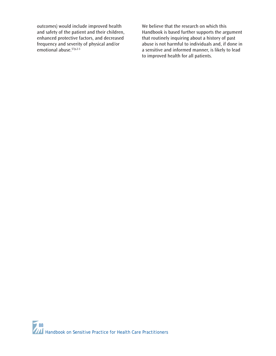outcomes) would include improved health and safety of the patient and their children, enhanced protective factors, and decreased frequency and severity of physical and/or emotional abuse.57p.2-3

We believe that the research on which this Handbook is based further supports the argument that routinely inquiring about a history of past abuse is not harmful to individuals and, if done in a sensitive and informed manner, is likely to lead to improved health for all patients.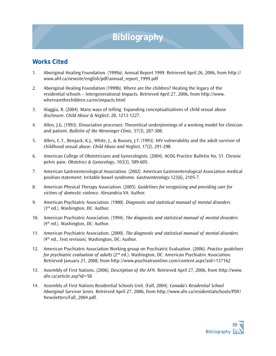# **Bibliography**

## **Works Cited**

- 1. Aboriginal Healing Foundation. (1999a). Annual Report 1999. Retrieved April 26, 2006, from http:// www.ahf.ca/newsite/english/pdf/annual\_report\_1999.pdf
- 2. Aboriginal Healing Foundation (1999b). Where are the children? Healing the legacy of the residential schools – Intergenerational Impacts. Retrieved April 27, 2006, from http://www. wherearethechildren.ca/en/impacts.html
- 3. Alaggia, R. (2004). Many ways of telling: Expanding conceptualizations of child sexual abuse disclosure. *Child Abuse & Neglect*, 28, 1213-1227.
- 4. Allen, J.G. (1993). Dissociative processes: Theoretical underpinnings of a working model for clinician and patient. *Bulletin of the Menninger Clinic*, 57(3), 287-308.
- 5. Allers, C.T., Benjack, K.J., White, J., & Rousey, J.T. (1993). HIV vulnerability and the adult survivor of childhood sexual abuse. *Child Abuse and Neglect*, 17(2), 291-298.
- 6. American College of Obstetricians and Gynecologists. (2004). ACOG Practice Bulletin No. 51. Chronic pelvic pain. *Obstetrics & Gynecology*, 103(3), 589-605.
- 7. American Gastroenterological Association. (2002). American Gastroenterological Association medical position statement: Irritable bowel syndrome. *Gastroenterology*.123(6), 2105-7.
- 8. American Physical Therapy Association. (2005). *Guidelines for recognizing and providing care for victims of domestic violence*. Alexandria VA: Author.
- 9. American Psychiatric Association. (1980). *Diagnostic and statistical manual of mental disorders* (3rd ed.). Washington, DC: Author.
- 10. American Psychiatric Association. (1994). *The diagnostic and statistical manual of mental disorders* (4th ed.). Washington, DC: Author.
- 11. American Psychiatric Association. (2000). *The diagnostic and statistical manual of mental disorders* (4<sup>th</sup> ed., Text revision). Washington, DC: Author.
- 12. American Psychiatric Association Working group on Psychiatric Evaluation. (2006). *Practice guidelines for psychiatric evaluation of adults* (2nd ed.). Washington, DC: American Psychiatric Association. Retrieved January 21, 2008, from http://www.psychiatryonline.com/content.aspx?aid=137162
- 13. Assembly of First Nations. (2006). *Description of the AFN*. Retrieved April 27, 2006, from http://www. afn.ca/article.asp?id=58
- 14. Assembly of First Nations Residential Schools Unit. (Fall, 2004). *Canada's Residential School Aboriginal Survivor Series*. Retrieved April 27, 2006, from http://www.afn.ca/residentialschools/PDF/ Newsletters/Fall\_2004.pdf.

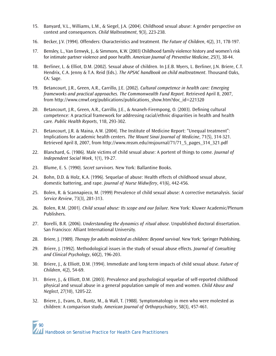- 15. Banyard, V.L., Williams, L.M., & Siegel, J.A. (2004). Childhood sexual abuse: A gender perspective on context and consequences. *Child Maltreatment*, 9(3), 223-238.
- 16. Becker, J.V. (1994). Offenders: Characteristics and treatment. *The Future of Children*, 4(2), 31, 178-197.
- 17. Bensley, L., Van Eenwyk, J., & Simmons, K.W. (2003) Childhood family violence history and women's risk for intimate partner violence and poor health. *American Journal of Preventive Medicine*, 25(1), 38-44.
- 18. Berliner, L. & Elliot, D.M. (2002). Sexual abuse of children. In J.E.B. Myers, L. Berliner, J.N. Briere, C.T. Hendrix, C.A. Jenny & T.A. Reid (Eds.). *The APSAC handbook on child maltreatment*. Thousand Oaks, CA: Sage.
- 19. Betancourt, J.R., Green, A.R., Carrillo, J.E. (2002). *Cultural competence in health care: Emerging frameworks and practical approaches. The Commonwealth Fund Report*. Retrieved April 8, 2007, from http://www.cmwf.org/publications/publications\_show.htm?doc\_id=221320
- 20. Betancourt, J.R., Green, A.R., Carrillo, J.E., & Ananeh-Firempong, O. (2003). Defining cultural competence: A practical framework for addressing racial/ethnic disparities in health and health care. *Public Health Reports*, 118, 293-302.
- 21. Betancourt, J.R. & Maina, A.W. (2004). The Institute of Medicine Report: "Unequal treatment": Implications for academic health centers. *The Mount Sinai Journal of Medicine*, 71(5), 314-321. Retrieved April 8, 2007, from http://www.mssm.edu/msjournal/71/71\_5\_pages\_314\_321.pdf
- 22. Blanchard, G. (1986). Male victims of child sexual abuse: A portent of things to come. *Journal of Independent Social Work*, 1(1), 19-27.
- 23. Blume, E. S. (1990). *Secret survivors*. New York: Ballantine Books.
- 24. Bohn, D.D. & Holz, K.A. (1996). Sequelae of abuse: Health effects of childhood sexual abuse, domestic battering, and rape. *Journal of Nurse Midwifery*, 41(6), 442-456.
- 25. Bolen, R. & Scannapieco, M. (1999) Prevalence of child sexual abuse: A corrective metanalysis. *Social Service Review*, 73(3), 281-313.
- 26. Bolen, R.M. (2001). *Child sexual abuse: Its scope and our failure*. New York: Kluwer Academic/Plenum Publishers.
- 27. Borelli, B.R. (2006). *Understanding the dynamics of ritual abuse*. Unpublished doctoral dissertation. San Francisco: Alliant International University.
- 28. Briere, J. (1989). *Therapy for adults molested as children: Beyond survival*. New York: Springer Publishing.
- 29. Briere, J. (1992). Methodological issues in the study of sexual abuse effects. *Journal of Consulting and Clinical Psychology*, 60(2), 196-203.
- 30. Briere, J., & Elliott, D.M. (1994). Immediate and long-term impacts of child sexual abuse. *Future of Children*, 4(2), 54-69.
- 31. Briere, J., & Elliott, D.M. (2003). Prevalence and psychological sequelae of self-reported childhood physical and sexual abuse in a general population sample of men and women. *Child Abuse and Neglect*, 27(10), 1205-22.
- 32. Briere, J., Evans, D., Runtz, M., & Wall, T. (1988). Symptomatology in men who were molested as children: A comparison study. *American Journal of Orthopsychiatry*, 58(3), 457-461.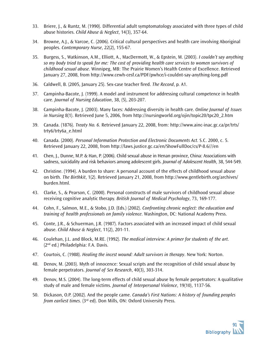- 33. Briere, J., & Runtz, M. (1990). Differential adult symptomatology associated with three types of child abuse histories. *Child Abuse & Neglect*, 14(3), 357-64.
- 34. Browne, A.J., & Varcoe, C. (2006). Critical cultural perspectives and health care involving Aboriginal peoples. *Contemporary Nurse*, 22(2), 155-67.
- 35. Burgess, S., Watkinson, A.M., Elliott, A., MacDermott, W., & Epstein, M. (2003). *I couldn't say anything so my body tried to speak for me: The cost of providing health care services to women survivors of childhood sexual abuse*. Winnipeg, MB: The Prairie Women's Health Centre of Excellence. Retrieved January 27, 2008, from http://www.cewh-cesf.ca/PDF/pwhce/i-couldnt-say-anything-long.pdf
- 36. Caldwell, B. (2005, January 25). Sex-case teacher fi red. *The Record*, p. A1.
- 37. Campinha-Bacote, J. (1999). A model and instrument for addressing cultural competence in health care. *Journal of Nursing Education*, 38, (5), 203-207.
- 38. Campinha-Bacote, J. (2003). Many faces: Addressing diversity in health care. *Online Journal of Issues in Nursing* 8(1). Retrieved June 5, 2006, from http://nursingworld.org/ojin/topic20/tpc20\_2.htm
- 39. Canada. (1876). *Treaty No. 6*. Retrieved January 22, 2008, from: http://www.ainc-inac.gc.ca/pr/trts/ trty6/trty6a\_e.html
- 40. Canada. (2000). *Personal Information Protection and Electronic Documents Act*. S.C. 2000, c. 5. Retrieved January 22, 2008, from http://laws.justice.gc.ca/en/ShowFullDoc/cs/P-8.6///en
- 41. Chen, J., Dunne, M.P. & Han, P. (2006). Child sexual abuse in Henan province, China: Associations with sadness, suicidality and risk behaviors among adolescent girls. *Journal of Adolescent Health*, 38, 544-549.
- 42. Christine. (1994). A burden to share: A personal account of the effects of childhood sexual abuse on birth. *The Birthkit*, 1(2). Retrieved January 21, 2008, from http://www.gentlebirth.org/archives/ burden.html.
- 43. Clarke, S., & Pearson, C. (2000). Personal constructs of male survivors of childhood sexual abuse receiving cognitive analytic therapy. *British Journal of Medical Psychology*, 73, 169-177.
- 44. Cohn, F., Salmon, M.E., & Stobo, J.D. (Eds.) (2002). *Confronting chronic neglect: the education and training of health professionals on family violence*. Washington, DC: National Academy Press.
- 45. Conte, J.R., & Schuerman, J.R. (1987). Factors associated with an increased impact of child sexual abuse. *Child Abuse & Neglect*, 11(2), 201-11.
- 46. Coulehan, J.L. and Block, M.RE. (1992). *The medical interview: A primer for students of the art*. (2nd ed.) Philadelphia: F.A. Davis.
- 47. Courtois, C. (1988). *Healing the incest wound: Adult survivors in therapy*. New York: Norton.
- 48. Denov, M. (2003). Myth of innocence: Sexual scripts and the recognition of child sexual abuse by female perpetrators. *Journal of Sex Research*, 40(3), 303-314.
- 49. Denov, M.S. (2004). The long-term effects of child sexual abuse by female perpetrators: A qualitative study of male and female victims. *Journal of Interpersonal Violence*, 19(10), 1137-56.
- 50. Dickason, O.P. (2002). And the people came. *Canada's First Nations: A history of founding peoples from earliest times*. (3rd ed). Don Mills, ON: Oxford University Press.

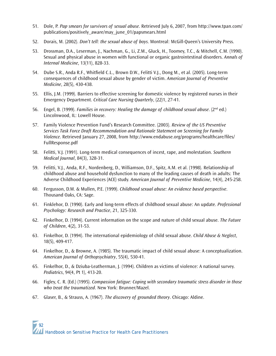- 51. Dole, P. *Pap smears for survivors of sexual abuse*. Retrieved July 6, 2007, from http://www.tpan.com/ publications/positively\_aware/may\_june\_01/papsmears.html
- 52. Dorais, M. (2002). *Don't tell: the sexual abuse of boys*. Montreal: McGill-Queen's University Press.
- 53. Drossman, D.A., Leserman, J., Nachman, G., Li, Z.M., Gluck, H., Toomey, T.C., & Mitchell, C.M. (1990). Sexual and physical abuse in women with functional or organic gastrointestinal disorders. *Annals of Internal Medicine*, 13(11), 828-33.
- 54. Dube S.R., Anda R.F., Whitfield C.L., Brown D.W., Felitti V.J., Dong M., et al. (2005). Long-term consequences of childhood sexual abuse by gender of victim. *American Journal of Preventive Medicine*, 28(5), 430-438.
- 55. Ellis, J.M. (1999). Barriers to effective screening for domestic violence by registered nurses in their Emergency Department. *Critical Care Nursing Quarterly*, (22)1, 27-41.
- 56. Engel, B. (1999). *Families in recovery: Healing the damage of childhood sexual abuse*. (2nd ed.) Lincolnwood, IL: Lowell House.
- 57. Family Violence Prevention Fund's Research Committee. (2003). *Review of the US Preventive Services Task Force Draft Recommendation and Rationale Statement on Screening for Family*  Violence. Retrieved January 27, 2008, from http://www.endabuse.org/programs/healthcare/files/ FullResponse.pdf
- 58. Felitti, V.J. (1991). Long-term medical consequences of incest, rape, and molestation. *Southern Medical Journal*, 84(3), 328-31.
- 59. Felitti, V.J., Anda, R.F., Nordenberg, D., Williamson, D.F., Spitz, A.M. et al. (1998). Relationship of childhood abuse and household dysfunction to many of the leading causes of death in adults: The Adverse Childhood Experiences (ACE) study. *American Journal of Preventive Medicine*, 14(4), 245-258.
- 60. Fergusson, D.M. & Mullen, P.E. (1999). *Childhood sexual abuse: An evidence based perspective*. Thousand Oaks, CA: Sage.
- 61. Finklehor, D. (1990). Early and long-term effects of childhood sexual abuse: An update. *Professional Psychology: Research and Practice*, 21, 325-330.
- 62. Finkelhor, D. (1994). Current information on the scope and nature of child sexual abuse. *The Future of Children*, 4(2), 31-53.
- 63. Finkelhor, D. (1994). The international epidemiology of child sexual abuse. *Child Abuse & Neglect*, 18(5), 409-417.
- 64. Finkelhor, D., & Browne, A. (1985). The traumatic impact of child sexual abuse: A conceptualization. *American Journal of Orthopsychiatry*, 55(4), 530-41.
- 65. Finkelhor, D., & Dziuba-Leatherman, J. (1994). Children as victims of violence: A national survey. *Pediatrics*, 94(4, Pt 1), 413-20.
- 66. Figley, C. R. (Ed.) (1995). *Compassion fatigue: Coping with secondary traumatic stress disorder in those who treat the traumatized*. New York: Brunner/Mazel.
- 67. Glaser, B., & Strauss, A. (1967). *The discovery of grounded theory*. Chicago: Aldine.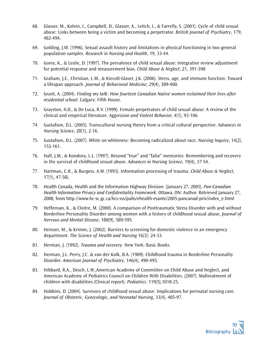- 68. Glasser, M., Kolvin, I., Campbell, D., Glasser, A., Leitch, I., & Farrelly, S. (2001). Cycle of child sexual abuse: Links between being a victim and becoming a perpetrator. *British Journal of Psychiatry*, 179, 482-494.
- 69. Golding, J.M. (1996). Sexual assault history and limitations in physical functioning in two general population samples. *Research in Nursing and Health*, 19, 33-44.
- 70. Gorey, K., & Leslie, D. (1997). The prevalence of child sexual abuse: Integrative review adjustment for potential response and measurement bias. *Child Abuse & Neglect*, 21, 391-398
- 71. Graham, J.E., Christian, L.M., & Kiecolt-Glaser, J.K. (2006). Stress, age, and immune function: Toward a lifespan approach. *Journal of Behavioral Medicine*, 29(4), 389-400.
- 72. Grant, A. (2004). *Finding my talk: How fourteen Canadian Native women reclaimed their lives after residential school*. Calgary: Fifth House.
- 73. Grayston, A.D., & De Luca, R.V. (1999). Female perpetrators of child sexual abuse: A review of the clinical and empirical literature. *Aggression and Violent Behavior*, 4(1), 93-106.
- 74. Gustafson, D.L. (2005). Transcultural nursing theory from a critical cultural perspective. *Advances in Nursing Science*, 28(1), 2-16.
- 75. Gustafson, D.L. (2007). White on whiteness: Becoming radicalized about race. *Nursing Inquiry*, 14(2), 153-161.
- 76. Hall, J.M., & Kondora, L.L. (1997). Beyond "true" and "false" memories: Remembering and recovery in the survival of childhood sexual abuse. *Advances in Nursing Science*, 19(4), 37-54.
- 77. Hartman, C.R., & Burgess, A.W. (1993). Information processing of trauma. *Child Abuse & Neglect*, 17(1), 47-58).
- 78. Health Canada, Health and the Information Highway Division. (January 27, 2005). *Pan-Canadian*  Health Information Privacy and Confidentiality Framework. Ottawa, ON: Author. Retrieved January 27, 2008, from http://www.hc-sc.gc.ca/hcs-sss/pubs/ehealth-esante/2005-pancanad-priv/index\_e.html
- 79. Heffernan, K., & Cloitre, M. (2000). A comparison of Posttraumatic Stress Disorder with and without Borderline Personality Disorder among women with a history of childhood sexual abuse. *Journal of Nervous and Mental Disease*, 188(9), 589-595.
- 80. Heinzer, M., & Krimm, J. (2002). Barriers to screening for domestic violence in an emergency department. *The Science of Health and Nursing* 16(3): 24-33.
- 81. Herman, J. (1992). *Trauma and recovery*. New York: Basic Books.
- 82. Herman, J.L. Perry, J.C. & van der Kolk, B.A. (1989). Childhood trauma in Borderline Personality Disorder. *American Journal of Psychiatry*, 146(4), 490-495.
- 83. Hibbard, R.A., Desch, L.W.,American Academy of Committee on Child Abuse and Neglect, and American Academy of Pediatrics Council on Children With Disabilities. (2007). Maltreatment of children with disabilities (Clinical report). *Pediatrics*. 119(5),1018-25.
- 84. Hobbins, D. (2004). Survivors of childhood sexual abuse: Implications for perinatal nursing care. *Journal of Obstetric, Gynecologic, and Neonatal Nursing*, 33(4), 485-97.

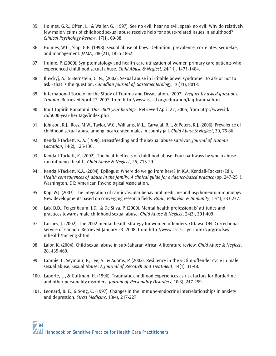- 85. Holmes, G.R., Offen, L., & Waller, G. (1997). See no evil, hear no evil, speak no evil: Why do relatively few male victims of childhood sexual abuse receive help for abuse-related issues in adulthood? *Clinical Psychology Review*. 17(1), 69-88.
- 86. Holmes, W.C., Slap, G.B. (1998). Sexual abuse of boys: Definition, prevalence, correlates, sequelae, and management. *JAMA*, 280(21), 1855-1862.
- 87. Hulme, P. (2000). Symptomatology and health care utilization of women primary care patients who experienced childhood sexual abuse. *Child Abuse & Neglect*, 24(11), 1471-1484.
- 88. Ilnyckyj, A., & Bernstein, C. N., (2002). Sexual abuse in irritable bowel syndrome: To ask or not to ask - that is the question. *Canadian Journal of Gasteroenterology*, 16(11), 801-5.
- 89. International Society for the Study of Trauma and Dissociation. (2007). *Frequently asked questions: Trauma*. Retrieved April 27, 2007, from http://www.isst-d.org/education/faq-trauma.htm
- 90. Inuit Tapiriit Kanatami. *Our 5000 year heritage*. Retrieved April 27, 2006, from http://www.itk. ca/5000-year-heritage/index.php
- 91. Johnson, R.J., Ross, M.W., Taylor, W.C., Williams, M.L., Carvajal, R.I., & Peters, R.J. (2006). Prevalence of childhood sexual abuse among incarcerated males in county jail. *Child Abuse & Neglect*, 30, 75-86.
- 92. Kendall-Tackett, K. A. (1998). Breastfeeding and the sexual abuse survivor. *Journal of Human Lactation*, 14(2), 125-130.
- 93. Kendall-Tackett, K. (2002). The health effects of childhood abuse: Four pathways by which abuse can infl uence health. *Child Abuse & Neglect*, 26, 715-29.
- 94. Kendall-Tackett, K.A. (2004). Epilogue: Where do we go from here? In K.A. Kendall-Tackett (Ed.), *Health consequences of abuse in the family: A clinical guide for evidence-based practice* (pp. 247-251). Washington, DC: American Psychological Association.
- 95. Kop, W.J. (2003). The integration of cardiovascular behavioral medicine and psychoneuroimmunology: New developments based on converging research fields. *Brain, Behavior, & Immunity*, 17(4), 233-237.
- 96. Lab, D.D., Feigenbaum, J.D., & De Silva, P. (2000). Mental health professionals' attitudes and practices towards male childhood sexual abuse. *Child Abuse & Neglect*, 24(3), 391-409.
- 97. Laishes, J. (2002). The 2002 mental health strategy for women offenders. Ottawa, ON: Correctional Service of Canada. Retrieved January 23, 2008, from http://www.csc-scc.gc.ca/text/prgrm/fsw/ mhealth/toc-eng.shtml
- 98. Lalor, K. (2004). Child sexual abuse in sub-Saharan Africa: A literature review. *Child Abuse & Neglect*, 28, 439-460.
- 99. Lambie, I., Seymour, F., Lee, A., & Adams, P. (2002). Resiliency in the victim-offender cycle in male sexual abuse. Sexual Abuse: *A Journal of Research and Treatment*, 14(1), 31-48.
- 100. Laporte, L., & Guttman, H. (1996). Traumatic childhood experiences as risk factors for Borderline and other personality disorders. *Journal of Personality Disorders*, 10(3), 247-259.
- 101. Leonard, B. E., & Song, C. (1997). Changes in the immune-endocrine interrelationships in anxiety and depression. *Stress Medicine*, 13(4), 217-227.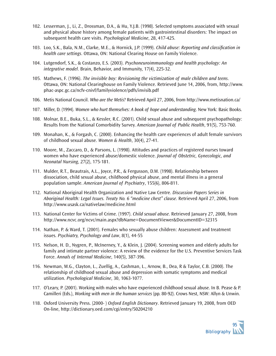- 102. Lesserman, J., Li, Z., Drossman, D.A., & Hu, Y.J.B. (1998). Selected symptoms associated with sexual and physical abuse history among female patients with gastrointestinal disorders: The impact on subsequent health care visits. *Psychological Medicine*, 28, 417-425.
- 103. Loo, S.K., Bala, N.M., Clarke, M.E., & Hornick, J.P. (1999). *Child abuse: Reporting and classifi cation in health care settings*. Ottawa, ON: National Clearing House on Family Violence.
- 104. Lutgendorf, S.K., & Costanzo, E.S. (2003). *Psychoneuroimmunology and health psychology: An integrative model*. Brain, Behavior, and Immunity, 17(4), 225-32.
- 105. Mathews, F. (1996). *The invisible boy: Revisioning the victimization of male children and teens*. Ottawa, ON: National Clearinghouse on Family Violence. Retrieved June 14, 2006, from, http://www. phac-aspc.gc.ca/ncfv-cnivf/familyviolence/pdfs/invisib.pdf
- 106. Metis National Council. *Who are the Metis*? Retrieved April 27, 2006, from http://www.metisnation.ca/
- 107. Miller, D. (1994). *Women who hurt themselves: A book of hope and understanding*. New York: Basic Books.
- 108. Molnar, B.E., Buka, S.L., & Kessler, R.C. (2001). Child sexual abuse and subsequent psychopathology: Results from the National Comorbidity Survey. *American Journal of Public Health*, 91(5), 753-760.
- 109. Monahan, K., & Forgash, C. (2000). Enhancing the health care experiences of adult female survivors of childhood sexual abuse. *Women & Health*, 30(4), 27-41.
- 110. Moore, M., Zaccaro, D., & Parsons, L. (1998). Attitudes and practices of registered nurses toward women who have experienced abuse/domestic violence. *Journal of Obstetric, Gynecologic, and Neonatal Nursing*, 27(2), 175-181.
- 111. Mulder, R.T., Beautrais, A.L., Joyce, P.R., & Fergusson, D.M. (1998). Relationship between dissociation, child sexual abuse, childhood physical abuse, and mental illness in a general population sample. *American Journal of Psychiatry*, 155(6), 806-811.
- 112. National Aboriginal Health Organization and Native Law Centre. *Discussion Papers Series in Aboriginal Health: Legal Issues. Treaty No. 6 "medicine chest" clause*. Retrieved April 27, 2006, from http://www.usask.ca/nativelaw/medicine.html
- 113. National Center for Victims of Crime. (1997). *Child sexual abuse*. Retrieved January 27, 2008, from http://www.ncvc.org/ncvc/main.aspx?dbName=DocumentViewer&DocumentID=32315
- 114. Nathan, P. & Ward, T. (2001). Females who sexually abuse children: Assessment and treatment issues. *Psychiatry, Psychology and Law*, 8(1), 44-55
- 115. Nelson, H. D., Nygren, P., McInerney, Y., & Klein, J. (2004). Screening women and elderly adults for family and intimate partner violence: A review of the evidence for the U.S. Preventive Services Task Force. *Annals of Internal Medicine*, 140(5), 387-396.
- 116. Newman, M.G., Clayton, L., Zuellig, A., Cashman, L., Arnow, B., Dea, R & Taylor, C.B. (2000). The relationship of childhood sexual abuse and depression with somatic symptoms and medical utilization. *Psychological Medicine*, 30, 1063-1077.
- 117. O'Leary, P. (2001). Working with males who have experienced childhood sexual abuse. In B. Pease & P. Camilleri (Eds.), *Working with men in the human services* (pp. 80-92). Crows Nest, NSW: Allyn & Unwin.
- 118. Oxford University Press. (2000- ) *Oxford English Dictionary*. Retrieved January 19, 2008, from OED On-line, http://dictionary.oed.com/cgi/entry/50204210

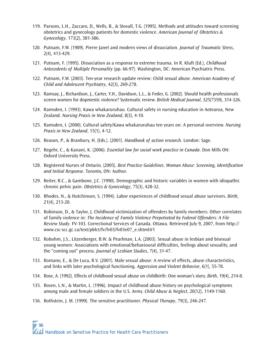- 119. Parsons, L.H., Zaccaro, D., Wells, B., & Stovall, T.G. (1995). Methods and attitudes toward screening obstetrics and gynecology patients for domestic violence. *American Journal of Obstetrics & Gynecology*, 173(2), 381-386.
- 120. Putnam, F.W. (1989). Pierre Janet and modern views of dissociation. *Journal of Traumatic Stress*, 2(4), 413-429.
- 121. Putnam, F. (1995). Dissociation as a response to extreme trauma. In R. Kluft (Ed.), *Childhood Antecedents of Multiple Personality* (pp. 66-97). Washington, DC: American Psychiatric Press.
- 122. Putnam, F.W. (2003). Ten-year research update review: Child sexual abuse. *American Academy of Child and Adolescent Psychiatry*, 42(3), 269-278.
- 123. Ramsay, J., Richardson, J., Carter, Y.H., Davidson, L.L., & Feder, G. (2002). Should health professionals screen women for dopmestic violence? Systematic review. *British Medical Journal*, 325(7359), 314-326.
- 124. Ramsden, I. (1993). Kawa whakaruruhau. Cultural safety in nursing education in Aotearoa, New Zealand. *Nursing Praxis in New Zealand*, 8(3), 4-10.
- 125. Ramsden, I. (2000). Cultural safety/Kawa whakaruruhau ten years on: A personal overview. *Nursing Praxis in New Zealand*, 15(1), 4-12.
- 126. Reason, P., & Branbury, H. (Eds.). (2001). *Handbook of action research*. London: Sage.
- 127. Regehr, C., & Kanani, K. (2006). *Essential law for social work practice in Canada*. Don Mills ON: Oxford University Press.
- 128. Registered Nurses of Ontario. (2005). *Best Practice Guidelines. Woman Abuse: Screening, Identification and Initial Response*. Toronto, ON: Author.
- 129. Reiter, R.C., & Gambone, J.C. (1990). Demographic and historic variables in women with idiopathic chronic pelvic pain. *Obstetrics & Gynecology*, 75(3), 428-32.
- 130. Rhodes, N., & Hutchinson, S. (1994). Labor experiences of childhood sexual abuse survivors. *Birth*, 21(4), 213-20.
- 131. Robinson, D., & Taylor, J. Childhood victimization of offenders by family members: Other correlates of family violence in: *The Incidence of Family Violence Perpetrated by Federal Offenders: A File Review Study*. FV-103. Correctional Services of Canada. Ottawa. Retrieved July 9, 2007, from http:// www.csc-scc.gc.ca/text/pblct/fv/fv03/fv03e07\_e.shtml#1
- 132. Robohm, J.S., Litzenberger, B.W. & Pearlman, L.A. (2003). Sexual abuse in lesbian and bisexual young women: Associations with emotional/behavioural difficulties, feelings about sexuality, and the "coming out" process. *Journal of Lesbian Studies*, 7(4), 31-47.
- 133. Romano, E., & De Luca, R.V. (2001). Male sexual abuse: A review of effects, abuse characteristics, and links with later psychological functioning. *Aggression and Violent Behavior*, 6(1), 55-78.
- 134. Rose, A. (1992). Effects of childhood sexual abuse on childbirth: One woman's story. *Birth*, 19(4), 214-8.
- 135. Rosen, L.N., & Martin, L. (1996). Impact of childhood abuse history on psychological symptoms among male and female soldiers in the U.S. Army. *Child Abuse & Neglect*, 20(12), 1149-1160.
- 136. Rothstein, J. M. (1999). The sensitive practitioner. *Physical Therapy*, 79(3), 246-247.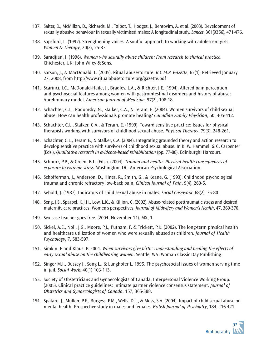- 137. Salter, D., McMillan, D., Richards, M., Talbot, T., Hodges, J., Bentovim, A. et al. (2003). Development of sexually abusive behaviour in sexually victimised males: A longitudinal study. *Lancet*, 361(9356), 471-476.
- 138. Sapsford, L. (1997). Strengthening voices: A soulful approach to working with adolescent girls. *Women & Therapy*, 20(2), 75-87.
- 139. Saradjian, J. (1996). *Women who sexually abuse children: From research to clinical practice*. Chichester, UK: John Wiley & Sons.
- 140. Sarson, J., & MacDonald, L. (2005). Ritual abuse/torture. *R.C M.P. Gazette*, 67(1), Retrieved January 27, 2008, from http://www.ritualabusetorture.org/gazette.pdf
- 141. Scarinci, I.C., McDonald-Haile, J., Bradley, L.A., & Richter, J.E. (1994). Altered pain perception and psychosocial features among women with gastrointestinal disorders and history of abuse: Apreliminary model. *American Journal of Medicine*, 97(2), 108-18.
- 142. Schachter, C.L., Radomsky, N., Stalker, C.A., & Teram, E. (2004). Women survivors of child sexual abuse: How can health professionals promote healing? *Canadian Family Physician*, 50, 405-412.
- 143. Schachter, C.L., Stalker, C.A., & Teram, E. (1999). Toward sensitive practice: Issues for physical therapists working with survivors of childhood sexual abuse. *Physical Therapy*, 79(3), 248-261.
- 144. Schachter, C.L., Teram E., & Stalker, C.A. (2004). Integrating grounded theory and action research to develop sensitive practice with survivors of childhood sexual abuse. In K. W. Hammell & C. Carpenter (Eds.), *Qualitative research in evidence-based rehabilitation* (pp. 77-88). Edinburgh: Harcourt.
- 145. Schnurr, P.P., & Green, B.L. (Eds.). (2004). *Trauma and health: Physical health consequences of exposure to extreme stress*. Washington, DC: American Psychological Association.
- 146. Schofferman, J., Anderson, D., Hines, R., Smith, G., & Keane, G. (1993). Childhood psychological trauma and chronic refractory low-back pain. *Clinical Journal of Pain*, 9(4), 260-5.
- 147. Sebold, J. (1987). Indicators of child sexual abuse in males. *Social Casework*, 68(2), 75-80.
- 148. Seng, J.S., Sparbel, K.J.H., Low, L.K., & Killion, C. (2002). Abuse-related posttraumatic stress and desired maternity care practices: Women's perspectives. *Journal of Midwifery and Women's Health*, 47, 360-370.
- 149. Sex case teacher goes free. (2004, November 14). MX, 1.
- 150. Sickel, A.E., Noll, J.G., Moore, P.J., Putnam, F. & Trickett, P.K. (2002). The long-term physical health and healthcare utilization of women who were sexually abused as children. *Journal of Health Psychology*, 7, 583-597.
- 151. Simkin, P and Klaus, P. 2004. *When survivors give birth: Understanding and healing the effects of early sexual abuse on the childbearing women*. Seattle, WA: Woman Classic Day Publishing.
- 152. Singer M.I., Bussey J., Song L., & Lunghofer L. 1995. The psychosocial issues of women serving time in jail. *Social Work*, 40(1):103-113.
- 153. Society of Obstetricians and Gynaecologists of Canada, Interpersonal Violence Working Group. (2005). Clinical practice guidelines: Intimate partner violence consensus statement. *Journal of Obstetrics and Gynaecologists of Canada*, 157, 365-388.
- 154. Spataro, J., Mullen, P.E., Burgess, P.M., Wells, D.L., & Moss, S.A. (2004). Impact of child sexual abuse on mental health: Prospective study in males and females. *British Journal of Psychiatry*, 184, 416-421.

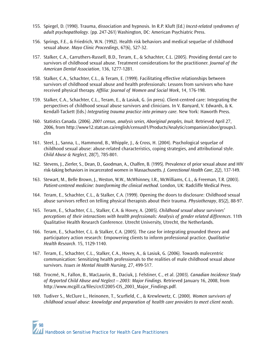- 155. Spiegel, D. (1990). Trauma, dissociation and hypnosis. In R.P. Kluft (Ed.) *Incest-related syndromes of adult psychopathology*. (pp. 247-261) Washington, DC: American Psychiatric Press.
- 156. Springs, F.E., & Friedrich, W.N. (1992). Health risk behaviors and medical sequelae of childhood sexual abuse. *Mayo Clinic Proceedings*, 67(6), 527-32.
- 157. Stalker, C.A., Carruthers-Russell, B.D., Teram, E., & Schachter, C.L. (2005). Providing dental care to survivors of childhood sexual abuse. Treatment considerations for the practitioner. *Journal of the American Dental Association*, 136, 1277-1281.
- 158. Stalker, C.A., Schachter, C.L., & Teram, E. (1999). Facilitating effective relationships between survivors of childhood sexual abuse and health professionals: Lessons from survivors who have received physical therapy. Affilia: Journal of Women and Social Work, 14, 176-198.
- 159. Stalker, C.A., Schachter, C.L., Teram, E., & Lasiuk, G. (in press). Client-centred care: Integrating the perspectives of childhood sexual abuse survivors and clinicians. In V. Banyard, V. Edwards, & K. Kendall-Tackett (Eds.) *Integrating trauma practice into primary care*. New York: Haworth Press.
- 160. Statistics Canada. (2006). *2001 census, analysis series, Aboriginal peoples, Inuit*. Retrieved April 27, 2006, from http://www12.statcan.ca/english/census01/Products/Analytic/companion/abor/groups3. cfm
- 161. Steel, J., Sanna, L., Hammond, B., Whipple, J., & Cross, H. (2004). Psychological sequelae of childhood sexual abuse: abuse-related characteristics, coping strategies, and attributional style. *Child Abuse & Neglect*, 28(7), 785-801.
- 162. Stevens, J., Zierler, S., Dean, D., Goodman, A., Chalfen, B. (1995). Prevalence of prior sexual abuse and HIV risk-taking behaviors in incarcerated women in Massachusetts. *J. Correctional Health Care*, 2(2), 137-149.
- 163. Stewart, M., Belle Brown, J., Weston, W.W., McWhinney, I.R., McWilliams, C.L., & Freeman, T.R. (2003). *Patient-centered medicine: transforming the clinical method*. London, UK: Radcliffe Medical Press.
- 164. Teram, E., Schachter, C.L., & Stalker, C.A. (1999). Opening the doors to disclosure: Childhood sexual abuse survivors reflect on telling physical therapists about their trauma. *Physiotherapy*, 85(2), 88-97.
- 165. Teram, E., Schachter, C.L., Stalker, C.A. & Hovey, A. (2005). *Childhood sexual abuse survivors' perceptions of their interactions with health professionals: Analysis of gender related differences*. 11th Qualitative Health Research Conference. Utrecht University, Utrecht, the Netherlands.
- 166. Teram, E., Schachter, C.L. & Stalker, C.A. (2005). The case for integrating grounded theory and participatory action research: Empowering clients to inform professional practice. *Qualitative Health Research*. 15, 1129-1140.
- 167. Teram, E., Schachter, C.L., Stalker, C.A., Hovey, A., & Lasiuk, G. (2006). Towards malecentric communication: Sensitizing health professionals to the realities of male childhood sexual abuse survivors. *Issues in Mental Health Nursing*, 27, 499-517.
- 168. Trocmé, N., Fallon, B., MacLaurin, B., Daciuk, J. Felstiner, C., et al. (2003). *Canadian Incidence Study of Reported Child Abuse and Neglect – 2003: Major Findings*. Retrieved January 16, 2008, from http://www.mcgill.ca/files/crcf/2005-CIS\_2003\_Major\_Findings.pdf.
- 169. Tudiver S., McClure L., Heinonen, T., Scurfield, C., & Krewlewetz, C. (2000). *Women survivors of childhood sexual abuse: knowledge and preparation of health care providers to meet client needs*.

Handbook on Sensitive Practice for Health Care Practitioners 98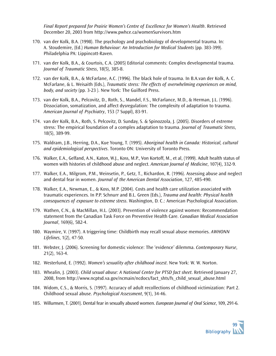*Final Report prepared for Prairie Women's Centre of Excellence for Women's Health*. Retrieved December 20, 2003 from http://www.pwhce.ca/womenSurvivors.htm

- 170. van der Kolk, B.A. (1998). The psychology and psychobiology of developmental trauma. In: A. Stoudemire, (Ed.) *Human Behaviour: An Introduction for Medical Students* (pp. 383-399). Philadelphia PA: Lippincott-Raven.
- 171. van der Kolk, B.A., & Courtois, C.A. (2005) Editorial comments: Complex developmental trauma. *Journal of Traumatic Stress*, 18(5), 385-8.
- 172. van der Kolk, B.A., & McFarlane, A.C. (1996). The black hole of trauma. In B.A.van der Kolk, A. C. McFarlane, & L. Weisaith (Eds.), *Traumatic stress: The effects of overwhelming experiences on mind, body, and society* (pp. 3-23 ). New York: The Guilford Press.
- 173. van der Kolk, B.A., Pelcovitz, D., Roth, S., Mandel, F.S., McFarlance, M.D., & Herman, J.L. (1996). Dissociation, somatization, and affect dysregulation: The complexity of adaptation to trauma. *American Journal of Psychiatry*, 153 (7 Suppl), 83-91.
- 174. van der Kolk, B.A., Roth, S. Pelcovitz, D. Sunday, S. & Spinozzola, J. (2005). Disorders of extreme stress: The empirical foundation of a complex adaptation to trauma. *Journal of Traumatic Stress*, 18(5), 389-99.
- 175. Waldram, J.B., Herring, D.A., Kue Young, T. (1995). *Aboriginal health in Canada: Historical, cultural and epidemiological perspectives*. Toronto ON: University of Toronto Press.
- 176. Walker, E.A., Gelfand, A.N., Katon, W.J., Koss, M.P., Von Kortoff, M., et al, (1999). Adult health status of women with histories of childhood abuse and neglect. *American Journal of Medicine*, 107(4), 332-9.
- 177. Walker, E.A., Milgrom, P.M., Weinsetin, P., Getz, T., Richardon, R. (1996). Assessing abuse and neglect and dental fear in women. *Journal of the American Dental Association*, 127, 485-490.
- 178. Walker, E.A., Newman, E., & Koss, M.P. (2004). Costs and health care utilization associated with traumatic experiences. In P.P. Schnurr and B.L. Green (Eds.), *Trauma and health: Physical health consequences of exposure to extreme stress*. Washington, D. C.: American Psychological Association.
- 179. Wathen, C.N., & MacMillan, H.L. (2003). Prevention of violence against women: Recommendation statement from the Canadian Task Force on Preventive Health Care. *Canadian Medical Association Journal*, 169(6), 582-4.
- 180. Waymire, V. (1997). A triggering time: Childbirth may recall sexual abuse memories. *AWHONN Lifelines*, 1(2), 47-50.
- 181. Webster, J. (2006). Screening for domestic violence: The 'evidence' dilemma. *Contemporary Nurse*, 21(2), 163-4.
- 182. Westerlund, E. (1992). *Women's sexuality after childhood incest*. New York: W. W. Norton.
- 183. Whealin, J. (2003). *Child sexual abuse: A National Center for PTSD fact sheet*. Retrieved January 27, 2008, from http://www.ncptsd.va.gov/ncmain/ncdocs/fact\_shts/fs\_child\_sexual\_abuse.html
- 184. Widom, C.S., & Morris, S. (1997). Accuracy of adult recollections of childhood victimization: Part 2. Childhood sexual abuse. *Psychological Assessment*, 9(1), 34-46.
- 185. Willumsen, T. (2001). Dental fear in sexually abused women. *European Journal of Oral Science*, 109, 291-6.

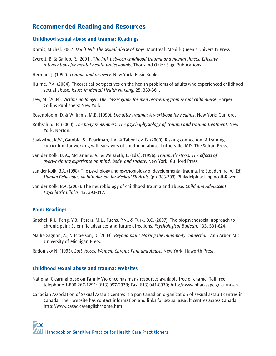## **Recommended Reading and Resources**

### **Childhood sexual abuse and trauma: Readings**

Dorais, Michel. 2002. *Don't tell: The sexual abuse of boys*. Montreal: McGill-Queen's University Press.

- Everett, B. & Gallop, R. (2001). T*he link between childhood trauma and mental illness: Effective interventions for mental health professionals*. Thousand Oaks: Sage Publications.
- Herman, J. (1992). *Trauma and recovery*. New York: Basic Books.
- Hulme, P.A. (2004). Theoretical perspectives on the health problems of adults who experienced childhood sexual abuse. *Issues in Mental Health Nursing*, 25, 339-361.
- Lew, M. (2004). *Victims no longer: The classic guide for men recovering from sexual child abuse*. Harper Collins Publishers: New York.
- Rosenbloom, D. & Williams, M.B. (1999). *Life after trauma: A workbook for healing*. New York: Guilford.
- Rothschild, B. (2000). *The body remembers: The psychophysiology of trauma and trauma treatment*. New York: Norton.
- Saakvitne, K.W., Gamble, S., Pearlman, L.A. & Tabor Lev, B. (2000). Risking connection: A training curriculum for working with survivors of childhood abuse. Lutherville, MD: The Sidran Press.
- van der Kolk, B. A., McFarlane. A., & Weisaeth, L. (Eds.). (1996). *Traumatic stress: The effects of overwhelming experience on mind, body, and society*. New York: Guilford Press.
- van der Kolk, B.A. (1998). The psychology and psychobiology of developmental trauma. In: Stoudemire, A. (Ed) *Human Behaviour: An Introduction for Medical Students*. (pp. 383-399). Philadelphia: Lippincott-Raven.
- van der Kolk, B.A. (2003). The neurobiology of childhood trauma and abuse. *Child and Adolescent Psychiatric Clinics*, 12, 293-317.

### **Pain: Readings**

- Gatchel, R.J., Peng, Y.B., Peters, M.L., Fuchs, P.N., & Turk, D.C. (2007). The biopsychosocial approach to chronic pain: Scientific advances and future directions. *Psychological Bulletin*, 133, 581-624.
- Mailis-Gagnon, A., & Israelson, D. (2003). *Beyond pain: Making the mind-body connection*. Ann Arbor, MI: University of Michigan Press.
- Radomsky N. (1995). *Lost Voices: Women, Chronic Pain and Abuse*. New York: Haworth Press.

### **Childhood sexual abuse and trauma: Websites**

- National Clearinghouse on Family Violence has many resources available free of charge. Toll free telephone 1-800 267-1291; (613) 957-2938; Fax (613) 941-8930; http://www.phac-aspc.gc.ca/nc-cn
- Canadian Association of Sexual Assault Centres is a pan Canadian organization of sexual assault centres in Canada. Their website has contact information and links for sexual assault centres across Canada. http://www.casac.ca/english/home.htm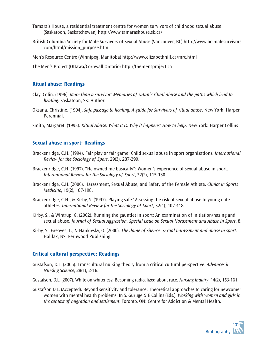- Tamara's House, a residential treatment centre for women survivors of childhood sexual abuse (Saskatoon, Saskatchewan) http://www.tamarashouse.sk.ca/
- British Columbia Society for Male Survivors of Sexual Abuse (Vancouver, BC) http://www.bc-malesurvivors. com/html/mission\_purpose.htm
- Men's Resource Centre (Winnipeg, Manitoba) http://www.elizabethhill.ca/mrc.html

The Men's Project (Ottawa/Cornwall Ontario) http://themensproject.ca

#### **Ritual abuse: Readings**

- Clay, Colin. (1996). *More than a survivor: Memories of satanic ritual abuse and the paths which lead to healing*. Saskatoon, SK: Author.
- Oksana, Christine. (1994). *Safe passage to healing: A guide for Survivors of ritual abuse*. New York: Harper Perennial.
- Smith, Margaret. (1993). *Ritual Abuse: What it is: Why it happens: How to help*. New York: Harper Collins

#### **Sexual abuse in sport: Readings**

- Brackenridge, C.H. (1994). Fair play or fair game: Child sexual abuse in sport organisations. *International Review for the Sociology of Sport*, 29(3), 287-299.
- Brackenridge, C.H. (1997). "He owned me basically": Women's experience of sexual abuse in sport. *International Review for the Sociology of Sport*, 32(2), 115-130.
- Brackenridge, C.H. (2000). Harassment, Sexual Abuse, and Safety of the Female Athlete. *Clinics in Sports Medicine*, 19(2), 187-198.
- Brackenridge, C.H., & Kirby, S. (1997). Playing safe? Assessing the risk of sexual abuse to young elite athletes. *International Review for the Sociology of Sport*, 32(4), 407-418.
- Kirby, S., & Wintrup, G. (2002). Running the gauntlet in sport: An examination of initiation/hazing and sexual abuse. *Journal of Sexual Aggression, Special Issue on Sexual Harassment and Abuse in Sport*, 8.
- Kirby, S., Greaves, L., & Hankivsky, O. (2000). *The dome of silence. Sexual harassment and abuse in sport*. Halifax, NS: Fernwood Publishing.

### **Critical cultural perspective: Readings**

- Gustafson, D.L. (2005). Transcultural nursing theory from a critical cultural perspective. *Advances in Nursing Science*, 28(1), 2-16.
- Gustafson, D.L. (2007). White on whiteness: Becoming radicalized about race. *Nursing Inquiry*, 14(2), 153-161.
- Gustafson D.L. (Accepted). Beyond sensitivity and tolerance: Theoretical approaches to caring for newcomer women with mental health problems. In S. Guruge & E Collins (Eds.). *Working with women and girls in the context of migration and settlement*. Toronto, ON: Centre for Addiction & Mental Health.

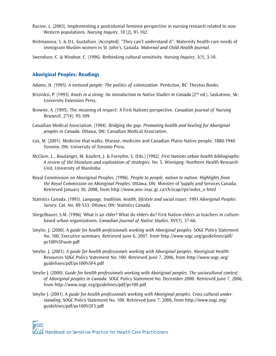- Racine, L. (2003). Implementing a postcolonial feminist perspective in nursing research related to non-Western populations. *Nursing Inquiry*, 10 (2), 91-102.
- Reitmanova, S. & D.L. Gustafson. (Accepted). "They can't understand it": Maternity health care needs of immigrant Muslim women in St. John's, Canada. *Maternal and Child Health Journal*.

Swendson, C. & Windsor, C. (1996). Rethinking cultural sensitivity. *Nursing Inquiry*, 3(1), 3-10.

### **Aboriginal Peoples: Readings**

- Adams, H. (1995). *A tortured people: The politics of colonization*. Penticton, BC: Theytus Books.
- Brizinksi, P. (1993). *Knots in a string: An introduction to Native Studies in Canada* (2<sup>nd</sup> ed.). Saskatoon, SK: University Extension Press.
- Browne, A. (1995). The meaning of respect: A First Nations perspective. *Canadian Journal of Nursing Research*, 27(4); 95-109.
- Canadian Medical Association. (1994). *Bridging the gap: Promoting health and healing for Aboriginal peoples in Canada*. Ottawa, ON: Canadian Medical Association.
- Lux, M. (2001). Medicine that walks; Disease, medicine and Canadian Plains Native people, 1880-1940. Toronto, ON: University of Toronto Press.
- McClure, L., Boulanger, M. Kaufert, J. & Forsythe, S. (Eds.) (1992). *First Nations urban health bibliography: A review of the literature and exploration of strategies*. No. 5. Winnipeg: Northern Health Research Unit, University of Manitoba.
- Royal Commission on Aboriginal Peoples. (1996). *People to people, nation to nation: Highlights from the Royal Commission on Aboriginal Peoples*. Ottawa, ON: Minister of Supply and Services Canada. Retrieved January 30, 2008, from http://www.ainc-inac.gc.ca/ch/rcap/rpt/index\_e.html
- Statistics Canada. (1993). *Language, tradition, health, lifestyle and social issues: 1991 Aboriginal Peoples Survey*. Cat. No. 89-533. Ottawa, ON: Statistics Canada.
- Stiegelbauer, S.M. (1996). What is an elder? What do elders do? First Nation elders as teachers in culturebased urban organizations. *Canadian Journal of Native Studies*, XVI(1), 37-66.
- Smylie, J. (2000). *A guide for health professionals working with Aboriginal peoples*. SOGC Policy Statement No. 100, Executive summary. Retrieved June 6, 2007, from http://www.sogc.org/guidelines/pdf/ ps100%5Fsum.pdf
- Smylie, J. (2001). *A guide for health professionals working with Aboriginal peoples*. Aboriginal Health Resources SOGC Policy Statement No. 100. Retrieved June 7, 2006, from http://www.sogc.org/ guidelines/pdf/ps100%5F4.pdf
- Smylie J. (2000). *Guide for health professionals working with Aboriginal peoples. The sociocultural context of Aboriginal peoples in Canada*. SOGC Policy Statement No. December 2000. Retrieved June 7, 2006, from http://www.sogc.org/guidelines/pdf/ps100.pdf
- Smylie J. (2001). *A guide for health professionals working with Aboriginal peoples*. *Cross cultural understanding*. SOGC Policy Statement No. 100. Retrieved June 7, 2006, from http://www.sogc.org/ guidelines/pdf/ps100%5F3.pdf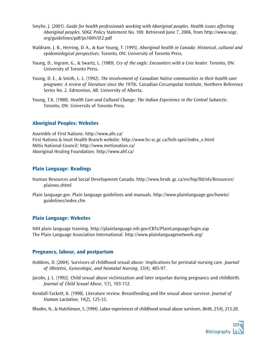- Smylie, J. (2001). *Guide for health professionals working with Aboriginal peoples. Health issues affecting Aboriginal peoples*. SOGC Policy Statement No. 100. Retrieved June 7, 2006, from http://www.sogc. org/guidelines/pdf/ps100%5F2.pdf
- Waldram, J. B., Herring, D. A., & Kue Young, T. (1995). *Aboriginal health in Canada: Historical, cultural and epidemiological perspectives*. Toronto, ON: University of Toronto Press.
- Young, D., Ingram, G., & Swartz, L. (1989). *Cry of the eagle: Encounters with a Cree healer*. Toronto, ON: University of Toronto Press.
- Young, D. E., & Smith, L. L. (1992). *The involvement of Canadian Native communities in their health care programs: A review of literature since the 1970s*. Canadian Circumpolar Institute, Northern Reference Series No. 2. Edmonton, AB: University of Alberta.
- Young, T.K. (1988). *Health Care and Cultural Change: The Indian Experience in the Central Subarctic*. Toronto, ON: University of Toronto Press.

### **Aboriginal Peoples: Websites**

Assembly of First Nations: http://www.afn.ca/ First Nations & Inuit Health Branch website: http://www.hc-sc.gc.ca/fnih-spni/index\_e.html Métis National Council: http://www.metisnation.ca/ Aboriginal Healing Foundation: http://www.ahf.ca/

### **Plain Language: Readings**

- Human Resources and Social Development Canada. http://www.hrsdc.gc.ca/en/hip/lld/nls/Resources/ plainws.shtml
- Plain language.gov. Plain language guidelines and manuals. http://www.plainlanguage.gov/howto/ guidelines/index.cfm

### **Plain Language: Websites**

NIH plain language training. http://plainlanguage.nih.gov/CBTs/PlainLanguage/login.asp The Plain Language Association International. http://www.plainlanguagenetwork.org/

### **Pregnancy, labour, and postpartum**

- Hobbins, D. (2004). Survivors of childhood sexual abuse: Implications for perinatal nursing care. *Journal of Obstetric, Gynecologic, and Neonatal Nursing*, 33(4), 485-97.
- Jacobs, J. L. (1992). Child sexual abuse victimization and later sequelae during pregnancy and childbirth. *Journal of Child Sexual Abuse*, 1(1), 103-112.
- Kendall-Tackett, K. (1998). Literature review. Breastfeeding and the sexual abuse survivor. *Journal of Human Lactation*, 14(2), 125-33.

Rhodes, N., & Hutchinson, S. (1994). Labor experiences of childhood sexual abuse survivors. *Birth*, 21(4), 213-20.

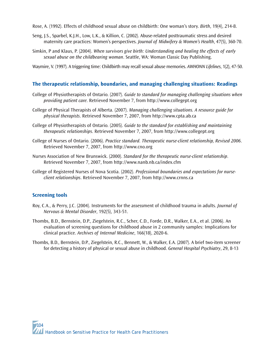Rose, A. (1992). Effects of childhood sexual abuse on childbirth: One woman's story. *Birth*, 19(4), 214-8.

- Seng, J.S., Sparbel, K.J.H., Low, L.K., & Killion, C. (2002). Abuse-related posttraumatic stress and desired maternity care practices: Women's perspectives. *Journal of Midwifery & Women's Health*, 47(5), 360-70.
- Simkin, P and Klaus, P. (2004). *When survivors give birth: Understanding and healing the effects of early sexual abuse on the childbearing woman*. Seattle, WA: Woman Classic Day Publishing.
- Waymire, V. (1997). A triggering time: Childbirth may recall sexual abuse memories. *AWHONN Lifelines*, 1(2), 47-50.

#### **The therapeutic relationship, boundaries, and managing challenging situations: Readings**

- College of Physiotherapists of Ontario. (2007). *Guide to standard for managing challenging situations when providing patient care*. Retrieved November 7, from http://www.collegept.org
- College of Physical Therapists of Alberta. (2007). *Managing challenging situations. A resource guide for physical therapists*. Retrieved November 7, 2007, from http://www.cpta.ab.ca
- College of Physiotherapists of Ontario. (2005). *Guide to the standard for establishing and maintaining therapeutic relationships*. Retrieved November 7, 2007, from http://www.collegept.org
- College of Nurses of Ontario. (2006). *Practice standard. Therapeutic nurse-client relationship, Revised 2006*. Retrieved November 7, 2007, from http://www.cno.org
- Nurses Association of New Brunswick. (2000). *Standard for the therapeutic nurse-client relationship*. Retrieved November 7, 2007, from http://www.nanb.nb.ca/index.cfm
- College of Registered Nurses of Nova Scotia. (2002). *Professional boundaries and expectations for nurseclient relationships*. Retrieved November 7, 2007, from http://www.crnns.ca

#### **Screening tools**

- Roy, C.A., & Perry, J.C. (2004). Instruments for the assessment of childhood trauma in adults. *Journal of Nervous & Mental Disorder*, 192(5), 343-51.
- Thombs, B.D., Bernstein, D.P., Ziegelstein, R.C., Scher, C.D., Forde, D.R., Walker, E.A., et al. (2006). An evaluation of screening questions for childhood abuse in 2 community samples: Implications for clinical practice. *Archives of Internal Medicine*, 166(18), 2020-6.
- Thombs, B.D., Bernstein, D.P., Ziegelstein, R.C., Bennett, W., & Walker, E.A. (2007). A brief two-item screener for detecting a history of physical or sexual abuse in childhood. *General Hospital Psychiatry*, 29, 8-13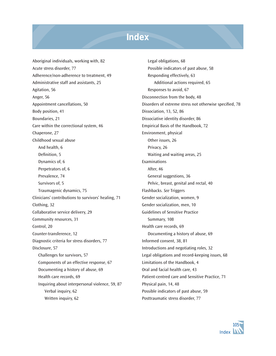# **Index**

Aboriginal individuals, working with, 82 Acute stress disorder, 77 Adherence/non-adherence to treatment, 49 Administrative staff and assistants, 25 Agitation, 56 Anger, 56 Appointment cancellations, 50 Body position, 41 Boundaries, 21 Care within the correctional system, 46 Chaperone, 27 Childhood sexual abuse And health, 6 Definition, 5 Dynamics of, 6 Perpetrators of, 6 Prevalence, 74 Survivors of, 5 Traumagenic dynamics, 75 Clinicians' contributions to survivors' healing, 71 Clothing, 32 Collaborative service delivery, 29 Community resources, 31 Control, 20 Counter-transference, 12 Diagnostic criteria for stress disorders, 77 Disclosure, 57 Challenges for survivors, 57 Components of an effective response, 67 Documenting a history of abuse, 69 Health care records, 69 Inquiring about interpersonal violence, 59, 87 Verbal inquiry, 62 Written inquiry, 62

Legal obligations, 68 Possible indicators of past abuse, 58 Responding effectively, 63 Additional actions required, 65 Responses to avoid, 67 Disconnection from the body, 48 Disorders of extreme stress not otherwise specified, 78 Dissociation, 13, 52, 86 Dissociative identity disorder, 86 Empirical Basis of the Handbook, 72 Environment, physical Other issues, 26 Privacy, 26 Waiting and waiting areas, 25 Examinations After, 46 General suggestions, 36 Pelvic, breast, genital and rectal, 40 Flashbacks. *See* Triggers Gender socialization, women, 9 Gender socialization, men, 10 Guidelines of Sensitive Practice Summary, 108 Health care records, 69 Documenting a history of abuse, 69 Informed consent, 38, 81 Introductions and negotiating roles, 32 Legal obligations and record-keeping issues, 68 Limitations of the Handbook, 4 Oral and facial health care, 43 Patient-centred care and Sensitive Practice, 71 Physical pain, 14, 48 Possible indicators of past abuse, 59 Posttraumatic stress disorder, 77

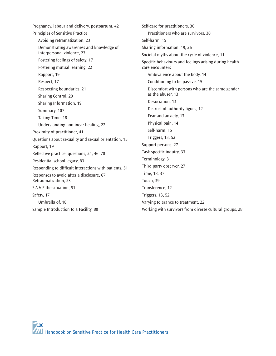Pregnancy, labour and delivery, postpartum, 42 Principles of Sensitive Practice Avoiding retramatization, 23 Demonstrating awareness and knowledge of interpersonal violence, 23 Fostering feelings of safety, 17 Fostering mutual learning, 22 Rapport, 19 Respect, 17 Respecting boundaries, 21 Sharing Control, 20 Sharing Information, 19 Summary, 107 Taking Time, 18 Understanding nonlinear healing, 22 Proximity of practitioner, 41 Questions about sexuality and sexual orientation, 15 Rapport, 19 Reflective practice, questions, 24, 46, 70 Residential school legacy, 83 Responding to difficult interactions with patients, 51 Responses to avoid after a disclosure, 67 Retraumatization, 23 S A V E the situation, 51 Safety, 17 Umbrella of, 18 Sample Introduction to a Facility, 80

Self-care for practitioners, 30 Practitioners who are survivors, 30 Self-harm, 15 Sharing information, 19, 26 Societal myths about the cycle of violence, 11 Specific behaviours and feelings arising during health care encounters Ambivalence about the body, 14 Conditioning to be passive, 15 Discomfort with persons who are the same gender as the abuser, 13 Dissociation, 13 Distrust of authority figues, 12 Fear and anxiety, 13 Physical pain, 14 Self-harm, 15 Triggers, 13, 52 Support persons, 27 Task-specific inquiry, 33 Terminology, 3 Third party observer, 27 Time, 18, 37 Touch, 39 Transference, 12 Triggers, 13, 52 Varying tolerance to treatment, 22 Working with survivors from diverse cultural groups, 28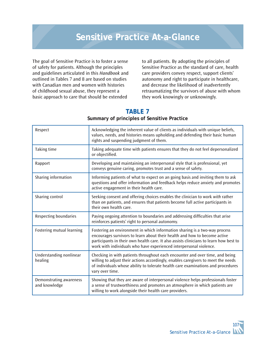The goal of Sensitive Practice is to foster a sense of safety for patients. Although the principles and guidelines articulated in this *Handbook* and outlined in Tables 7 and 8 are based on studies with Canadian men and women with histories of childhood sexual abuse, they represent a basic approach to care that should be extended

to all patients. By adopting the principles of Sensitive Practice as the standard of care, health care providers convey respect, support clients' autonomy and right to participate in healthcare, and decrease the likelihood of inadvertently retraumatizing the survivors of abuse with whom they work knowingly or unknowingly.

# **TABLE 7**

| Respect                                  | Acknowledging the inherent value of clients as individuals with unique beliefs,<br>values, needs, and histories means upholding and defending their basic human<br>rights and suspending judgment of them.                                                                                                              |
|------------------------------------------|-------------------------------------------------------------------------------------------------------------------------------------------------------------------------------------------------------------------------------------------------------------------------------------------------------------------------|
| <b>Taking time</b>                       | Taking adequate time with patients ensures that they do not feel depersonalized<br>or objectified.                                                                                                                                                                                                                      |
| Rapport                                  | Developing and maintaining an interpersonal style that is professional, yet<br>conveys genuine caring, promotes trust and a sense of safety.                                                                                                                                                                            |
| Sharing information                      | Informing patients of what to expect on an going basis and inviting them to ask<br>questions and offer information and feedback helps reduce anxiety and promotes<br>active engagement in their health care.                                                                                                            |
| Sharing control                          | Seeking consent and offering choices enables the clinician to work with rather<br>than on patients, and ensures that patients become full active participants in<br>their own health care.                                                                                                                              |
| Respecting boundaries                    | Paying ongoing attention to boundaries and addressing difficulties that arise<br>reinforces patients' right to personal autonomy.                                                                                                                                                                                       |
| Fostering mutual learning                | Fostering an environment in which information sharing is a two-way process<br>encourages survivors to learn about their health and how to become active<br>participants in their own health care. It also assists clinicians to learn how best to<br>work with individuals who have experienced interpersonal violence. |
| Understanding nonlinear<br>healing       | Checking in with patients throughout each encounter and over time, and being<br>willing to adjust their actions accordingly, enables caregivers to meet the needs<br>of individuals whose ability to tolerate health care examinations and procedures<br>vary over time.                                                |
| Demonstrating awareness<br>and knowledge | Showing that they are aware of interpersonal violence helps professionals foster<br>a sense of trustworthiness and promotes an atmosphere in which patients are<br>willing to work alongside their health care providers.                                                                                               |

**Summary of principles of Sensitive Practice**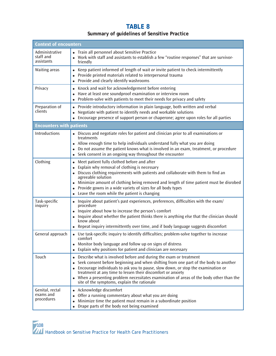# **TABLE 8**

# **Summary of guidelines of Sensitive Practice**

| <b>Context of encounters</b>               |                                                                                                                                                                                                                                                                                                                                                                                                                                                                                 |  |
|--------------------------------------------|---------------------------------------------------------------------------------------------------------------------------------------------------------------------------------------------------------------------------------------------------------------------------------------------------------------------------------------------------------------------------------------------------------------------------------------------------------------------------------|--|
| Administrative<br>staff and<br>assistants  | • Train all personnel about Sensitive Practice<br>• Work with staff and assistants to establish a few "routine responses" that are survivor-<br>friendly                                                                                                                                                                                                                                                                                                                        |  |
| Waiting areas                              | Keep patient informed of length of wait or invite patient to check intermittently<br>$\bullet$<br>Provide printed materials related to interpersonal trauma<br>Provide and clearly identify washrooms                                                                                                                                                                                                                                                                           |  |
| Privacy                                    | Knock and wait for acknowledgement before entering<br>Have at least one soundproof examination or interview room<br>Problem-solve with patients to meet their needs for privacy and safety                                                                                                                                                                                                                                                                                      |  |
| Preparation of<br>clients                  | Provide introductory information in plain language, both written and verbal<br>$\bullet$<br>Negotiate with patient to identify needs and workable solutions<br>$\bullet$<br>Encourage presence of support person or chaperone; agree upon roles for all parties                                                                                                                                                                                                                 |  |
| <b>Encounters with patients</b>            |                                                                                                                                                                                                                                                                                                                                                                                                                                                                                 |  |
| <b>Introductions</b>                       | • Discuss and negotiate roles for patient and clinician prior to all examinations or<br>treatments<br>Allow enough time to help individuals understand fully what you are doing<br>Do not assume the patient knows what is involved in an exam, treatment, or procedure<br>Seek consent in an ongoing way throughout the encounter                                                                                                                                              |  |
| Clothing                                   | Meet patient fully clothed before and after<br>Explain why removal of clothing is necessary<br>Discuss clothing requirements with patients and collaborate with them to find an<br>agreeable solution<br>Minimize amount of clothing being removed and length of time patient must be disrobed<br>Provide gowns in a wide variety of sizes for all body types<br>Leave the room while the patient is changing                                                                   |  |
| Task-specific<br>inquiry                   | Inquire about patient's past experiences, preferences, difficulties with the exam/<br>procedure<br>Inquire about how to increase the person's comfort<br>Inquire about whether the patient thinks there is anything else that the clinician should<br>know about<br>Repeat inquiry intermittently over time, and if body language suggests discomfort                                                                                                                           |  |
| General approach                           | Use task-specific inquiry to identify difficulties; problem-solve together to increase<br>comfort<br>Monitor body language and follow up on signs of distress<br>Explain why positions for patient and clinician are necessary                                                                                                                                                                                                                                                  |  |
| Touch                                      | Describe what is involved before and during the exam or treatment<br>$\bullet$<br>Seek consent before beginning and when shifting from one part of the body to another<br>Encourage individuals to ask you to pause, slow down, or stop the examination or<br>$\bullet$<br>treatment at any time to lessen their discomfort or anxiety<br>When a presenting problem necessitates examination of areas of the body other than the<br>site of the symptoms, explain the rationale |  |
| Genital, rectal<br>exams and<br>procedures | Acknowledge discomfort<br>$\bullet$<br>Offer a running commentary about what you are doing<br>$\bullet$<br>Minimize time the patient must remain in a subordinate position<br>$\bullet$<br>Drape parts of the body not being examined<br>$\bullet$                                                                                                                                                                                                                              |  |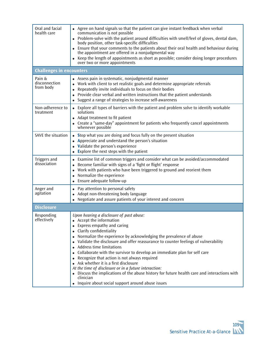| Oral and facial<br>health care          | • Agree on hand signals so that the patient can give instant feedback when verbal<br>communication is not possible<br>• Problem-solve with the patient around difficulties with smell/feel of gloves, dental dam,<br>body position, other task-specific difficulties<br>Ensure that your comments to the patients about their oral health and behaviour during<br>the appointment are offered in a nonjudgmental way<br>• Keep the length of appointments as short as possible; consider doing longer procedures<br>over two or more appointments                                                                                                                                                                                                                         |  |
|-----------------------------------------|---------------------------------------------------------------------------------------------------------------------------------------------------------------------------------------------------------------------------------------------------------------------------------------------------------------------------------------------------------------------------------------------------------------------------------------------------------------------------------------------------------------------------------------------------------------------------------------------------------------------------------------------------------------------------------------------------------------------------------------------------------------------------|--|
| <b>Challenges in encounters</b>         |                                                                                                                                                                                                                                                                                                                                                                                                                                                                                                                                                                                                                                                                                                                                                                           |  |
| Pain $\&$<br>disconnection<br>from body | • Assess pain in systematic, nonjudgmental manner<br>Work with client to set realistic goals and determine appropriate referrals<br>$\bullet$<br>Repeatedly invite individuals to focus on their bodies<br>$\bullet$<br>Provide clear verbal and written instructions that the patient understands<br>$\bullet$<br>Suggest a range of strategies to increase self-awareness                                                                                                                                                                                                                                                                                                                                                                                               |  |
| Non-adherence to<br>treatment           | • Explore all types of barriers with the patient and problem solve to identify workable<br>solutions<br>• Adapt treatment to fit patient<br>• Create a "same-day" appointment for patients who frequently cancel appointments<br>whenever possible                                                                                                                                                                                                                                                                                                                                                                                                                                                                                                                        |  |
| SAVE the situation                      | • Stop what you are doing and focus fully on the present situation<br>Appreciate and understand the person's situation<br>$\bullet$<br>Validate the person's experience<br>$\bullet$<br><b>Explore the next steps with the patient</b><br>$\bullet$                                                                                                                                                                                                                                                                                                                                                                                                                                                                                                                       |  |
| <b>Triggers and</b><br>dissociation     | Examine list of common triggers and consider what can be avoided/accommodated<br>$\bullet$<br>Become familiar with signs of a 'fight or flight' response<br>$\bullet$<br>Work with patients who have been triggered to ground and reorient them<br>$\bullet$<br>Normalize the experience<br>Ensure adequate follow-up<br>$\bullet$                                                                                                                                                                                                                                                                                                                                                                                                                                        |  |
| Anger and<br>agitation                  | Pay attention to personal safety<br>Adopt non-threatening body language<br>Negotiate and assure patients of your interest and concern                                                                                                                                                                                                                                                                                                                                                                                                                                                                                                                                                                                                                                     |  |
| <b>Disclosure</b>                       |                                                                                                                                                                                                                                                                                                                                                                                                                                                                                                                                                                                                                                                                                                                                                                           |  |
| Responding<br>effectively               | Upon hearing a disclosure of past abuse:<br>• Accept the information<br>Express empathy and caring<br><b>Clarify confidentiality</b><br>Normalize the experience by acknowledging the prevalence of abuse<br>Validate the disclosure and offer reassurance to counter feelings of vulnerability<br><b>Address time limitations</b><br>$\bullet$<br>Collaborate with the survivor to develop an immediate plan for self care<br>$\bullet$<br>Recognize that action is not always required<br>Ask whether it is a first disclosure<br>$\bullet$<br>At the time of disclosure or in a future interaction:<br>• Discuss the implications of the abuse history for future health care and interactions with<br>clinician<br>• Inquire about social support around abuse issues |  |